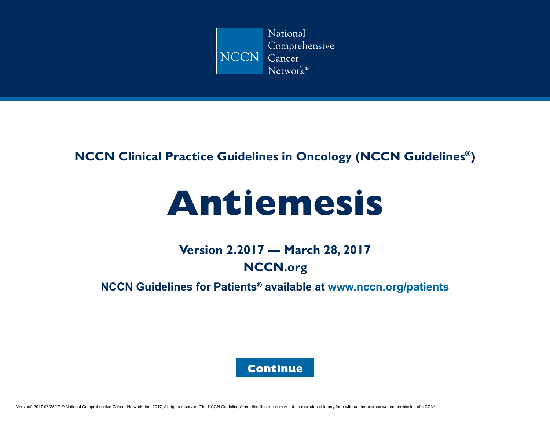

### **NCCN Clinical Practice Guidelines in Oncology (NCCN Guidelines®)**

# **Antiemesis**

# **Version 2.2017 — March 28, 2017 [NCCN.org](https://www.nccn.org/)**

**NCCN Guidelines for Patients® available at [www.nccn.org/](https://www.nccn.org/patients/default.aspx)patients**

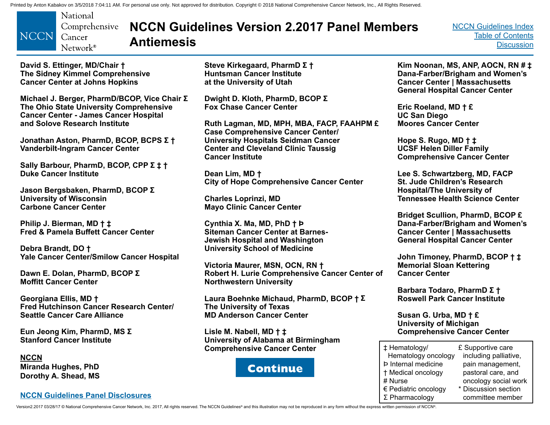<span id="page-1-0"></span>

# **NCCN Guidelines Version 2.2017 Panel Members Antiemesis**

[NCCN Guidelines Index](http://nccn.org) [Table of Contents](#page-2-0) **[Discussion](#page-24-0)** 

**David S. Ettinger, MD/Chair † The Sidney Kimmel Comprehensive Cancer Center at Johns Hopkins**

**Michael J. Berger, PharmD/BCOP, Vice Chair Σ The Ohio State University Comprehensive Cancer Center - James Cancer Hospital and Solove Research Institute**

**Jonathan Aston, PharmD, BCOP, BCPS Σ † Vanderbilt-Ingram Cancer Center**

**Sally Barbour, PharmD, BCOP, CPP Σ ‡ † Duke Cancer Institute**

**Jason Bergsbaken, PharmD, BCOP Σ University of Wisconsin Carbone Cancer Center**

**Philip J. Bierman, MD † ‡ Fred & Pamela Buffett Cancer Center** 

**Debra Brandt, DO † Yale Cancer Center/Smilow Cancer Hospital**

**Dawn E. Dolan, PharmD, BCOP Σ Moffitt Cancer Center**

**Georgiana Ellis, MD † Fred Hutchinson Cancer Research Center/ Seattle Cancer Care Alliance**

**Eun Jeong Kim, PharmD, MS Σ Stanford Cancer Institute**

**NCCN Miranda Hughes, PhD Dorothy A. Shead, MS**

#### **[NCCN Guidelines Panel Disclosures](https://www.nccn.org/disclosures/guidelinepanellisting.aspx)**

**Steve Kirkegaard, PharmD Σ † Huntsman Cancer Institute at the University of Utah** 

**Dwight D. Kloth, PharmD, BCOP Σ Fox Chase Cancer Center**

**Ruth Lagman, MD, MPH, MBA, FACP, FAAHPM £ Case Comprehensive Cancer Center/ University Hospitals Seidman Cancer Center and Cleveland Clinic Taussig Cancer Institute**

**Dean Lim, MD † City of Hope Comprehensive Cancer Center**

**Charles Loprinzi, MD Mayo Clinic Cancer Center**

**Cynthia X. Ma, MD, PhD † Þ Siteman Cancer Center at Barnes-Jewish Hospital and Washington University School of Medicine**

**Victoria Maurer, MSN, OCN, RN † Robert H. Lurie Comprehensive Cancer Center of Northwestern University**

**Laura Boehnke Michaud, PharmD, BCOP † Σ The University of Texas MD Anderson Cancer Center**

**Lisle M. Nabell, MD † ‡ University of Alabama at Birmingham Comprehensive Cancer Center**



**Kim Noonan, MS, ANP, AOCN, RN # ‡ Dana-Farber/Brigham and Women's Cancer Center | Massachusetts General Hospital Cancer Center** 

**Eric Roeland, MD † £ UC San Diego Moores Cancer Center** 

**Hope S. Rugo, MD † ‡ UCSF Helen Diller Family Comprehensive Cancer Center** 

**Lee S. Schwartzberg, MD, FACP St. Jude Children's Research Hospital/The University of Tennessee Health Science Center** 

**Bridget Scullion, PharmD, BCOP £ Dana-Farber/Brigham and Women's Cancer Center | Massachusetts General Hospital Cancer Center** 

**John Timoney, PharmD, BCOP † ‡ Memorial Sloan Kettering Cancer Center**

**Barbara Todaro, PharmD Σ † Roswell Park Cancer Institute**

**Susan G. Urba, MD † £ University of Michigan Comprehensive Cancer Center**

| ± Hematology/              | £ Supportive care     |
|----------------------------|-----------------------|
| Hematology oncology        | including palliative, |
| <b>Þ</b> Internal medicine | pain management,      |
| † Medical oncology         | pastoral care, and    |
| # Nurse                    | oncology social work  |
| € Pediatric oncology       | * Discussion section  |
| $\Sigma$ Pharmacology      | committee member      |

Version2.2017 03/28/17 © National Comprehensive Cancer Network, Inc. 2017, All rights reserved. The NCCN Guidelines® and this illustration may not be reproduced in any form without the express written permission of NCCN®.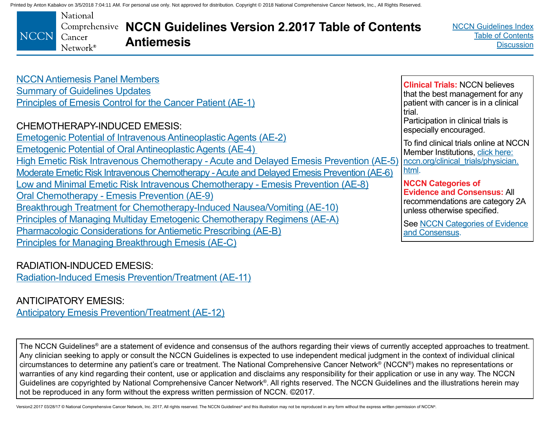<span id="page-2-0"></span>

| <b>NCCN Antiemesis Panel Members</b>                       |
|------------------------------------------------------------|
| <b>Summary of Guidelines Updates</b>                       |
| Principles of Emesis Control for the Cancer Patient (AE-1) |

### CHEMOTHERAPY-INDUCED EMESIS:

[Emetogenic Potential of Intravenous Antineoplastic Agents \(AE-2\)](#page-7-0) [Emetogenic Potential of Oral Antineoplastic Agents \(AE-4\)](#page-9-0)  [High Emetic Risk Intravenous Chemotherapy - Acute and Delayed Emesis Prevention \(AE-5\)](#page-10-0) [Moderate Emetic Risk Intravenous Chemotherapy - Acute and Delayed Emesis Prevention \(AE-6\)](#page-11-0) [Low and Minimal Emetic Risk Intravenous Chemotherapy - Emesis Prevention \(AE-8\)](#page-13-0) [Oral Chemotherapy - Emesis Prevention \(AE-9\)](#page-14-0) [Breakthrough Treatment for Chemotherapy-Induced Nausea/Vomiting \(AE-10\)](#page-15-0) [Principles of Managing Multiday Emetogenic Chemotherapy Regimens \(AE-A\)](#page-18-0) [Pharmacologic Considerations for Antiemetic Prescribing \(AE-B\)](#page-20-0) [Principles for Managing Breakthrough Emesis \(AE-C\)](#page-23-0)

### RADIATION-INDUCED EMESIS:

[Radiation-Induced Emesis Prevention/Treatment \(AE-11\)](#page-16-0)

### ANTICIPATORY EMESIS:

[Anticipatory Emesis Prevention/Treatment \(AE-12\)](#page-17-0)

The NCCN Guidelines<sup>®</sup> are a statement of evidence and consensus of the authors regarding their views of currently accepted approaches to treatment. Any clinician seeking to apply or consult the NCCN Guidelines is expected to use independent medical judgment in the context of individual clinical circumstances to determine any patient's care or treatment. The National Comprehensive Cancer Network® (NCCN®) makes no representations or warranties of any kind regarding their content, use or application and disclaims any responsibility for their application or use in any way. The NCCN Guidelines are copyrighted by National Comprehensive Cancer Network®. All rights reserved. The NCCN Guidelines and the illustrations herein may not be reproduced in any form without the express written permission of NCCN. ©2017.

Version2.2017 03/28/17 © National Comprehensive Cancer Network, Inc. 2017, All rights reserved. The NCCN Guidelines® and this illustration may not be reproduced in any form without the express written permission of NCCN®.

trial. Participation in clinical trials is especially encouraged. To find clinical trials online at NCCN Member Institutions, [click here:](https://www.nccn.org/clinical_trials/clinicians.aspx) [nccn.org/clinical\\_trials/physician.](https://www.nccn.org/clinical_trials/clinicians.aspx) [html.](https://www.nccn.org/clinical_trials/clinicians.aspx)

**Clinical Trials:** NCCN believes that the best management for any patient with cancer is in a clinical

**NCCN Categories of Evidence and Consensus:** All recommendations are category 2A unless otherwise specified.

See [NCCN Categories of Evidence](#page-24-0)  [and Consensus.](#page-24-0)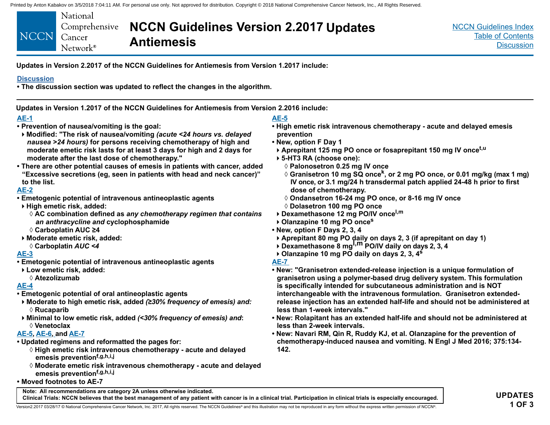<span id="page-3-0"></span>

**Updates in Version 2.2017 of the NCCN Guidelines for Antiemesis from Version 1.2017 include:**

#### **[Discussion](#page-24-0)**

**• The discussion section was updated to reflect the changes in the algorithm.**

**Updates in Version 1.2017 of the NCCN Guidelines for Antiemesis from Version 2.2016 include:**

#### **[AE-1](#page-6-0)**

- **Prevention of nausea/vomiting is the goal:**
- **Modified: "The risk of nausea/vomiting** *(acute <24 hours vs. delayed nausea >24 hours)* **for persons receiving chemotherapy of high and moderate emetic risk lasts for at least 3 days for high and 2 days for moderate after the last dose of chemotherapy."**
- **There are other potential causes of emesis in patients with cancer, added "Excessive secretions (eg, seen in patients with head and neck cancer)" to the list.**

#### **[AE-2](#page-7-0)**

- **Emetogenic potential of intravenous antineoplastic agents**
- **High emetic risk, added:**
	- ◊ **AC combination defined as** *any chemotherapy regimen that contains an anthracycline and* **cyclophosphamide**
- ◊ **Carboplatin AUC ≥4**
- **Moderate emetic risk, added:** ◊ **Carboplatin** *AUC <4*

#### **[AE-3](#page-8-0)**

- **Emetogenic potential of intravenous antineoplastic agents**
- **Low emetic risk, added:**

◊ **Atezolizumab**

#### **[AE-4](#page-9-0)**

- **Emetogenic potential of oral antineoplastic agents**
- **Moderate to high emetic risk, added** *(≥30% frequency of emesis) and:* ◊ **Rucaparib**
- **Minimal to low emetic risk, added** *(<30% frequency of emesis) and***:** ◊ **Venetoclax**

#### **[AE-5,](#page-10-0) [AE-6](#page-11-0), and [AE-7](#page-12-0)**

**• Updated regimens and reformatted the pages for:**

**Note: All recommendations are category 2A unless otherwise indicated.**

- ◊ **High emetic risk intravenous chemotherapy acute and delayed emesis preventionf,g,h,i,j**
- ◊ **Moderate emetic risk intravenous chemotherapy acute and delayed emesis preventionf,g,h,i,j**
- **Moved footnotes to AE-7**

### **[AE-5](#page-10-0)**

- **High emetic risk intravenous chemotherapy acute and delayed emesis prevention**
- **New, option F Day 1**
- **Aprepitant 125 mg PO once or fosaprepitant 150 mg IV oncet,u**
- **5-HT3 RA (choose one):**
	- ◊ **Palonosetron 0.25 mg IV once**
	- ◊ **Granisetron 10 mg SQ oncek, or 2 mg PO once, or 0.01 mg/kg (max 1 mg) IV once, or 3.1 mg/24 h transdermal patch applied 24-48 h prior to first dose of chemotherapy.**
	- ◊ **Ondansetron 16-24 mg PO once, or 8-16 mg IV once**
	- ◊ **Dolasetron 100 mg PO once**
- **Dexamethasone 12 mg PO/IV oncel,m**
- **Olanzapine 10 mg PO onces**
- **New, option F Days 2, 3, 4**
- **Aprepitant 80 mg PO daily on days 2, 3 (if aprepitant on day 1)**
- **Dexamethasone 8 mgl,m PO/IV daily on days 2, 3, 4**
- **Olanzapine 10 mg PO daily on days 2, 3, 4<sup>s</sup>**
- **[AE-7](#page-12-0)**
- **New: "Granisetron extended-release injection is a unique formulation of granisetron using a polymer-based drug delivery system. This formulation is specifically intended for subcutaneous administration and is NOT interchangeable with the intravenous formulation. Granisetron extendedrelease injection has an extended half-life and should not be administered at less than 1-week intervals."**
- **New: Rolapitant has an extended half-life and should not be administered at less than 2-week intervals.**
- **New: Navari RM, Qin R, Ruddy KJ, et al. Olanzapine for the prevention of chemotherapy-induced nausea and vomiting. N Engl J Med 2016; 375:134- 142.**

**Clinical Trials: NCCN believes that the best management of any patient with cancer is in a clinical trial. Participation in clinical trials is especially encouraged.**

Version2.2017 03/28/17 © National Comprehensive Cancer Network, Inc. 2017, All rights reserved. The NCCN Guidelines® and this illustration may not be reproduced in any form without the express written permission of NCCN®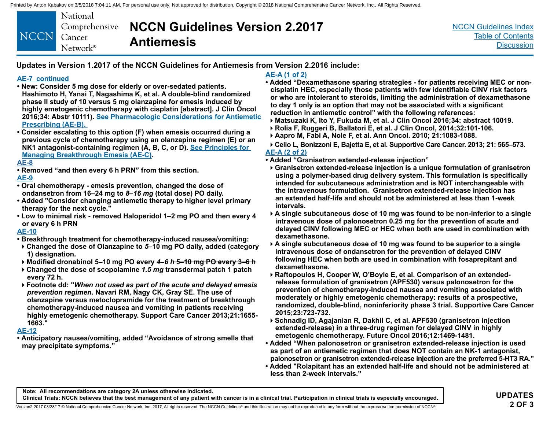|                    | National          |
|--------------------|-------------------|
|                    | Comprehensive     |
| <b>NCCN</b> Cancer |                   |
|                    | $Network^{\circ}$ |

# **NCCN Guidelines Version 2.2017 Antiemesis**

[NCCN Guidelines Index](http://nccn.org) [Table of Contents](#page-2-0) **[Discussion](#page-24-0)** 

**Updates in Version 1.2017 of the NCCN Guidelines for Antiemesis from Version 2.2016 include:**

#### **[AE-7](#page-12-0) continued**

- **New: Consider 5 mg dose for elderly or over-sedated patients. Hashimoto H, Yanai T, Nagashima K, et al. A double-blind randomized phase II study of 10 versus 5 mg olanzapine for emesis induced by highly emetogenic chemotherapy with cisplatin [abstract]. J Clin Oncol 2016;34: Abstr 10111). [See Pharmacologic Considerations for Antiemetic](#page-20-0)  [Prescribing \(AE-B\).](#page-20-0)**
- **Consider escalating to this option (F) when emesis occurred during a previous cycle of chemotherapy using an olanzapine regimen (E) or an NK1 antagonist-containing regimen (A, B, C, or D). [See Principles for](#page-23-0)  [Managing Breakthrough Emesis \(AE-C\)](#page-23-0).**

#### **[AE-8](#page-13-0)**

**• Removed "and then every 6 h PRN" from this section.**

#### **[AE-9](#page-14-0)**

- **Oral chemotherapy emesis prevention, changed the dose of ondansetron from 16–24 mg to** *8–16 mg* **(total dose) PO daily.**
- **Added "Consider changing antiemetic therapy to higher level primary therapy for the next cycle."**
- **Low to minimal risk removed Haloperidol 1–2 mg PO and then every 4 or every 6 h PRN**

#### **[AE-10](#page-15-0)**

- **Breakthrough treatment for chemotherapy-induced nausea/vomiting:**
- **Changed the dose of Olanzapine to** *5***–10 mg PO daily, added (category 1) designation.**
- **Modified dronabinol 5–10 mg PO every** *4–6 h* **5–10 mg PO every 3–6 h**
- **Changed the dose of scopolamine** *1.5 mg* **transdermal patch 1 patch every 72 h.**
- **Footnote dd: "***When not used as part of the acute and delayed emesis prevention regimen.* **Navari RM, Nagy CK, Gray SE. The use of olanzapine versus metoclopramide for the treatment of breakthrough chemotherapy-induced nausea and vomiting in patients receiving highly emetogenic chemotherapy. Support Care Cancer 2013;21:1655- 1663."**

#### **[AE-12](#page-17-0)**

**• Anticipatory nausea/vomiting, added "Avoidance of strong smells that may precipitate symptoms."**

#### **[AE-A \(1 of 2\)](#page-18-0)**

- **Added "Dexamethasone sparing strategies for patients receiving MEC or noncisplatin HEC, especially those patients with few identifiable CINV risk factors or who are intolerant to steroids, limiting the administration of dexamethasone to day 1 only is an option that may not be associated with a significant reduction in antiemetic control" with the following references:**
- **Matsuzaki K, Ito Y, Fukuda M, et al. J Clin Oncol 2016;34: abstract 10019.**
- **Rolia F, Ruggeri B, Ballatori E, et al. J Clin Oncol, 2014;32:101-106.**
- **Aapro M, Fabi A, Nole F, et al. Ann Oncol. 2010; 21:1083-1088.**
- **Celio L, Bonizzoni E, Bajetta E, et al. Supportive Care Cancer. 2013; 21: 565–573. [AE-A \(2 of 2\)](#page-19-0)**
- **Added "Granisetron extended-release injection"**
- **Granisetron extended-release injection is a unique formulation of granisetron using a polymer-based drug delivery system. This formulation is specifically intended for subcutaneous administration and is NOT interchangeable with the intravenous formulation. Granisetron extended-release injection has an extended half-life and should not be administered at less than 1-week intervals.**
- **A single subcutaneous dose of 10 mg was found to be non-inferior to a single intravenous dose of palonosetron 0.25 mg for the prevention of acute and delayed CINV following MEC or HEC when both are used in combination with dexamethasone.**
- **A single subcutaneous dose of 10 mg was found to be superior to a single intravenous dose of ondansetron for the prevention of delayed CINV following HEC when both are used in combination with fosaprepitant and dexamethasone.**
- **Raftopoulos H, Cooper W, O'Boyle E, et al. Comparison of an extendedrelease formulation of granisetron (APF530) versus palonosetron for the prevention of chemotherapy-induced nausea and vomiting associated with moderately or highly emetogenic chemotherapy: results of a prospective, randomized, double-blind, noninferiority phase 3 trial. Supportive Care Cancer 2015;23:723-732.**
- **Schnadig ID, Agajanian R, Dakhil C, et al. APF530 (granisetron injection extended-release) in a three-drug regimen for delayed CINV in highly emetogenic chemotherapy. Future Oncol 2016;12:1469-1481.**
- **Added "When palonosetron or granisetron extended-release injection is used as part of an antiemetic regimen that does NOT contain an NK-1 antagonist, palonosetron or granisetron extended-release injection are the preferred 5-HT3 RA."**
- **Added "Rolapitant has an extended half-life and should not be administered at less than 2-week intervals."**

**Note: All recommendations are category 2A unless otherwise indicated.**

**Clinical Trials: NCCN believes that the best management of any patient with cancer is in a clinical trial. Participation in clinical trials is especially encouraged.**

Version2.2017 03/28/17 © National Comprehensive Cancer Network, Inc. 2017, All rights reserved. The NCCN Guidelines® and this illustration may not be reproduced in any form without the express written permission of NCCN®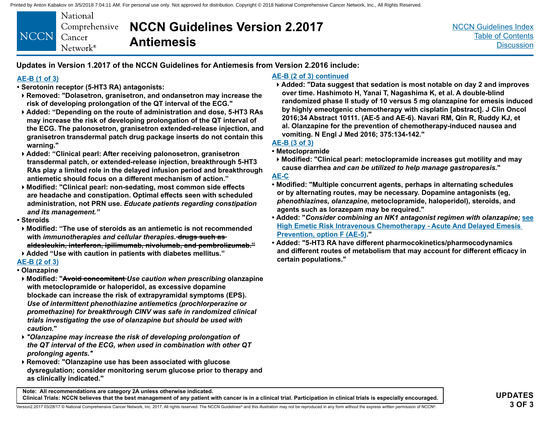| NCCN Cancer | National<br>Network <sup>®</sup> | Comprehensive <b>NCCN Guidelines Version 2.2017</b><br><b>Antiemesis</b> |
|-------------|----------------------------------|--------------------------------------------------------------------------|
|-------------|----------------------------------|--------------------------------------------------------------------------|

[NCCN Guidelines Index](http://nccn.org) [Table of Contents](#page-2-0) **[Discussion](#page-24-0)** 

**Updates in Version 1.2017 of the NCCN Guidelines for Antiemesis from Version 2.2016 include:**

#### **[AE-B \(1 of 3\)](#page-20-0)**

- **Serotonin receptor (5-HT3 RA) antagonists:**
- **Removed: "Dolasetron, granisetron, and ondansetron may increase the risk of developing prolongation of the QT interval of the ECG."**
- **Added: "Depending on the route of administration and dose, 5-HT3 RAs may increase the risk of developing prolongation of the QT interval of the ECG. The palonosetron, granisetron extended-release injection, and granisetron transdermal patch drug package inserts do not contain this warning."**
- **Added: "Clinical pearl: After receiving palonosetron, granisetron transdermal patch, or extended-release injection, breakthrough 5-HT3 RAs play a limited role in the delayed infusion period and breakthrough antiemetic should focus on a different mechanism of action."**
- **Modified: "Clinical pearl: non-sedating, most common side effects are headache and constipation. Optimal effects seen with scheduled administration, not PRN use.** *Educate patients regarding constipation and its management."*
- **Steroids**
- **Modified: "The use of steroids as an antiemetic is not recommended with** *immunotherapies and cellular therapies.* **drugs such as aldesleukin, interferon, ipilimumab, nivolumab, and pembrolizumab."**
- **Added "Use with caution in patients with diabetes mellitus."**

#### **[AE-B \(2 of 3\)](#page-21-0)**

- **Olanzapine**
- **Modified: "Avoid concomitant** *Use caution when prescribing* **olanzapine with metoclopramide or haloperidol, as excessive dopamine blockade can increase the risk of extrapyramidal symptoms (EPS).**  *Use of intermittent phenothiazine antiemetics (prochlorperazine or promethazine) for breakthrough CINV was safe in randomized clinical trials investigating the use of olanzapine but should be used with caution.***"**
- *"Olanzapine may increase the risk of developing prolongation of the QT interval of the ECG, when used in combination with other QT prolonging agents."*
- **Removed: "Olanzapine use has been associated with glucose dysregulation; consider monitoring serum glucose prior to therapy and as clinically indicated."**

#### **[AE-B \(2 of 3\)](#page-21-0) continued**

**Added: "Data suggest that sedation is most notable on day 2 and improves over time. Hashimoto H, Yanai T, Nagashima K, et al. A double-blind randomized phase II study of 10 versus 5 mg olanzapine for emesis induced by highly emeotgenic chemotherapy with cisplatin [abstract]. J Clin Oncol 2016;34 Abstract 10111. (AE-5 and AE-6). Navari RM, Qin R, Ruddy KJ, et al. Olanzapine for the prevention of chemotherapy-induced nausea and vomiting. N Engl J Med 2016; 375:134-142."**

### **[AE-B \(3 of 3\)](#page-22-0)**

- **Metoclopramide**
- **Modified: "Clinical pearl: metoclopramide increases gut motility and may cause diarrhea** *and can be utilized to help manage gastroparesis.***"**

#### **[AE-C](#page-23-0)**

- **Modified: "Multiple concurrent agents, perhaps in alternating schedules or by alternating routes, may be necessary. Dopamine antagonists (eg,**  *phenothiazines, olanzapine***, metoclopramide, haloperidol), steroids, and agents such as lorazepam may be required."**
- **Added: "***Consider combining an NK1 antagonist regimen with olanzapine;* **see [High Emetic Risk Intravenous Chemotherapy - Acute And Delayed Emesis](#page-10-0)  [Prevention, option F \(AE-5\)](#page-10-0)."**
- **Added: "5-HT3 RA have different pharmocokinetics/pharmocodynamics and different routes of metabolism that may account for different efficacy in certain populations."**

**Note: All recommendations are category 2A unless otherwise indicated. Clinical Trials: NCCN believes that the best management of any patient with cancer is in a clinical trial. Participation in clinical trials is especially encouraged.**

Version2.2017 03/28/17 © National Comprehensive Cancer Network, Inc. 2017, All rights reserved. The NCCN Guidelines® and this illustration may not be reproduced in any form without the express written permission of NCCN®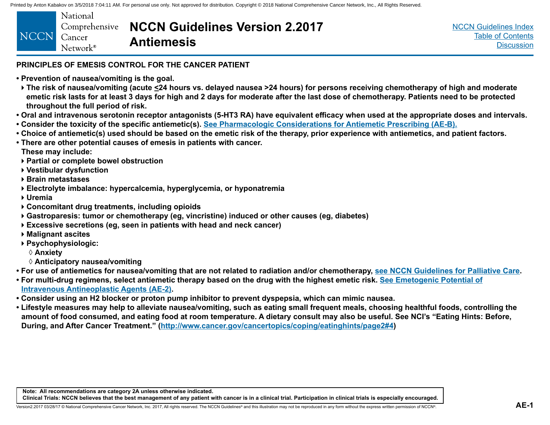<span id="page-6-0"></span>

| NCCN Cancer<br><b>Antiemesis</b><br>Network <sup>®</sup> |  | <b>National</b> | Comprehensive <b>NCCN Guidelines Version 2.2017</b> |
|----------------------------------------------------------|--|-----------------|-----------------------------------------------------|
|----------------------------------------------------------|--|-----------------|-----------------------------------------------------|

[NCCN Guidelines Index](http://nccn.org) [Table of Contents](#page-2-0) **[Discussion](#page-24-0)** 

### **PRINCIPLES OF EMESIS CONTROL FOR THE CANCER PATIENT**

- **Prevention of nausea/vomiting is the goal.**
- **The risk of nausea/vomiting (acute <24 hours vs. delayed nausea >24 hours) for persons receiving chemotherapy of high and moderate emetic risk lasts for at least 3 days for high and 2 days for moderate after the last dose of chemotherapy. Patients need to be protected throughout the full period of risk.**
- **Oral and intravenous serotonin receptor antagonists (5-HT3 RA) have equivalent efficacy when used at the appropriate doses and intervals.**
- **Consider the toxicity of the specific antiemetic(s). [See Pharmacologic Considerations for Antiemetic Prescribing \(AE-B\).](#page-20-0)**
- **Choice of antiemetic(s) used should be based on the emetic risk of the therapy, prior experience with antiemetics, and patient factors.**
- **There are other potential causes of emesis in patients with cancer. These may include:**
- **Partial or complete bowel obstruction**
- **Vestibular dysfunction**
- **Brain metastases**
- **Electrolyte imbalance: hypercalcemia, hyperglycemia, or hyponatremia**
- **Uremia**
- **Concomitant drug treatments, including opioids**
- **Gastroparesis: tumor or chemotherapy (eg, vincristine) induced or other causes (eg, diabetes)**
- **Excessive secretions (eg, seen in patients with head and neck cancer)**
- **Malignant ascites**
- **Psychophysiologic:**
	- ◊ **Anxiety**
	- ◊ **Anticipatory nausea/vomiting**
- **For use of antiemetics for nausea/vomiting that are not related to radiation and/or chemotherapy, [see NCCN Guidelines for Palliative Care](http://www.nccn.org/professionals/physician_gls/pdf/palliative.pdf).**
- **For multi-drug regimens, select antiemetic therapy based on the drug with the highest emetic risk. [See Emetogenic Potential of](#page-7-0) [Intravenous Antineoplastic Agents \(AE-2\).](#page-7-0)**
- **Consider using an H2 blocker or proton pump inhibitor to prevent dyspepsia, which can mimic nausea.**
- **Lifestyle measures may help to alleviate nausea/vomiting, such as eating small frequent meals, choosing healthful foods, controlling the amount of food consumed, and eating food at room temperature. A dietary consult may also be useful. See NCI's "Eating Hints: Before, During, and After Cancer Treatment." ([http://www.cancer.gov/cancertopics/coping/eatinghints/page2#4](http://www.cancer.gov/publications/patient-education/eating-hints#4))**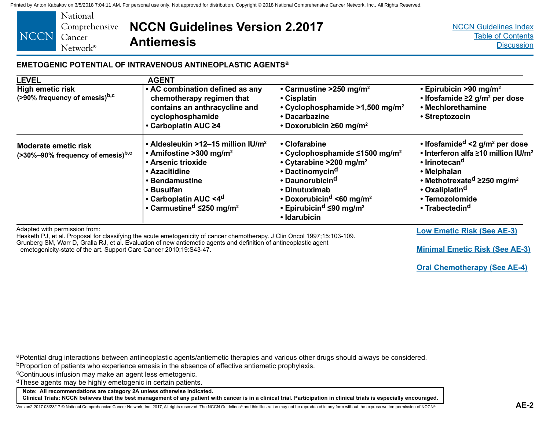<span id="page-7-0"></span>

|             | National             |
|-------------|----------------------|
|             | Comprehensiy         |
| <b>NCCN</b> | Cancer               |
|             | Network <sup>®</sup> |

### **NCCN Guidelines Version 2.2017**  *r*e **Antiemesis**

#### **EMETOGENIC POTENTIAL OF INTRAVENOUS ANTINEOPLASTIC AGENTSa**

| <b>LEVEL</b>                                                          | <b>AGENT</b>                                                                                                                                                                                                                                                 |                                                                                                                                                                                                                                                                                                                       |                                                                                                                                                                                                                                                                                                       |
|-----------------------------------------------------------------------|--------------------------------------------------------------------------------------------------------------------------------------------------------------------------------------------------------------------------------------------------------------|-----------------------------------------------------------------------------------------------------------------------------------------------------------------------------------------------------------------------------------------------------------------------------------------------------------------------|-------------------------------------------------------------------------------------------------------------------------------------------------------------------------------------------------------------------------------------------------------------------------------------------------------|
| <b>High emetic risk</b><br>(>90% frequency of emesis) <sup>b,c</sup>  | • AC combination defined as any<br>chemotherapy regimen that<br>contains an anthracycline and<br>cyclophosphamide<br>• Carboplatin AUC ≥4                                                                                                                    | • Carmustine > 250 mg/m <sup>2</sup><br>• Cisplatin<br>$\cdot$ Cyclophosphamide >1,500 mg/m <sup>2</sup><br>• Dacarbazine<br>• Doxorubicin $\geq 60$ mg/m <sup>2</sup>                                                                                                                                                | $\cdot$ Epirubicin >90 mg/m <sup>2</sup><br>$\cdot$ Ifosfamide $\geq$ 2 g/m <sup>2</sup> per dose<br>• Mechlorethamine<br>• Streptozocin                                                                                                                                                              |
| Moderate emetic risk<br>(>30%-90% frequency of emesis) <sup>b,c</sup> | • Aldesleukin >12–15 million IU/m <sup>2</sup><br>• Amifostine > 300 mg/m <sup>2</sup><br>• Arsenic trioxide<br>• Azacitidine<br>• Bendamustine<br>• Busulfan<br>• Carboplatin AUC <4 <sup>d</sup><br>• Carmustine <sup>d</sup> $\leq$ 250 mg/m <sup>2</sup> | • Clofarabine<br>• Cyclophosphamide $\leq$ 1500 mg/m <sup>2</sup><br>• Cytarabine > 200 mg/m <sup>2</sup><br>• Dactinomycin <sup>d</sup><br>• Daunorubicin <sup>d</sup><br>• Dinutuximab<br>• Doxorubicin <sup>d</sup> <60 mg/m <sup>2</sup><br>• Epirubicin <sup>d</sup> $\leq$ 90 mg/m <sup>2</sup><br>• Idarubicin | $\cdot$ Ifosfamide <sup>d</sup> <2 g/m <sup>2</sup> per dose<br>• Interferon alfa ≥10 million IU/m <sup>2</sup><br>• Irinotecan <sup>d</sup><br>• Melphalan<br>• Methotrexate <sup>d</sup> $\geq$ 250 mg/m <sup>2</sup><br>• Oxaliplatin <sup>d</sup><br>• Temozolomide<br>• Trabectedin <sup>d</sup> |
| Adapted with permission from:                                         |                                                                                                                                                                                                                                                              |                                                                                                                                                                                                                                                                                                                       | <b>Low Emetic Risk (See AE-3)</b>                                                                                                                                                                                                                                                                     |

Hesketh PJ, et al. Proposal for classifying the acute emetogenicity of cancer chemotherapy. J Clin Oncol 1997;15:103-109. Grunberg SM, Warr D, Gralla RJ, et al. Evaluation of new antiemetic agents and definition of antineoplastic agent emetogenicity-state of the art. Support Care Cancer 2010;19:S43-47.

**[Minimal Emetic Risk \(See AE-3\)](#page-8-0)**

**[Oral Chemotherapy \(See AE-4\)](#page-9-0)**

aPotential drug interactions between antineoplastic agents/antiemetic therapies and various other drugs should always be considered.

bProportion of patients who experience emesis in the absence of effective antiemetic prophylaxis.

cContinuous infusion may make an agent less emetogenic.

dThese agents may be highly emetogenic in certain patients.

**Note: All recommendations are category 2A unless otherwise indicated.**

**Clinical Trials: NCCN believes that the best management of any patient with cancer is in a clinical trial. Participation in clinical trials is especially encouraged.**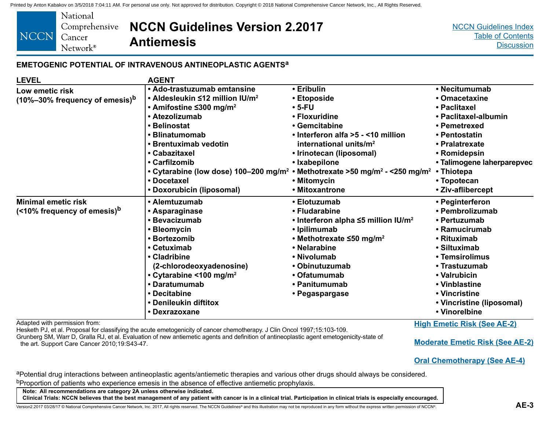| National             |                                                     |
|----------------------|-----------------------------------------------------|
|                      | Comprehensive <b>NCCN Guidelines Version 2.2017</b> |
| Cancer               | <b>Antiemesis</b>                                   |
| Network <sup>®</sup> |                                                     |

[NCCN Guidelines Index](http://nccn.org) [Table of Contents](#page-2-0) **[Discussion](#page-24-0)** 

#### **EMETOGENIC POTENTIAL OF INTRAVENOUS ANTINEOPLASTIC AGENTSa**

| <b>LEVEL</b>                                     | <b>AGENT</b>                                      |                                                               |                            |
|--------------------------------------------------|---------------------------------------------------|---------------------------------------------------------------|----------------------------|
| Low emetic risk                                  | • Ado-trastuzumab emtansine                       | • Eribulin                                                    | • Necitumumab              |
| $(10\% - 30\%$ frequency of emesis) <sup>b</sup> | • Aldesleukin ≤12 million IU/m <sup>2</sup>       | • Etoposide                                                   | • Omacetaxine              |
|                                                  | • Amifostine $\leq$ 300 mg/m <sup>2</sup>         | $\cdot$ 5-FU                                                  | • Paclitaxel               |
|                                                  | • Atezolizumab                                    | • Floxuridine                                                 | • Paclitaxel-albumin       |
|                                                  | • Belinostat                                      | • Gemcitabine                                                 | • Pemetrexed               |
|                                                  | • Blinatumomab                                    | • Interferon alfa > 5 - < 10 million                          | • Pentostatin              |
|                                                  | • Brentuximab vedotin                             | international units/m <sup>2</sup>                            | • Pralatrexate             |
|                                                  | • Cabazitaxel                                     | • Irinotecan (liposomal)                                      | • Romidepsin               |
|                                                  | • Carfilzomib                                     | • Ixabepilone                                                 | • Talimogene laherparepvec |
|                                                  | • Cytarabine (low dose) 100-200 mg/m <sup>2</sup> | • Methotrexate >50 mg/m <sup>2</sup> - <250 mg/m <sup>2</sup> | • Thiotepa                 |
|                                                  | • Docetaxel                                       | • Mitomycin                                                   | • Topotecan                |
|                                                  | • Doxorubicin (liposomal)                         | • Mitoxantrone                                                | • Ziv-aflibercept          |
| <b>Minimal emetic risk</b>                       | • Alemtuzumab                                     | • Elotuzumab                                                  | • Peginterferon            |
| (<10% frequency of emesis) <sup>b</sup>          | • Asparaginase                                    | • Fludarabine                                                 | • Pembrolizumab            |
|                                                  | • Bevacizumab                                     | • Interferon alpha $\leq$ 5 million IU/m <sup>2</sup>         | • Pertuzumab               |
|                                                  | • Bleomycin                                       | • Ipilimumab                                                  | • Ramucirumab              |
|                                                  | • Bortezomib                                      | • Methotrexate $\leq 50$ mg/m <sup>2</sup>                    | • Rituximab                |
|                                                  | • Cetuximab                                       | • Nelarabine                                                  | • Siltuximab               |
|                                                  | • Cladribine                                      | • Nivolumab                                                   | • Temsirolimus             |
|                                                  | (2-chlorodeoxyadenosine)                          | • Obinutuzumab                                                | • Trastuzumab              |
|                                                  | • Cytarabine < 100 mg/m <sup>2</sup>              | • Ofatumumab                                                  | • Valrubicin               |
|                                                  | • Daratumumab                                     | • Panitumumab                                                 | • Vinblastine              |
|                                                  | • Decitabine                                      | • Pegaspargase                                                | • Vincristine              |
|                                                  | • Denileukin diftitox                             |                                                               | • Vincristine (liposomal)  |
|                                                  | • Dexrazoxane                                     |                                                               | • Vinorelbine              |

Adapted with permission from:

<span id="page-8-0"></span>**NCCN** 

Hesketh PJ, et al. Proposal for classifying the acute emetogenicity of cancer chemotherapy. J Clin Oncol 1997;15:103-109. Grunberg SM, Warr D, Gralla RJ, et al. Evaluation of new antiemetic agents and definition of antineoplastic agent emetogenicity-state of the art. Support Care Cancer 2010;19:S43-47.

**[Moderate Emetic Risk \(See AE-2\)](#page-7-0)**

**[High Emetic Risk \(See AE-2\)](#page-7-0)**

**[Oral Chemotherapy \(See AE-4\)](#page-9-0)**

aPotential drug interactions between antineoplastic agents/antiemetic therapies and various other drugs should always be considered. bProportion of patients who experience emesis in the absence of effective antiemetic prophylaxis.

**Note: All recommendations are category 2A unless otherwise indicated.**

**Clinical Trials: NCCN believes that the best management of any patient with cancer is in a clinical trial. Participation in clinical trials is especially encouraged.**

L<br>Nersion2.2017 03/28/17 © National Comprehensive Cancer Network, Inc. 2017, All rights reserved. The NCCN Guidelines® and this illustration may not be reproduced in any form without the express written permission of NCCN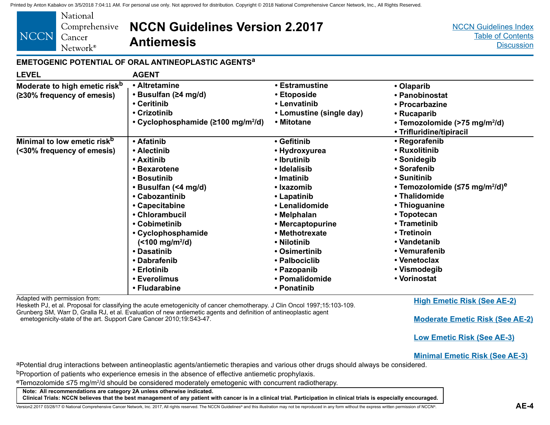<span id="page-9-0"></span>

| National<br>Comprehensive<br><b>NCCN</b><br>Cancer<br>Network <sup>®</sup> | <b>NCCN Guidelines Version 2.2017</b><br><b>Antiemesis</b>                                                                                                                                                                                                                                  |                                                                                                                                                                                                                                                                 | <b>NCCN Guidelines Index</b><br><b>Table of Contents</b><br><b>Discussion</b>                                                                                                                                                                                                                                 |
|----------------------------------------------------------------------------|---------------------------------------------------------------------------------------------------------------------------------------------------------------------------------------------------------------------------------------------------------------------------------------------|-----------------------------------------------------------------------------------------------------------------------------------------------------------------------------------------------------------------------------------------------------------------|---------------------------------------------------------------------------------------------------------------------------------------------------------------------------------------------------------------------------------------------------------------------------------------------------------------|
|                                                                            | EMETOGENIC POTENTIAL OF ORAL ANTINEOPLASTIC AGENTS <sup>a</sup>                                                                                                                                                                                                                             |                                                                                                                                                                                                                                                                 |                                                                                                                                                                                                                                                                                                               |
| <b>LEVEL</b>                                                               | <b>AGENT</b>                                                                                                                                                                                                                                                                                |                                                                                                                                                                                                                                                                 |                                                                                                                                                                                                                                                                                                               |
| Moderate to high emetic risk <sup>b</sup><br>(≥30% frequency of emesis)    | • Altretamine<br>• Busulfan (≥4 mg/d)<br>• Ceritinib<br>• Crizotinib<br>• Cyclophosphamide ( $\geq 100$ mg/m <sup>2</sup> /d)                                                                                                                                                               | • Estramustine<br>• Etoposide<br>• Lenvatinib<br>• Lomustine (single day)<br>• Mitotane                                                                                                                                                                         | • Olaparib<br>• Panobinostat<br>• Procarbazine<br>• Rucaparib<br>• Temozolomide (>75 mg/m <sup>2</sup> /d)<br>• Trifluridine/tipiracil                                                                                                                                                                        |
| Minimal to low emetic risk <sup>b</sup><br>(<30% frequency of emesis)      | • Afatinib<br>• Alectinib<br>• Axitinib<br>• Bexarotene<br>• Bosutinib<br>• Busulfan (<4 mg/d)<br>• Cabozantinib<br>• Capecitabine<br>• Chlorambucil<br>• Cobimetinib<br>• Cyclophosphamide<br>$($ <100 mg/m <sup>2</sup> /d)<br>• Dasatinib<br>• Dabrafenib<br>• Erlotinib<br>• Everolimus | • Gefitinib<br>• Hydroxyurea<br>• Ibrutinib<br>• Idelalisib<br>• Imatinib<br>• Ixazomib<br>• Lapatinib<br>• Lenalidomide<br>• Melphalan<br>• Mercaptopurine<br>• Methotrexate<br>• Nilotinib<br>• Osimertinib<br>• Palbociclib<br>• Pazopanib<br>• Pomalidomide | • Regorafenib<br>• Ruxolitinib<br>• Sonidegib<br>• Sorafenib<br>• Sunitinib<br>• Temozolomide ( $\leq$ 75 mg/m <sup>2</sup> /d) <sup>e</sup><br>• Thalidomide<br>• Thioguanine<br>• Topotecan<br>• Trametinib<br>• Tretinoin<br>• Vandetanib<br>• Vemurafenib<br>• Venetoclax<br>• Vismodegib<br>• Vorinostat |

**• Ponatinib**

Adapted with permission from:

Hesketh PJ, et al. Proposal for classifying the acute emetogenicity of cancer chemotherapy. J Clin Oncol 1997;15:103-109. Grunberg SM, Warr D, Gralla RJ, et al. Evaluation of new antiemetic agents and definition of antineoplastic agent emetogenicity-state of the art. Support Care Cancer 2010;19:S43-47.

**[High Emetic Risk \(See AE-2\)](#page-7-0)**

**[Moderate Emetic Risk \(See AE-2\)](#page-7-0)**

**[Low Emetic Risk \(See AE-3\)](#page-8-0)**

**[Minimal Emetic Risk \(See AE-3\)](#page-8-0)**

aPotential drug interactions between antineoplastic agents/antiemetic therapies and various other drugs should always be considered.

bProportion of patients who experience emesis in the absence of effective antiemetic prophylaxis.

**• Fludarabine**

<sup>e</sup>Temozolomide ≤75 mg/m<sup>2</sup>/d should be considered moderately emetogenic with concurrent radiotherapy.

**Note: All recommendations are category 2A unless otherwise indicated.**

**Clinical Trials: NCCN believes that the best management of any patient with cancer is in a clinical trial. Participation in clinical trials is especially encouraged.**

Version2.2017 03/28/17 © National Comprehensive Cancer Network, Inc. 2017, All rights reserved. The NCCN Guidelines® and this illustration may not be reproduced in any form without the express written permission of NCCN®.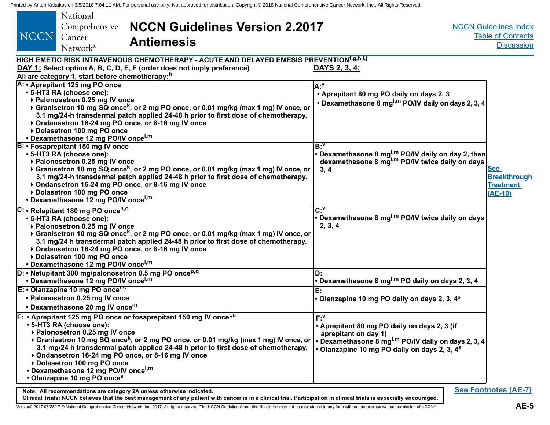<span id="page-10-0"></span>

| National<br><b>NCCN Guidelines Version 2.2017</b><br>Comprehensive<br>NCCN<br>Cancer<br><b>Antiemesis</b><br>Network <sup>®</sup>                                                                                                                                                                                                                                                                                                                                                                                        |                                                                                                                                                                                                                    | <b>NCCN Guidelines Index</b><br><b>Table of Contents</b><br><b>Discussion</b> |
|--------------------------------------------------------------------------------------------------------------------------------------------------------------------------------------------------------------------------------------------------------------------------------------------------------------------------------------------------------------------------------------------------------------------------------------------------------------------------------------------------------------------------|--------------------------------------------------------------------------------------------------------------------------------------------------------------------------------------------------------------------|-------------------------------------------------------------------------------|
| HIGH EMETIC RISK INTRAVENOUS CHEMOTHERAPY - ACUTE AND DELAYED EMESIS PREVENTION <sup>f,g,h,i,j</sup><br>DAY 1: Select option A, B, C, D, E, F (order does not imply preference)                                                                                                                                                                                                                                                                                                                                          | <u>DAYS 2, 3, 4:</u>                                                                                                                                                                                               |                                                                               |
| All are category 1, start before chemotherapy: <sup>h</sup>                                                                                                                                                                                                                                                                                                                                                                                                                                                              |                                                                                                                                                                                                                    |                                                                               |
| A: • Aprepitant 125 mg PO once<br>• 5-HT3 RA (choose one):<br>▶ Palonosetron 0.25 mg IV once<br>▶ Granisetron 10 mg SQ once <sup>k</sup> , or 2 mg PO once, or 0.01 mg/kg (max 1 mg) IV once, or<br>3.1 mg/24-h transdermal patch applied 24-48 h prior to first dose of chemotherapy.<br>▶ Ondansetron 16-24 mg PO once, or 8-16 mg IV once<br>Dolasetron 100 mg PO once<br>• Dexamethasone 12 mg PO/IV once <sup>l,m</sup>                                                                                             | la:"<br>• Aprepitant 80 mg PO daily on days 2, 3<br>• Dexamethasone 8 mg <sup>l,m</sup> PO/IV daily on days 2, 3, 4                                                                                                |                                                                               |
| <b>B: • Fosaprepitant 150 mg IV once</b><br>• 5-HT3 RA (choose one):<br>▶ Palonosetron 0.25 mg IV once<br>▶ Granisetron 10 mg SQ once <sup>k</sup> , or 2 mg PO once, or 0.01 mg/kg (max 1 mg) IV once, or<br>3.1 mg/24-h transdermal patch applied 24-48 h prior to first dose of chemotherapy.<br>▶ Ondansetron 16-24 mg PO once, or 8-16 mg IV once<br>Dolasetron 100 mg PO once<br>• Dexamethasone 12 mg PO/IV once <sup>l,m</sup>                                                                                   | $B^V$<br>• Dexamethasone 8 mg <sup>l,m</sup> PO/IV daily on day 2, then<br>dexamethasone 8 mg <sup>l,m</sup> PO/IV twice daily on days<br>3, 4                                                                     | <b>See</b><br><b>Breakthrough</b><br><b>Treatment</b><br>$(AE-10)$            |
| C: • Rolapitant 180 mg PO once <sup>n,o</sup><br>• 5-HT3 RA (choose one):<br>▶ Palonosetron 0.25 mg IV once<br>▶ Granisetron 10 mg SQ once <sup>k</sup> , or 2 mg PO once, or 0.01 mg/kg (max 1 mg) IV once, or<br>3.1 mg/24 h transdermal patch applied 24-48 h prior to first dose of chemotherapy.<br>▶ Ondansetron 16-24 mg PO once, or 8-16 mg IV once<br>Dolasetron 100 mg PO once<br>• Dexamethasone 12 mg PO/IV once <sup>l,m</sup>                                                                              | $\overline{C:Y}$<br>• Dexamethasone 8 mg <sup>l,m</sup> PO/IV twice daily on days<br>2, 3, 4                                                                                                                       |                                                                               |
| $D:$ • Netupitant 300 mg/palonosetron 0.5 mg PO once <sup>p,q</sup><br>• Dexamethasone 12 mg PO/IV once <sup>l,m</sup>                                                                                                                                                                                                                                                                                                                                                                                                   | D.<br>• Dexamethasone 8 mg <sup>l,m</sup> PO daily on days 2, 3, 4                                                                                                                                                 |                                                                               |
| $E: O$ lanzapine 10 mg PO once <sup>r,s</sup><br>• Palonosetron 0.25 mg IV once<br>• Dexamethasone 20 mg IV once <sup>m</sup>                                                                                                                                                                                                                                                                                                                                                                                            | E:<br>• Olanzapine 10 mg PO daily on days 2, 3, 4 <sup>s</sup>                                                                                                                                                     |                                                                               |
| F: • Aprepitant 125 mg PO once or fosaprepitant 150 mg IV once <sup>t,u</sup><br>• 5-HT3 RA (choose one):<br>▶ Palonosetron 0.25 mg IV once<br>▶ Granisetron 10 mg SQ once <sup>k</sup> , or 2 mg PO once, or 0.01 mg/kg (max 1 mg) IV once, or<br>3.1 mg/24 h transdermal patch applied 24-48 h prior to first dose of chemotherapy.<br>▶ Ondansetron 16-24 mg PO once, or 8-16 mg IV once<br>▶ Dolasetron 100 mg PO once<br>• Dexamethasone 12 mg PO/IV once <sup>l,m</sup><br>• Olanzapine 10 mg PO once <sup>s</sup> | $F \cdot Y$<br>• Aprepitant 80 mg PO daily on days 2, 3 (if<br>aprepitant on day 1)<br>• Dexamethasone 8 mg <sup>l,m</sup> PO/IV daily on days 2, 3, 4<br>• Olanzapine 10 mg PO daily on days 2, 3, 4 <sup>s</sup> |                                                                               |
| Note: All recommendations are category 2A unless otherwise indicated.                                                                                                                                                                                                                                                                                                                                                                                                                                                    |                                                                                                                                                                                                                    | <b>See Footnotes (AE-7)</b>                                                   |

**Clinical Trials: NCCN believes that the best management of any patient with cancer is in a clinical trial. Participation in clinical trials is especially encouraged.** Version2.2017 03/28/17 © National Comprehensive Cancer Network, Inc. 2017, All rights reserved. The NCCN Guidelines® and this illustration may not be reproduced in any form without the express written permission of NCCN®.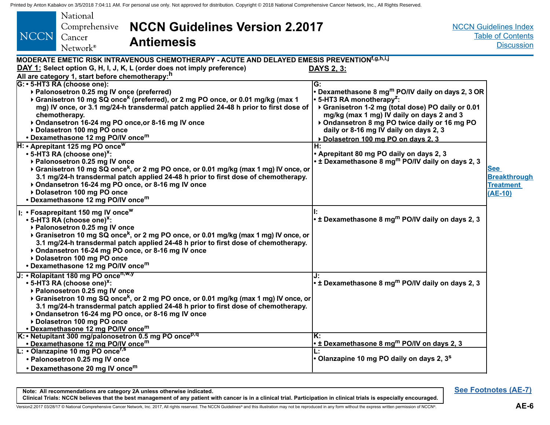<span id="page-11-0"></span>

| inied by Anion Nabakov on 3/5/2016 7:04:11 AM. For personal use only. Not approved tor distribution. Copyright © 2018 National Comprehensive Cancer Network, Inc., All Rights Reserved.<br>National<br><b>NCCN Guidelines Version 2.2017</b><br>Comprehensive<br>NCCN<br>Cancer<br><b>Antiemesis</b><br>Network <sup>®</sup>                                                                                                                                                                                                                                                                                                                                                                                                                                         |                                                                                                                                                                                                                                                                                                                                                                                                                              | <b>NCCN Guidelines Index</b><br><b>Table of Contents</b><br><b>Discussion</b> |
|----------------------------------------------------------------------------------------------------------------------------------------------------------------------------------------------------------------------------------------------------------------------------------------------------------------------------------------------------------------------------------------------------------------------------------------------------------------------------------------------------------------------------------------------------------------------------------------------------------------------------------------------------------------------------------------------------------------------------------------------------------------------|------------------------------------------------------------------------------------------------------------------------------------------------------------------------------------------------------------------------------------------------------------------------------------------------------------------------------------------------------------------------------------------------------------------------------|-------------------------------------------------------------------------------|
| MODERATE EMETIC RISK INTRAVENOUS CHEMOTHERAPY - ACUTE AND DELAYED EMESIS PREVENTION <sup>f,g,h,i,j</sup><br>DAY 1: Select option G, H, I, J, K, L (order does not imply preference)<br>All are category 1, start before chemotherapy: <sup>h</sup><br>G: • 5-HT3 RA (choose one):<br>▶ Palonosetron 0.25 mg IV once (preferred)<br>▶ Granisetron 10 mg SQ once <sup>k</sup> (preferred), or 2 mg PO once, or 0.01 mg/kg (max 1<br>mg) IV once, or 3.1 mg/24-h transdermal patch applied 24-48 h prior to first dose of<br>chemotherapy.<br>▶ Ondansetron 16-24 mg PO once, or 8-16 mg IV once<br>Dolasetron 100 mg PO once<br>• Dexamethasone 12 mg PO/IV once <sup>m</sup><br>H: • Aprepitant 125 mg PO once <sup>w</sup><br>• 5-HT3 RA (choose one) <sup>x</sup> : | <b>DAYS 2, 3:</b><br>G:<br>• Dexamethasone 8 mg <sup>m</sup> PO/IV daily on days 2, 3 OR<br>$\cdot$ 5-HT3 RA monotherapy <sup>z</sup> :<br>▶ Granisetron 1-2 mg (total dose) PO daily or 0.01<br>mg/kg (max 1 mg) IV daily on days 2 and 3<br>▶ Ondansetron 8 mg PO twice daily or 16 mg PO<br>daily or 8-16 mg IV daily on days 2, 3<br>Dolasetron 100 mg PO on days 2, 3<br>H:<br>• Aprepitant 80 mg PO daily on days 2, 3 |                                                                               |
| ▶ Palonosetron 0.25 mg IV once<br>▶ Granisetron 10 mg SQ once <sup>k</sup> , or 2 mg PO once, or 0.01 mg/kg (max 1 mg) IV once, or<br>3.1 mg/24-h transdermal patch applied 24-48 h prior to first dose of chemotherapy.<br>▶ Ondansetron 16-24 mg PO once, or 8-16 mg IV once<br>Dolasetron 100 mg PO once<br>• Dexamethasone 12 mg PO/IV once <sup>m</sup><br>I: • Fosaprepitant 150 mg IV once <sup>w</sup><br>$\cdot$ 5-HT3 RA (choose one) <sup>x</sup> :<br>▶ Palonosetron 0.25 mg IV once<br>▶ Granisetron 10 mg SQ once <sup>k</sup> , or 2 mg PO once, or 0.01 mg/kg (max 1 mg) IV once, or<br>3.1 mg/24-h transdermal patch applied 24-48 h prior to first dose of chemotherapy.<br>▶ Ondansetron 16-24 mg PO once, or 8-16 mg IV once                     | • ± Dexamethasone 8 mg <sup>m</sup> PO/IV daily on days 2, 3<br>•± Dexamethasone 8 mg <sup>m</sup> PO/IV daily on days 2, 3                                                                                                                                                                                                                                                                                                  | <b>See</b><br><b>Breakthrough</b><br><b>Treatment</b><br>$(AE-10)$            |
| Dolasetron 100 mg PO once<br>• Dexamethasone 12 mg PO/IV once <sup>m</sup><br>J: • Rolapitant 180 mg PO once <sup>n,w,y</sup><br>• 5-HT3 RA (choose one) <sup>x</sup> :<br>▶ Palonosetron 0.25 mg IV once<br>▶ Granisetron 10 mg SQ once <sup>k</sup> , or 2 mg PO once, or 0.01 mg/kg (max 1 mg) IV once, or<br>3.1 mg/24-h transdermal patch applied 24-48 h prior to first dose of chemotherapy.<br>▶ Ondansetron 16-24 mg PO once, or 8-16 mg IV once<br>Dolasetron 100 mg PO once<br>• Dexamethasone 12 mg PO/IV once <sup>m</sup>                                                                                                                                                                                                                              | •± Dexamethasone 8 mg <sup>m</sup> PO/IV daily on days 2, 3                                                                                                                                                                                                                                                                                                                                                                  |                                                                               |
| $K:$ Netupitant 300 mg/palonosetron 0.5 mg PO once <sup>p,q</sup><br>• Dexamethasone 12 mg PO/IV once <sup>m</sup><br>L: • Olanzapine 10 mg PO once <sup>r,s</sup><br>• Palonosetron 0.25 mg IV once<br>• Dexamethasone 20 mg IV once <sup>m</sup>                                                                                                                                                                                                                                                                                                                                                                                                                                                                                                                   | lK:<br>• ± Dexamethasone 8 mg <sup>m</sup> PO/IV on days 2, 3<br>• Olanzapine 10 mg PO daily on days 2, 3 <sup>s</sup>                                                                                                                                                                                                                                                                                                       |                                                                               |

**Note: All recommendations are category 2A unless otherwise indicated. Clinical Trials: NCCN believes that the best management of any patient with cancer is in a clinical trial. Participation in clinical trials is especially encouraged.** **[See Footnotes \(AE-7\)](#page-12-0)**

Version2.2017 03/28/17 © National Comprehensive Cancer Network, Inc. 2017, All rights reserved. The NCCN Guidelines® and this illustration may not be reproduced in any form without the express written permission of NCCN®.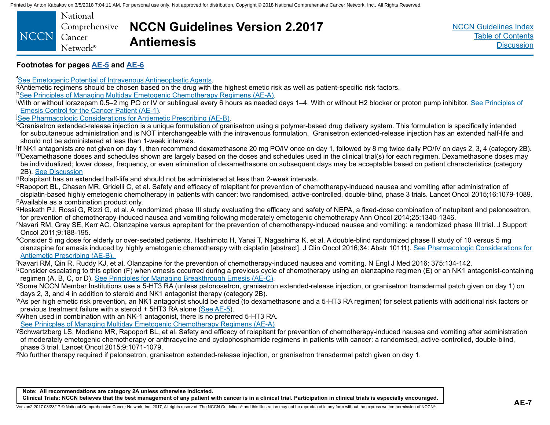<span id="page-12-0"></span>

| National             |                                                     |
|----------------------|-----------------------------------------------------|
|                      | Comprehensive <b>NCCN Guidelines Version 2.2017</b> |
| NCCN Cancer          |                                                     |
| Network <sup>®</sup> | <b>Antiemesis</b>                                   |
|                      |                                                     |

#### **Footnotes for pages [AE-5](#page-10-0) and [AE-6](#page-11-0)**

<sup>f</sup>See Emetogenic Potential of Intravenous Antineoplastic Agents.

9Antiemetic regimens should be chosen based on the drug with the highest emetic risk as well as patient-specific risk factors.

h[See Principles of Managing Multiday Emetogenic Chemotherapy Regimens \(AE-A\)](#page-18-0).

With or without lorazepam 0.5–2 mg PO or IV or sublingual every 6 hours as needed days 1–4. With or without H2 blocker or proton pump inhibitor. [See Principles of](#page-6-0) Emesis Control for the Cancer Patient (AE-1).

**See Pharmacologic Considerations for Antiemetic Prescribing (AE-B).** 

kGranisetron extended-release injection is a unique formulation of granisetron using a polymer-based drug delivery system. This formulation is specifically intended for subcutaneous administration and is NOT interchangeable with the intravenous formulation. Granisetron extended-release injection has an extended half-life and should not be administered at less than 1-week intervals.

<sup>I</sup>If NK1 antagonists are not given on day 1, then recommend dexamethasone 20 mg PO/IV once on day 1, followed by 8 mg twice daily PO/IV on days 2, 3, 4 (category 2B). mDexamethasone doses and schedules shown are largely based on the doses and schedules used in the clinical trial(s) for each regimen. Dexamethasone doses may be individualized; lower doses, frequency, or even elimination of dexamethasone on subsequent days may be acceptable based on patient characteristics (category 2B). <u>See Discussion</u><br><sup>n</sup>Rolapitant has an extended half-life and should not be administered at less than 2-week intervals.

<sup>o</sup>Rapoport BL, Chasen MR, Gridelli C, et al. Safety and efficacy of rolapitant for prevention of chemotherapy-induced nausea and vomiting after administration of cisplatin-based highly emetogenic chemotherapy in patients with cancer: two randomised, active-controlled, double-blind, phase 3 trials. Lancet Oncol 2015;16:1079-1089. pAvailable as a combination product only.

qHesketh PJ, Rossi G, Rizzi G, et al. A randomized phase III study evaluating the efficacy and safety of NEPA, a fixed-dose combination of netupitant and palonosetron, for prevention of chemotherapy-induced nausea and vomiting following moderately emetogenic chemotherapy Ann Oncol 2014;25:1340-1346.

r Navari RM, Gray SE, Kerr AC. Olanzapine versus aprepitant for the prevention of chemotherapy-induced nausea and vomiting: a randomized phase III trial. J Support Oncol 2011;9:188-195.

sConsider 5 mg dose for elderly or over-sedated patients. Hashimoto H, Yanai T, Nagashima K, et al. A double-blind randomized phase II study of 10 versus 5 mg olanzapine for emesis induced by highly emetogenic chemotherapy with cisplatin [abstract]. J Clin Oncol 2016;34: Abstr 10111). [See Pharmacologic Considerations for](#page-20-0)  [Antiemetic Prescribing \(AE-B\).](#page-20-0)

<sup>t</sup>Navari RM, Qin R, Ruddy KJ, et al. Olanzapine for the prevention of chemotherapy-induced nausea and vomiting. N Engl J Med 2016; 375:134-142.

<sup>u</sup>Consider escalating to this option (F) when emesis occurred during a previous cycle of chemotherapy using an olanzapine regimen (E) or an NK1 antagonist-containing<br>regimen (A, B, C, or D). <u>See Principles for Managing B</u>

VSome NCCN Member Institutions use a 5-HT3 RA (unless palonosetron, granisetron extended-release injection, or granisetron transdermal patch given on day 1) on days 2, 3, and 4 in addition to steroid and NK1 antagonist therapy (category 2B).

wAs per high emetic risk prevention, an NK1 antagonist should be added (to dexamethasone and a 5-HT3 RA regimen) for select patients with additional risk factors or previous treatment failure with a steroid + 5HT3 RA alone [\(See AE-5](#page-10-0)).<br>When used in combination with an NK-1 antagonist, there is no preferred 5-HT3 RA.

[See Prinicples of Managing Multiday Emetogenic Chemotherapy Regimens \(AE-A\)](#page-18-0)

ySchwartzberg LS, Modiano MR, Rapoport BL, et al. Safety and efficacy of rolapitant for prevention of chemotherapy-induced nausea and vomiting after administration of moderately emetogenic chemotherapy or anthracycline and cyclophosphamide regimens in patients with cancer: a randomised, active-controlled, double-blind, phase 3 trial. Lancet Oncol 2015;9:1071-1079.

zNo further therapy required if palonsetron, granisetron extended-release injection, or granisetron transdermal patch given on day 1.

Version2.2017 03/28/17 © National Comprehensive Cancer Network, Inc. 2017, All rights reserved. The NCCN Guidelines® and this illustration may not be reproduced in any form without the express written permission of NCCN®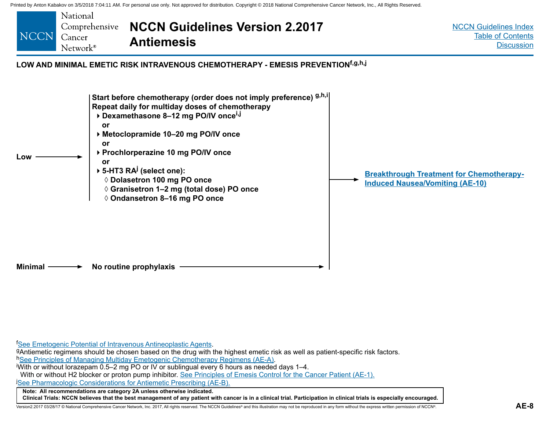<span id="page-13-0"></span>

<sup>f</sup>See Emetogenic Potential of Intravenous Antineoplastic Agents.

9Antiemetic re[g](#page-8-0)imens should be chosen based on the drug with the highest emetic risk as well as patient-specific risk factors. h[See Principles of Managing Multiday Emetogenic Chemotherapy Regimens \(AE-A\)](#page-18-0).

With or without lorazepam 0.5–2 mg PO or IV or sublingual every 6 hours as needed days 1–4.

With or without H2 blocker or proton pump inhibitor. [See Principles of Emesis Control for the Cancer Patient \(AE-1\).](#page-6-0)

j [See Pharmacologic Considerations for Antiemetic Prescribing \(AE-B\).](#page-20-0)

**Note: All recommendations are category 2A unless otherwise indicated.**

**Clinical Trials: NCCN believes that the best management of any patient with cancer is in a clinical trial. Participation in clinical trials is especially encouraged.**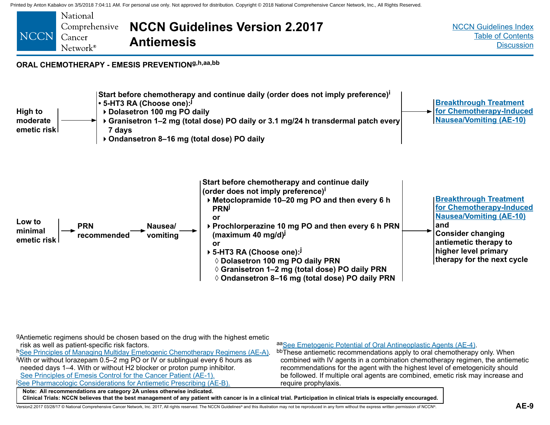<span id="page-14-0"></span>

gAntiemetic regimens should be chosen based on the drug with the highest emetic risk as well as patient-specific risk factors.

**Note: All recommendations are category 2A unless otherwise indicated. Clinical Trials: NCCN believes that the best management of any patient with cancer is in a clinical trial. Participation in clinical trials is especially encouraged.** h[See Principles of Managing Multiday Emetogenic Chemotherapy Regimens \(AE-A\).](#page-18-0) With or without lorazepam 0.5–2 mg PO or IV or sublingual every 6 hours as needed days 1–4. With or without H2 blocker or proton pump inhibitor. [See Principles of Emesis Control for the Cancer Patient \(AE-1\).](#page-6-0) [See Pharmacologic Considerations for Antiemetic Prescribing \(AE-B\).](#page-20-0) a[aSee Emetogenic Potential of Oral Antineoplastic Agents \(AE-4\).](#page-9-0)<br>bbThese antiemetic recommendations apply to oral chemotherapy only. When combined with IV agents in a combination chemotherapy regimen, the antiemetic recommendations for the agent with the highest level of emetogenicity should be followed. If multiple oral agents are combined, emetic risk may increase and require prophylaxis.

Version2.2017 03/28/17 © National Comprehensive Cancer Network, Inc. 2017, All rights reserved. The NCCN Guidelines® and this illustration may not be reproduced in any form without the express written permission of NCCN®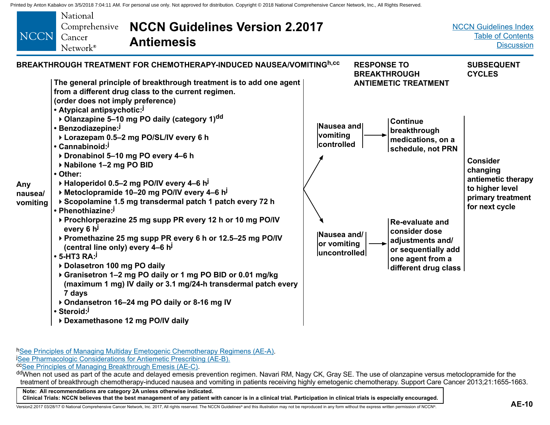<span id="page-15-0"></span>

h[See Principles of Managing Multiday Emetogenic Chemotherapy Regimens \(AE-A\)](#page-18-0). **[See Pharmacologic Considerations for Antiemetic Prescribing \(AE-B\).](#page-20-0)**<br> **CCSee Principles of Managing Breakthrough Emesis (AE-C).** 

ddWhen not used as part of the acute and delayed emesis prevention regimen. Navari RM, Nagy CK, Gray SE. The use of olanzapine versus metoclopramide for the treatment of breakthrough chemotherapy-induced nausea and vomiting in patients receiving highly emetogenic chemotherapy. Support Care Cancer 2013;21:1655-1663.

**Note: All recommendations are category 2A unless otherwise indicated. Clinical Trials: NCCN believes that the best management of any patient with cancer is in a clinical trial. Participation in clinical trials is especially encouraged.**

Version2.2017 03/28/17 © National Comprehensive Cancer Network, Inc. 2017, All rights reserved. The NCCN Guidelines® and this illustration may not be reproduced in any form without the express written permission of NCCN®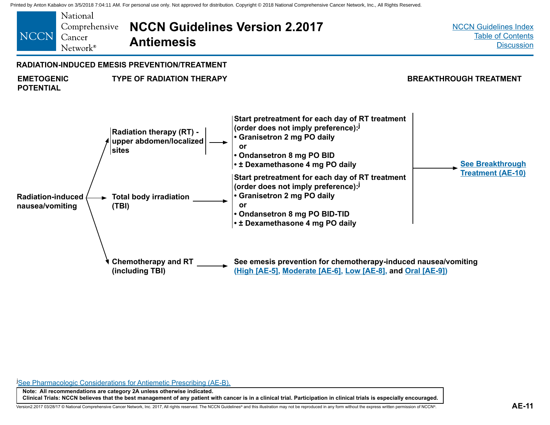<span id="page-16-0"></span>

**[See Pharmacologic Considerations for Antiemetic Prescribing \(AE-B\).](#page-20-0)** 

**Note: All recommendations are category 2A unless otherwise indicated. Clinical Trials: NCCN believes that the best management of any patient with cancer is in a clinical trial. Participation in clinical trials is especially encouraged.**

Version2.2017 03/28/17 © National Comprehensive Cancer Network, Inc. 2017, All rights reserved. The NCCN Guidelines® and this illustration may not be reproduced in any form without the express written permission of NCCN®.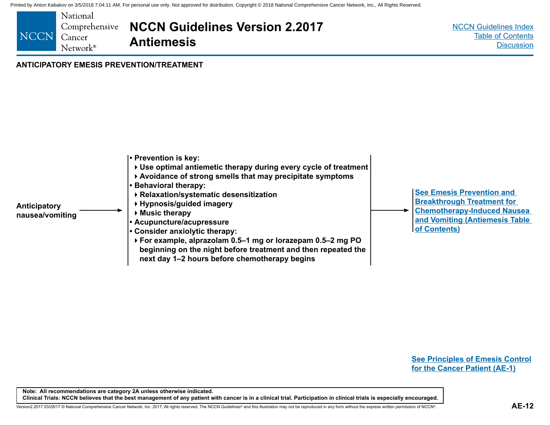<span id="page-17-0"></span>

#### **ANTICIPATORY EMESIS PREVENTION/TREATMENT**



**[See Principles of Emesis Control](#page-6-0)  [for the Cancer Patient \(AE-1\)](#page-6-0)**

**Note: All recommendations are category 2A unless otherwise indicated. Clinical Trials: NCCN believes that the best management of any patient with cancer is in a clinical trial. Participation in clinical trials is especially encouraged.**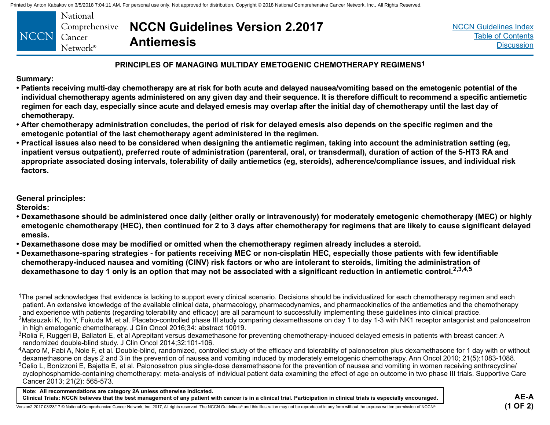<span id="page-18-0"></span>

|                   | National                      | Comprehensive <b>NCCN Guidelines Version 2.2017</b> |
|-------------------|-------------------------------|-----------------------------------------------------|
| NCCN <sub>1</sub> | ⊿ Cancer<br>$Network^{\circ}$ | <b>Antiemesis</b>                                   |

[NCCN Guidelines Index](http://nccn.org) [Table of Contents](#page-2-0) **[Discussion](#page-24-0)** 

#### **PRINCIPLES OF MANAGING MULTIDAY EMETOGENIC CHEMOTHERAPY REGIMENS1**

**Summary:**

- **Patients receiving multi-day chemotherapy are at risk for both acute and delayed nausea/vomiting based on the emetogenic potential of the individual chemotherapy agents administered on any given day and their sequence. It is therefore difficult to recommend a specific antiemetic regimen for each day, especially since acute and delayed emesis may overlap after the initial day of chemotherapy until the last day of chemotherapy.**
- **After chemotherapy administration concludes, the period of risk for delayed emesis also depends on the specific regimen and the emetogenic potential of the last chemotherapy agent administered in the regimen.**
- **Practical issues also need to be considered when designing the antiemetic regimen, taking into account the administration setting (eg, inpatient versus outpatient), preferred route of administration (parenteral, oral, or transdermal), duration of action of the 5-HT3 RA and appropriate associated dosing intervals, tolerability of daily antiemetics (eg, steroids), adherence/compliance issues, and individual risk factors.**

**General principles:**

**Steroids:**

- **Dexamethasone should be administered once daily (either orally or intravenously) for moderately emetogenic chemotherapy (MEC) or highly emetogenic chemotherapy (HEC), then continued for 2 to 3 days after chemotherapy for regimens that are likely to cause significant delayed emesis.**
- **Dexamethasone dose may be modified or omitted when the chemotherapy regimen already includes a steroid.**
- **Dexamethasone-sparing strategies for patients receiving MEC or non-cisplatin HEC, especially those patients with few identifiable chemotherapy-induced nausea and vomiting (CINV) risk factors or who are intolerant to steroids, limiting the administration of dexamethasone to day 1 only is an option that may not be associated with a significant reduction in antiemetic control.2,3,4,5**

**Note: All recommendations are category 2A unless otherwise indicated. Clinical Trials: NCCN believes that the best management of any patient with cancer is in a clinical trial. Participation in clinical trials is especially encouraged.**

<sup>&</sup>lt;sup>1</sup>The panel acknowledges that evidence is lacking to support every clinical scenario. Decisions should be individualized for each chemotherapy regimen and each patient. An extensive knowledge of the available clinical data, pharmacology, pharmacodynamics, and pharmacokinetics of the antiemetics and the chemotherapy and experience with patients (regarding tolerability and efficacy) are all paramount to successfully implementing these guidelines into clinical practice.

<sup>2</sup>Matsuzaki K, Ito Y, Fukuda M, et al. Placebo-controlled phase III study comparing dexamethasone on day 1 to day 1-3 with NK1 receptor antagonist and palonosetron in high emetogenic chemotherapy. J Clin Oncol 2016;34: abstract 10019.

<sup>&</sup>lt;sup>3</sup>Rolia F, Ruggeri B, Ballatori E, et al Aprepitant versus dexamethasone for preventing chemotherapy-induced delayed emesis in patients with breast cancer: A randomized double-blind study. J Clin Oncol 2014;32:101-106.

<sup>4</sup>Aapro M, Fabi A, Nole F, et al. Double-blind, randomized, controlled study of the efficacy and tolerability of palonosetron plus dexamethasone for 1 day with or without dexamethasone on days 2 and 3 in the prevention of nausea and vomiting induced by moderately emetogenic chemotherapy. Ann Oncol 2010; 21(5):1083-1088.

<sup>&</sup>lt;sup>5</sup>Celio L, Bonizzoni E, Bajetta E, et al. Palonosetron plus single-dose dexamethasone for the prevention of nausea and vomiting in women receiving anthracycline/ cyclophosphamide-containing chemotherapy: meta-analysis of individual patient data examining the effect of age on outcome in two phase III trials. Supportive Care Cancer 2013; 21(2): 565-573.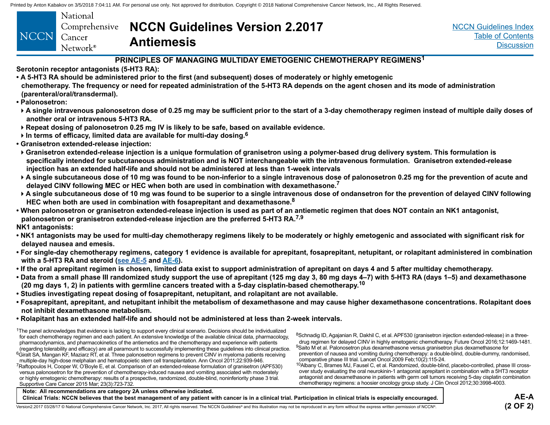<span id="page-19-0"></span>

|      | National          |
|------|-------------------|
|      | Comprehensive     |
| NCCN | Cancer            |
|      | $Network^{\circ}$ |

### **NCCN Guidelines Version 2.2017 Antiemesis**

[NCCN Guidelines Index](http://nccn.org) [Table of Contents](#page-2-0) **[Discussion](#page-24-0)** 

#### **PRINCIPLES OF MANAGING MULTIDAY EMETOGENIC CHEMOTHERAPY REGIMENS1**

- **Serotonin receptor antagonists (5-HT3 RA):**
- **A 5-HT3 RA should be administered prior to the first (and subsequent) doses of moderately or highly emetogenic**
- **chemotherapy. The frequency or need for repeated administration of the 5-HT3 RA depends on the agent chosen and its mode of administration (parenteral/oral/transdermal).**
- **Palonosetron:**

**A single intravenous palonosetron dose of 0.25 mg may be sufficient prior to the start of a 3-day chemotherapy regimen instead of multiple daily doses of another oral or intravenous 5-HT3 RA.** 

- **Repeat dosing of palonosetron 0.25 mg IV is likely to be safe, based on available evidence.**
- **In terms of efficacy, limited data are available for multi-day dosing.<sup>6</sup>**
- **Granisetron extended-release injection:**
- **Granisetron extended-release injection is a unique formulation of granisetron using a polymer-based drug delivery system. This formulation is specifically intended for subcutaneous administration and is NOT interchangeable with the intravenous formulation. Granisetron extended-release injection has an extended half-life and should not be administered at less than 1-week intervals**
- **A single subcutaneous dose of 10 mg was found to be non-inferior to a single intravenous dose of palonosetron 0.25 mg for the prevention of acute and delayed CINV following MEC or HEC when both are used in combination with dexamethasone.7**
- **A single subcutaneous dose of 10 mg was found to be superior to a single intravenous dose of ondansetron for the prevention of delayed CINV following HEC when both are used in combination with fosaprepitant and dexamethasone.<sup>8</sup>**
- **When palonosetron or granisetron extended-release injection is used as part of an antiemetic regimen that does NOT contain an NK1 antagonist, palonosetron or granisetron extended-release injection are the preferred 5-HT3 RA.7,9**
- **NK1 antagonists:**
- **NK1 antagonists may be used for multi-day chemotherapy regimens likely to be moderately or highly emetogenic and associated with significant risk for delayed nausea and emesis.**
- **For single-day chemotherapy regimens, category 1 evidence is available for aprepitant, fosaprepitant, netupitant, or rolapitant administered in combination with a 5-HT3 RA and steroid [\(see AE-5](#page-10-0) and [AE-6\)](#page-11-0).**
- **If the oral aprepitant regimen is chosen, limited data exist to support administration of aprepitant on days 4 and 5 after multiday chemotherapy.**
- **Data from a small phase III randomized study support the use of aprepitant (125 mg day 3, 80 mg days 4–7) with 5-HT3 RA (days 1–5) and dexamethasone (20 mg days 1, 2) in patients with germline cancers treated with a 5-day cisplatin-based chemotherapy.10**
- **Studies investigating repeat dosing of fosaprepitant, netupitant, and rolapitant are not available.**
- **Fosaprepitant, aprepitant, and netupitant inhibit the metabolism of dexamethasone and may cause higher dexamethasone concentrations. Rolapitant does not inhibit dexamethasone metabolism.**
- **Rolapitant has an extended half-life and should not be administered at less than 2-week intervals.**

| The panel acknowledges that evidence is lacking to support every clinical scenario. Decisions should be individualized          |
|---------------------------------------------------------------------------------------------------------------------------------|
| for each chemotherapy regimen and each patient. An extensive knowledge of the available clinical data, pharmacology,            |
| pharmacodynamics, and pharmacokinetics of the antiemetics and the chemotherapy and experience with patients                     |
| (regarding tolerability and efficacy) are all paramount to successfully implementing these quidelines into clinical practice.   |
| <sup>6</sup> Giralt SA, Mangan KF, Maziarz RT, et al. Three palonosetron regimens to prevent CINV in myeloma patients receiving |
| multiple-day high-dose melphalan and hematopoietic stem cell transplantation. Ann Oncol 2011;22:939-946.                        |
| Raftopoulos H, Cooper W, O'Boyle E, et al. Comparison of an extended-release formulation of granisetron (APF530)                |
| versus palonosetron for the prevention of chemotherapy-induced nausea and vomiting associated with moderately                   |
| or highly emetogenic chemotherapy: results of a prospective, randomized, double-blind, noninferiority phase 3 trial.            |
| Supportive Care Cancer 2015 Mar; 23(3):723-732.                                                                                 |
|                                                                                                                                 |

8Schnadig ID, Agajanian R, Dakhil C, et al. APF530 (granisetron injection extended-release) in a threedrug regimen for delayed CINV in highly emetogenic chemotherapy. Future Oncol 2016;12:1469-1481. 9Saito M et al. Palonosetron plus dexamethasone versus granisetron plus dexamethasone for prevention of nausea and vomiting during chemotherapy: a double-blind, double-dummy, randomised, comparative phase III trial. Lancet Oncol 2009 Feb;10(2):115-24.

 $10A$ lbany C, Brames MJ, Fausel C, et al. Randomized, double-blind, placebo-controlled, phase III crossover study evaluating the oral neurokinin-1 antagonist aprepitant in combination with a 5HT3 receptor antagonist and dexamethasone in patients with germ cell tumors receiving 5-day cisplatin combination chemotherapy regimens: a hoosier oncology group study. J Clin Oncol 2012;30:3998-4003.

| Note: All recommendations are category 2A unless otherwise indicated.                                                                                                                                                         |            |
|-------------------------------------------------------------------------------------------------------------------------------------------------------------------------------------------------------------------------------|------------|
| Clinical Trials: NCCN believes that the best management of any patient with cancer is in a clinical trial. Participation in clinical trials is especially encouraged.                                                         | AE-A       |
| Version2.2017 03/28/17 © National Comprehensive Cancer Network. Inc. 2017. All rights reserved. The NCCN Guidelines® and this illustration may not be reproduced in any form without the express written permission of NCCN®. | $(2$ OF 2) |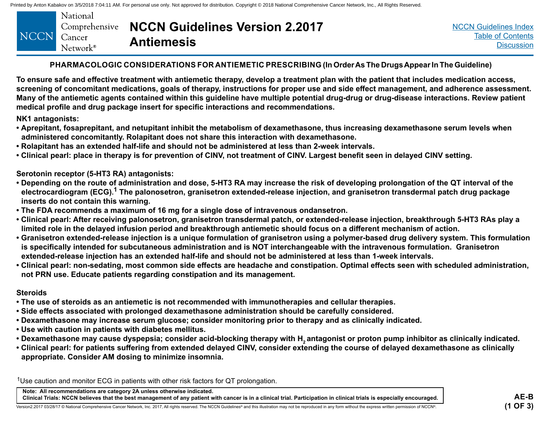<span id="page-20-0"></span>

|             | National             |                                                     |
|-------------|----------------------|-----------------------------------------------------|
|             |                      | Comprehensive <b>NCCN Guidelines Version 2.2017</b> |
|             |                      | <b>Antiemesis</b>                                   |
| NCCN Cancer | Network <sup>®</sup> |                                                     |

#### **PHARMACOLOGIC CONSIDERATIONS FOR ANTIEMETIC PRESCRIBING (In Order As The Drugs Appear In The Guideline)**

**To ensure safe and effective treatment with antiemetic therapy, develop a treatment plan with the patient that includes medication access, screening of concomitant medications, goals of therapy, instructions for proper use and side effect management, and adherence assessment. Many of the antiemetic agents contained within this guideline have multiple potential drug-drug or drug-disease interactions. Review patient medical profile and drug package insert for specific interactions and recommendations.**

**NK1 antagonists:**

- **Aprepitant, fosaprepitant, and netupitant inhibit the metabolism of dexamethasone, thus increasing dexamethasone serum levels when administered concomitantly. Rolapitant does not share this interaction with dexamethasone.**
- **Rolapitant has an extended half-life and should not be administered at less than 2-week intervals.**
- **Clinical pearl: place in therapy is for prevention of CINV, not treatment of CINV. Largest benefit seen in delayed CINV setting.**

**Serotonin receptor (5-HT3 RA) antagonists:**

- **Depending on the route of administration and dose, 5-HT3 RA may increase the risk of developing prolongation of the QT interval of the**  electrocardiogram (ECG).<sup>1</sup> The palonosetron, granisetron extended-release injection, and granisetron transdermal patch drug package **inserts do not contain this warning.**
- **The FDA recommends a maximum of 16 mg for a single dose of intravenous ondansetron.**
- **Clinical pearl: After receiving palonosetron, granisetron transdermal patch, or extended-release injection, breakthrough 5-HT3 RAs play a limited role in the delayed infusion period and breakthrough antiemetic should focus on a different mechanism of action.**
- **Granisetron extended-release injection is a unique formulation of granisetron using a polymer-based drug delivery system. This formulation is specifically intended for subcutaneous administration and is NOT interchangeable with the intravenous formulation. Granisetron extended-release injection has an extended half-life and should not be administered at less than 1-week intervals.**
- **Clinical pearl: non-sedating, most common side effects are headache and constipation. Optimal effects seen with scheduled administration, not PRN use. Educate patients regarding constipation and its management.**

#### **Steroids**

- **The use of steroids as an antiemetic is not recommended with immunotherapies and cellular therapies.**
- **Side effects associated with prolonged dexamethasone administration should be carefully considered.**
- **Dexamethasone may increase serum glucose; consider monitoring prior to therapy and as clinically indicated.**
- **Use with caution in patients with diabetes mellitus.**
- Dexamethasone may cause dyspepsia; consider acid-blocking therapy with H<sub>a</sub> antagonist or proton pump inhibitor as clinically indicated.
- **Clinical pearl: for patients suffering from extended delayed CINV, consider extending the course of delayed dexamethasone as clinically appropriate. Consider AM dosing to minimize insomnia.**

1Use caution and monitor ECG in patients with other risk factors for QT prolongation.

**Note: All recommendations are category 2A unless otherwise indicated. Clinical Trials: NCCN believes that the best management of any patient with cancer is in a clinical trial. Participation in clinical trials is especially encouraged.**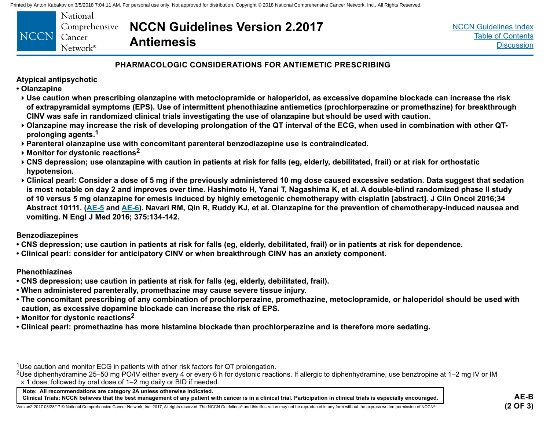<span id="page-21-0"></span>

|             | National                  |              |
|-------------|---------------------------|--------------|
|             | Comprehensive <b>NCCI</b> |              |
| NCCN Cancer |                           | <b>Antie</b> |
|             | Network <sup>®</sup>      |              |

### **PHARMACOLOGIC CONSIDERATIONS FOR ANTIEMETIC PRESCRIBING**

### **Atypical antipsychotic**

- **Olanzapine**
- **Use caution when prescribing olanzapine with metoclopramide or haloperidol, as excessive dopamine blockade can increase the risk of extrapyramidal symptoms (EPS). Use of intermittent phenothiazine antiemetics (prochlorperazine or promethazine) for breakthrough CINV was safe in randomized clinical trials investigating the use of olanzapine but should be used with caution.**
- **Olanzapine may increase the risk of developing prolongation of the QT interval of the ECG, when used in combination with other QTprolonging agents.1**
- **Parenteral olanzapine use with concomitant parenteral benzodiazepine use is contraindicated.**
- **Monitor for dystonic reactions2**
- **CNS depression; use olanzapine with caution in patients at risk for falls (eg, elderly, debilitated, frail) or at risk for orthostatic hypotension.**
- **Clinical pearl: Consider a dose of 5 mg if the previously administered 10 mg dose caused excessive sedation. Data suggest that sedation is most notable on day 2 and improves over time. Hashimoto H, Yanai T, Nagashima K, et al. A double-blind randomized phase II study of 10 versus 5 mg olanzapine for emesis induced by highly emetogenic chemotherapy with cisplatin [abstract]. J Clin Oncol 2016;34 Abstract 10111. ([AE-5](#page-10-0) and [AE-6](#page-11-0)). Navari RM, Qin R, Ruddy KJ, et al. Olanzapine for the prevention of chemotherapy-induced nausea and vomiting. N Engl J Med 2016; 375:134-142.**

### **Benzodiazepines**

- **CNS depression; use caution in patients at risk for falls (eg, elderly, debilitated, frail) or in patients at risk for dependence.**
- **Clinical pearl: consider for anticipatory CINV or when breakthrough CINV has an anxiety component.**

### **Phenothiazines**

- **CNS depression; use caution in patients at risk for falls (eg, elderly, debilitated, frail).**
- **When administered parenterally, promethazine may cause severe tissue injury.**
- **The concomitant prescribing of any combination of prochlorperazine, promethazine, metoclopramide, or haloperidol should be used with caution, as excessive dopamine blockade can increase the risk of EPS.**
- **Monitor for dystonic reactions2**
- **Clinical pearl: promethazine has more histamine blockade than prochlorperazine and is therefore more sedating.**

1Use caution and monitor ECG in patients with other risk factors for QT prolongation.

<sup>2</sup>Use diphenhydramine 25–50 mg PO/IV either every 4 or every 6 h for dystonic reactions. If allergic to diphenhydramine, use benztropine at 1–2 mg IV or IM x 1 dose, followed by oral dose of 1–2 mg daily or BID if needed.

**Note: All recommendations are category 2A unless otherwise indicated. Clinical Trials: NCCN believes that the best management of any patient with cancer is in a clinical trial. Participation in clinical trials is especially encouraged.**

Version2.2017 03/28/17 © National Comprehensive Cancer Network, Inc. 2017, All rights reserved. The NCCN Guidelines® and this illustration may not be reproduced in any form without the express written permission of NCCN®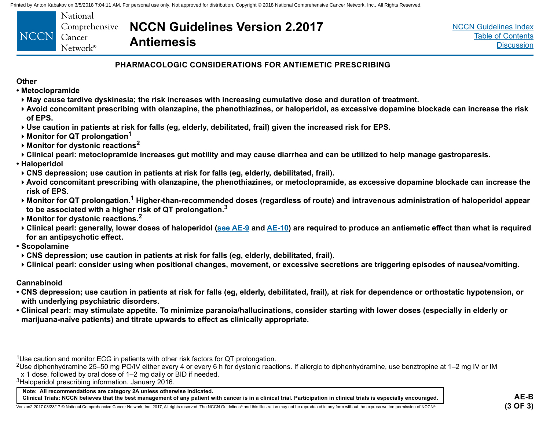<span id="page-22-0"></span>

| NCCN Cancer | National<br>$Network^{\circ}$ | Comprehensive <b>NCCN Guidelines Version 2.2017</b><br><b>Antiemesis</b> |
|-------------|-------------------------------|--------------------------------------------------------------------------|
|-------------|-------------------------------|--------------------------------------------------------------------------|

### **PHARMACOLOGIC CONSIDERATIONS FOR ANTIEMETIC PRESCRIBING**

#### **Other**

- **Metoclopramide**
- **May cause tardive dyskinesia; the risk increases with increasing cumulative dose and duration of treatment.**
- **Avoid concomitant prescribing with olanzapine, the phenothiazines, or haloperidol, as excessive dopamine blockade can increase the risk of EPS.**
- **Use caution in patients at risk for falls (eg, elderly, debilitated, frail) given the increased risk for EPS.**
- **▶ Monitor for QT prolongation<sup>1</sup>**
- **Monitor for dystonic reactions2**
- **Clinical pearl: metoclopramide increases gut motility and may cause diarrhea and can be utilized to help manage gastroparesis.**
- **Haloperidol**
- **CNS depression; use caution in patients at risk for falls (eg, elderly, debilitated, frail).**
- **Avoid concomitant prescribing with olanzapine, the phenothiazines, or metoclopramide, as excessive dopamine blockade can increase the risk of EPS.**
- **Monitor for QT prolongation.1 Higher-than-recommended doses (regardless of route) and intravenous administration of haloperidol appear to be associated with a higher risk of QT prolongation.3**
- **Monitor for dystonic reactions.2**
- **Clinical pearl: generally, lower doses of haloperidol ([see AE-9](#page-14-0) and [AE-](#page-15-0)10) are required to produce an antiemetic effect than what is required for an antipsychotic effect.**
- **Scopolamine**
- **CNS depression; use caution in patients at risk for falls (eg, elderly, debilitated, frail).**
- **Clinical pearl: consider using when positional changes, movement, or excessive secretions are triggering episodes of nausea/vomiting.**

#### **Cannabinoid**

- **CNS depression; use caution in patients at risk for falls (eg, elderly, debilitated, frail), at risk for dependence or orthostatic hypotension, or with underlying psychiatric disorders.**
- **Clinical pearl: may stimulate appetite. To minimize paranoia/hallucinations, consider starting with lower doses (especially in elderly or marijuana-naïve patients) and titrate upwards to effect as clinically appropriate.**

1Use caution and monitor ECG in patients with other risk factors for QT prolongation.

<sup>2</sup>Use diphenhydramine 25–50 mg PO/IV either every 4 or every 6 h for dystonic reactions. If allergic to diphenhydramine, use benztropine at 1–2 mg IV or IM x 1 dose, followed by oral dose of 1–2 mg daily or BID if needed.

3Haloperidol prescribing information. January 2016.

**Note: All recommendations are category 2A unless otherwise indicated. Clinical Trials: NCCN believes that the best management of any patient with cancer is in a clinical trial. Participation in clinical trials is especially encouraged.**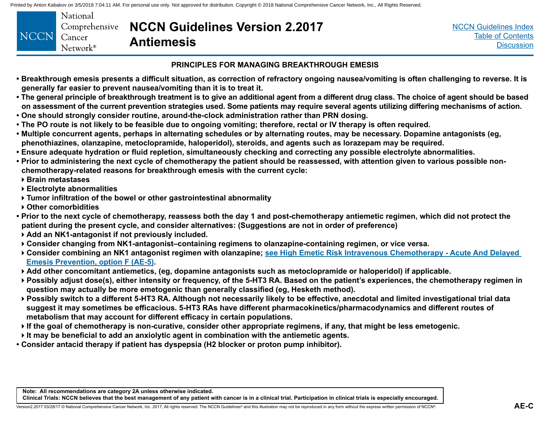<span id="page-23-0"></span>

| <b>NCCN</b> | National<br>Cancer<br>$N$ etwork <sup>®</sup> | Comprehensive <b>NCCN Guidelines Version 2.2017</b><br><b>Antiemesis</b> |
|-------------|-----------------------------------------------|--------------------------------------------------------------------------|
|-------------|-----------------------------------------------|--------------------------------------------------------------------------|

#### **PRINCIPLES FOR MANAGING BREAKTHROUGH EMESIS**

- **Breakthrough emesis presents a difficult situation, as correction of refractory ongoing nausea/vomiting is often challenging to reverse. It is generally far easier to prevent nausea/vomiting than it is to treat it.**
- **The general principle of breakthrough treatment is to give an additional agent from a different drug class. The choice of agent should be based on assessment of the current prevention strategies used. Some patients may require several agents utilizing differing mechanisms of action.**
- **One should strongly consider routine, around-the-clock administration rather than PRN dosing.**
- **The PO route is not likely to be feasible due to ongoing vomiting; therefore, rectal or IV therapy is often required.**
- **Multiple concurrent agents, perhaps in alternating schedules or by alternating routes, may be necessary. Dopamine antagonists (eg, phenothiazines, olanzapine, metoclopramide, haloperidol), steroids, and agents such as lorazepam may be required.**
- **Ensure adequate hydration or fluid repletion, simultaneously checking and correcting any possible electrolyte abnormalities.**
- **Prior to administering the next cycle of chemotherapy the patient should be reassessed, with attention given to various possible nonchemotherapy-related reasons for breakthrough emesis with the current cycle:**
- **Brain metastases**
- **Electrolyte abnormalities**
- **Tumor infiltration of the bowel or other gastrointestinal abnormality**
- **Other comorbidities**
- **Prior to the next cycle of chemotherapy, reassess both the day 1 and post-chemotherapy antiemetic regimen, which did not protect the patient during the present cycle, and consider alternatives: (Suggestions are not in order of preference)**
- **Add an NK1-antagonist if not previously included.**
- **Consider changing from NK1-antagonist–containing regimens to olanzapine-containing regimen, or vice versa.**
- **Consider combining an NK1 antagonist regimen with olanzapine; [see High Emetic Risk Intravenous Chemotherapy Acute And Delayed](#page-10-0)  [Emesis Prevention, option F \(AE-5\)](#page-10-0).**
- **Add other concomitant antiemetics, (eg, dopamine antagonists such as metoclopramide or haloperidol) if applicable.**
- **Possibly adjust dose(s), either intensity or frequency, of the 5-HT3 RA. Based on the patient's experiences, the chemotherapy regimen in question may actually be more emetogenic than generally classified (eg, Hesketh method).**
- **Possibly switch to a different 5-HT3 RA. Although not necessarily likely to be effective, anecdotal and limited investigational trial data suggest it may sometimes be efficacious. 5-HT3 RAs have different pharmacokinetics/pharmacodynamics and different routes of metabolism that may account for different efficacy in certain populations.**
- **If the goal of chemotherapy is non-curative, consider other appropriate regimens, if any, that might be less emetogenic.**
- **It may be beneficial to add an anxiolytic agent in combination with the antiemetic agents.**
- **Consider antacid therapy if patient has dyspepsia (H2 blocker or proton pump inhibitor).**

**Note: All recommendations are category 2A unless otherwise indicated. Clinical Trials: NCCN believes that the best management of any patient with cancer is in a clinical trial. Participation in clinical trials is especially encouraged.**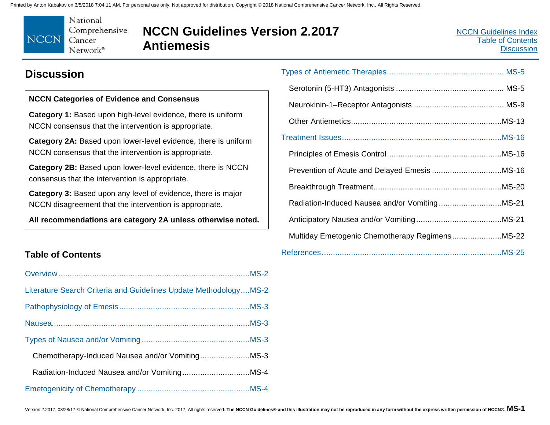<span id="page-24-0"></span>

# **NCCN Guidelines Version 2.2017 Antiemesis**

### **Discussion**

### **NCCN Categories of Evidence and Consensus**

**Category 1:** Based upon high-level evidence, there is uniform NCCN consensus that the intervention is appropriate.

**Category 2A:** Based upon lower-level evidence, there is uniform NCCN consensus that the intervention is appropriate.

**Category 2B:** Based upon lower-level evidence, there is NCCN consensus that the intervention is appropriate.

**Category 3:** Based upon any level of evidence, there is major NCCN disagreement that the intervention is appropriate.

**All recommendations are category 2A unless otherwise noted.**

### **Table of Contents**

| Literature Search Criteria and Guidelines Update MethodologyMS-2 |  |
|------------------------------------------------------------------|--|
|                                                                  |  |
|                                                                  |  |
|                                                                  |  |
|                                                                  |  |
|                                                                  |  |
|                                                                  |  |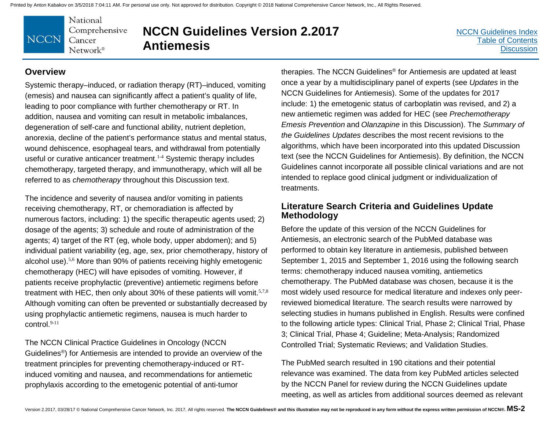National Comprehensive **NCCN** Cancer  $Network^{\circ}$ 

# **NCCN Guidelines Version 2.2017 Antiemesis**

[NCCN Guidelines Index](http://nccn.org) [Table of Contents](#page-2-0) **[Discussion](#page-24-0)** 

### **Overview**

Systemic therapy–induced, or radiation therapy (RT)–induced, vomiting (emesis) and nausea can significantly affect a patient's quality of life, leading to poor compliance with further chemotherapy or RT. In addition, nausea and vomiting can result in metabolic imbalances, degeneration of self-care and functional ability, nutrient depletion, anorexia, decline of the patient's performance status and mental status, wound dehiscence, esophageal tears, and withdrawal from potentially useful or curative anticancer treatment.<sup>1-4</sup> Systemic therapy includes chemotherapy, targeted therapy, and immunotherapy, which will all be referred to as *chemotherapy* throughout this Discussion text.

The incidence and severity of nausea and/or vomiting in patients receiving chemotherapy, RT, or chemoradiation is affected by numerous factors, including: 1) the specific therapeutic agents used; 2) dosage of the agents; 3) schedule and route of administration of the agents; 4) target of the RT (eg, whole body, upper abdomen); and 5) individual patient variability (eg, age, sex, prior chemotherapy, history of alcohol use).5,6 More than 90% of patients receiving highly emetogenic chemotherapy (HEC) will have episodes of vomiting. However, if patients receive prophylactic (preventive) antiemetic regimens before treatment with HEC, then only about 30% of these patients will vomit.<sup>5,7,8</sup> Although vomiting can often be prevented or substantially decreased by using prophylactic antiemetic regimens, nausea is much harder to control.9-11

The NCCN Clinical Practice Guidelines in Oncology (NCCN Guidelines®) for Antiemesis are intended to provide an overview of the treatment principles for preventing chemotherapy-induced or RTinduced vomiting and nausea, and recommendations for antiemetic prophylaxis according to the emetogenic potential of anti-tumor

therapies. The NCCN Guidelines® for Antiemesis are updated at least once a year by a multidisciplinary panel of experts (see *Updates* in the NCCN Guidelines for Antiemesis). Some of the updates for 2017 include: 1) the emetogenic status of carboplatin was revised, and 2) a new antiemetic regimen was added for HEC (see *Prechemotherapy Emesis Prevention* and *Olanzapine* in this Discussion). The *Summary of the Guidelines Updates* describes the most recent revisions to the algorithms, which have been incorporated into this updated Discussion text (see the NCCN Guidelines for Antiemesis). By definition, the NCCN Guidelines cannot incorporate all possible clinical variations and are not intended to replace good clinical judgment or individualization of treatments.

### **Literature Search Criteria and Guidelines Update Methodology**

Before the update of this version of the NCCN Guidelines for Antiemesis, an electronic search of the PubMed database was performed to obtain key literature in antiemesis, published between September 1, 2015 and September 1, 2016 using the following search terms: chemotherapy induced nausea vomiting, antiemetics chemotherapy. The PubMed database was chosen, because it is the most widely used resource for medical literature and indexes only peerreviewed biomedical literature. The search results were narrowed by selecting studies in humans published in English. Results were confined to the following article types: Clinical Trial, Phase 2; Clinical Trial, Phase 3; Clinical Trial, Phase 4; Guideline; Meta-Analysis; Randomized Controlled Trial; Systematic Reviews; and Validation Studies.

The PubMed search resulted in 190 citations and their potential relevance was examined. The data from key PubMed articles selected by the NCCN Panel for review during the NCCN Guidelines update meeting, as well as articles from additional sources deemed as relevant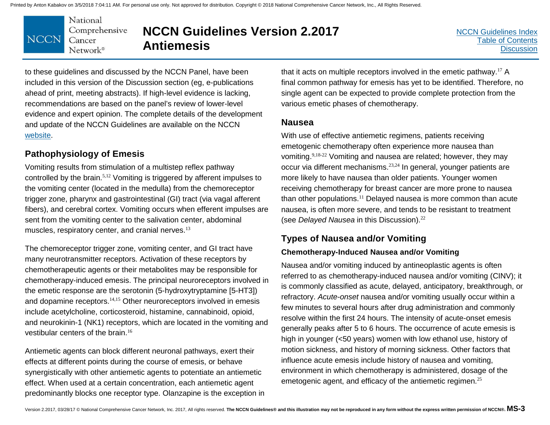

# **NCCN Guidelines Version 2.2017 Antiemesis**

to these guidelines and discussed by the NCCN Panel, have been included in this version of the Discussion section (eg, e-publications ahead of print, meeting abstracts). If high-level evidence is lacking, recommendations are based on the panel's review of lower-level evidence and expert opinion. The complete details of the development and update of the NCCN Guidelines are available on the NCCN [website.](https://www.nccn.org/professionals/development.aspx)

### **Pathophysiology of Emesis**

Vomiting results from stimulation of a multistep reflex pathway controlled by the brain.<sup>5,12</sup> Vomiting is triggered by afferent impulses to the vomiting center (located in the medulla) from the chemoreceptor trigger zone, pharynx and gastrointestinal (GI) tract (via vagal afferent fibers), and cerebral cortex. Vomiting occurs when efferent impulses are sent from the vomiting center to the salivation center, abdominal muscles, respiratory center, and cranial nerves.<sup>13</sup>

The chemoreceptor trigger zone, vomiting center, and GI tract have many neurotransmitter receptors. Activation of these receptors by chemotherapeutic agents or their metabolites may be responsible for chemotherapy-induced emesis. The principal neuroreceptors involved in the emetic response are the serotonin (5-hydroxytryptamine [5-HT3]) and dopamine receptors.<sup>14,15</sup> Other neuroreceptors involved in emesis include acetylcholine, corticosteroid, histamine, cannabinoid, opioid, and neurokinin-1 (NK1) receptors, which are located in the vomiting and vestibular centers of the brain.<sup>16</sup>

Antiemetic agents can block different neuronal pathways, exert their effects at different points during the course of emesis, or behave synergistically with other antiemetic agents to potentiate an antiemetic effect. When used at a certain concentration, each antiemetic agent predominantly blocks one receptor type. Olanzapine is the exception in that it acts on multiple receptors involved in the emetic pathway.<sup>17</sup> A final common pathway for emesis has yet to be identified. Therefore, no single agent can be expected to provide complete protection from the various emetic phases of chemotherapy.

### **Nausea**

With use of effective antiemetic regimens, patients receiving emetogenic chemotherapy often experience more nausea than vomiting.9,18-22 Vomiting and nausea are related; however, they may occur via different mechanisms.23,24 In general, younger patients are more likely to have nausea than older patients. Younger women receiving chemotherapy for breast cancer are more prone to nausea than other populations.<sup>11</sup> Delayed nausea is more common than acute nausea, is often more severe, and tends to be resistant to treatment (see *Delayed Nausea* in this Discussion). 22

### **Types of Nausea and/or Vomiting**

### **Chemotherapy-Induced Nausea and/or Vomiting**

Nausea and/or vomiting induced by antineoplastic agents is often referred to as chemotherapy-induced nausea and/or vomiting (CINV); it is commonly classified as acute, delayed, anticipatory, breakthrough, or refractory. *Acute-onset* nausea and/or vomiting usually occur within a few minutes to several hours after drug administration and commonly resolve within the first 24 hours. The intensity of acute-onset emesis generally peaks after 5 to 6 hours. The occurrence of acute emesis is high in younger (<50 years) women with low ethanol use, history of motion sickness, and history of morning sickness. Other factors that influence acute emesis include history of nausea and vomiting, environment in which chemotherapy is administered, dosage of the emetogenic agent, and efficacy of the antiemetic regimen.<sup>25</sup>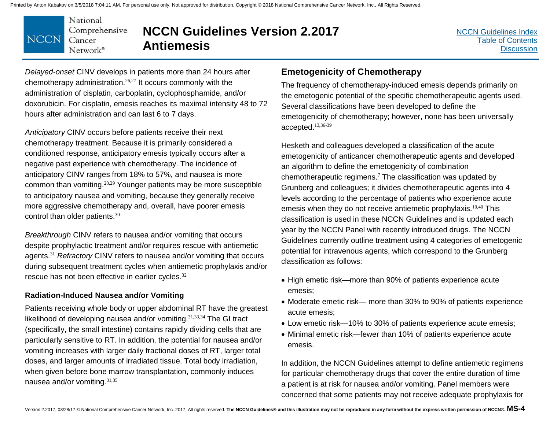

**NCCN Guidelines Version 2.2017 Antiemesis**

[NCCN Guidelines Index](http://nccn.org) [Table of Contents](#page-2-0) **[Discussion](#page-24-0)** 

*Delayed-onset* CINV develops in patients more than 24 hours after chemotherapy administration.26,27 It occurs commonly with the administration of cisplatin, carboplatin, cyclophosphamide, and/or doxorubicin. For cisplatin, emesis reaches its maximal intensity 48 to 72 hours after administration and can last 6 to 7 days.

*Anticipatory* CINV occurs before patients receive their next chemotherapy treatment. Because it is primarily considered a conditioned response, anticipatory emesis typically occurs after a negative past experience with chemotherapy. The incidence of anticipatory CINV ranges from 18% to 57%, and nausea is more common than vomiting.28,29 Younger patients may be more susceptible to anticipatory nausea and vomiting, because they generally receive more aggressive chemotherapy and, overall, have poorer emesis control than older patients.<sup>30</sup>

*Breakthrough* CINV refers to nausea and/or vomiting that occurs despite prophylactic treatment and/or requires rescue with antiemetic agents.<sup>31</sup> *Refractory* CINV refers to nausea and/or vomiting that occurs during subsequent treatment cycles when antiemetic prophylaxis and/or rescue has not been effective in earlier cycles.<sup>32</sup>

### **Radiation-Induced Nausea and/or Vomiting**

Patients receiving whole body or upper abdominal RT have the greatest likelihood of developing nausea and/or vomiting.  $31,33,34$  The GI tract (specifically, the small intestine) contains rapidly dividing cells that are particularly sensitive to RT. In addition, the potential for nausea and/or vomiting increases with larger daily fractional doses of RT, larger total doses, and larger amounts of irradiated tissue. Total body irradiation, when given before bone marrow transplantation, commonly induces nausea and/or vomiting.31,35

### **Emetogenicity of Chemotherapy**

The frequency of chemotherapy-induced emesis depends primarily on the emetogenic potential of the specific chemotherapeutic agents used. Several classifications have been developed to define the emetogenicity of chemotherapy; however, none has been universally accepted.13,36-39

Hesketh and colleagues developed a classification of the acute emetogenicity of anticancer chemotherapeutic agents and developed an algorithm to define the emetogenicity of combination chemotherapeutic regimens.<sup>7</sup> The classification was updated by Grunberg and colleagues; it divides chemotherapeutic agents into 4 levels according to the percentage of patients who experience acute emesis when they do not receive antiemetic prophylaxis.<sup>10,40</sup> This classification is used in these NCCN Guidelines and is updated each year by the NCCN Panel with recently introduced drugs. The NCCN Guidelines currently outline treatment using 4 categories of emetogenic potential for intravenous agents, which correspond to the Grunberg classification as follows:

- High emetic risk—more than 90% of patients experience acute emesis;
- Moderate emetic risk— more than 30% to 90% of patients experience acute emesis;
- Low emetic risk—10% to 30% of patients experience acute emesis;
- Minimal emetic risk—fewer than 10% of patients experience acute emesis.

In addition, the NCCN Guidelines attempt to define antiemetic regimens for particular chemotherapy drugs that cover the entire duration of time a patient is at risk for nausea and/or vomiting. Panel members were concerned that some patients may not receive adequate prophylaxis for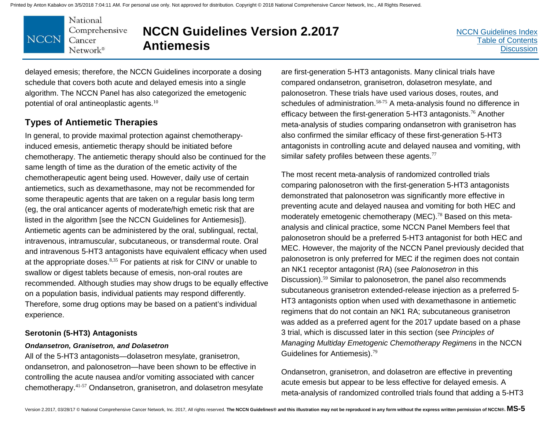

# **NCCN Guidelines Version 2.2017 Antiemesis**

[NCCN Guidelines Index](http://nccn.org) [Table of Contents](#page-2-0) **[Discussion](#page-24-0)** 

delayed emesis; therefore, the NCCN Guidelines incorporate a dosing schedule that covers both acute and delayed emesis into a single algorithm. The NCCN Panel has also categorized the emetogenic potential of oral antineoplastic agents.<sup>10</sup>

### **Types of Antiemetic Therapies**

In general, to provide maximal protection against chemotherapyinduced emesis, antiemetic therapy should be initiated before chemotherapy. The antiemetic therapy should also be continued for the same length of time as the duration of the emetic activity of the chemotherapeutic agent being used. However, daily use of certain antiemetics, such as dexamethasone, may not be recommended for some therapeutic agents that are taken on a regular basis long term (eg, the oral anticancer agents of moderate/high emetic risk that are listed in the algorithm [see the NCCN Guidelines for Antiemesis]). Antiemetic agents can be administered by the oral, sublingual, rectal, intravenous, intramuscular, subcutaneous, or transdermal route. Oral and intravenous 5-HT3 antagonists have equivalent efficacy when used at the appropriate doses.<sup>8,35</sup> For patients at risk for CINV or unable to swallow or digest tablets because of emesis, non-oral routes are recommended. Although studies may show drugs to be equally effective on a population basis, individual patients may respond differently. Therefore, some drug options may be based on a patient's individual experience.

#### **Serotonin (5-HT3) Antagonists**

#### *Ondansetron, Granisetron, and Dolasetron*

All of the 5-HT3 antagonists—dolasetron mesylate, granisetron, ondansetron, and palonosetron—have been shown to be effective in controlling the acute nausea and/or vomiting associated with cancer chemotherapy.41-57 Ondansetron, granisetron, and dolasetron mesylate

are first-generation 5-HT3 antagonists. Many clinical trials have compared ondansetron, granisetron, dolasetron mesylate, and palonosetron. These trials have used various doses, routes, and schedules of administration.<sup>58-75</sup> A meta-analysis found no difference in efficacy between the first-generation 5-HT3 antagonists.<sup>76</sup> Another meta-analysis of studies comparing ondansetron with granisetron has also confirmed the similar efficacy of these first-generation 5-HT3 antagonists in controlling acute and delayed nausea and vomiting, with similar safety profiles between these agents. $77$ 

The most recent meta-analysis of randomized controlled trials comparing palonosetron with the first-generation 5-HT3 antagonists demonstrated that palonosetron was significantly more effective in preventing acute and delayed nausea and vomiting for both HEC and moderately emetogenic chemotherapy (MEC).<sup>78</sup> Based on this metaanalysis and clinical practice, some NCCN Panel Members feel that palonosetron should be a preferred 5-HT3 antagonist for both HEC and MEC. However, the majority of the NCCN Panel previously decided that palonosetron is only preferred for MEC if the regimen does not contain an NK1 receptor antagonist (RA) (see *Palonosetron* in this Discussion).<sup>59</sup> Similar to palonosetron, the panel also recommends subcutaneous granisetron extended-release injection as a preferred 5- HT3 antagonists option when used with dexamethasone in antiemetic regimens that do not contain an NK1 RA; subcutaneous granisetron was added as a preferred agent for the 2017 update based on a phase 3 trial, which is discussed later in this section (see *Principles of Managing Multiday Emetogenic Chemotherapy Regimens* in the NCCN Guidelines for Antiemesis).<sup>79</sup>

Ondansetron, granisetron, and dolasetron are effective in preventing acute emesis but appear to be less effective for delayed emesis. A meta-analysis of randomized controlled trials found that adding a 5-HT3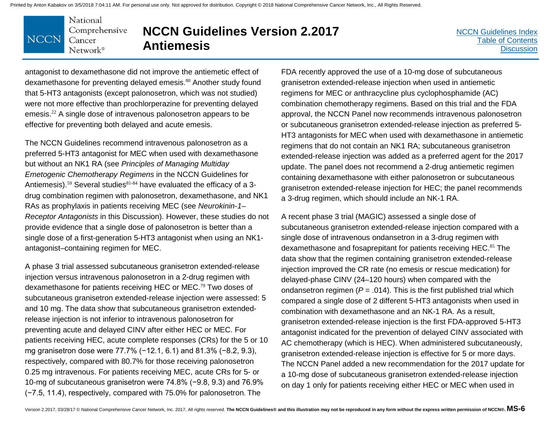National Comprehensive **NCCN** Cancer Network®

# **NCCN Guidelines Version 2.2017 Antiemesis**

antagonist to dexamethasone did not improve the antiemetic effect of dexamethasone for preventing delayed emesis.<sup>80</sup> Another study found that 5-HT3 antagonists (except palonosetron, which was not studied) were not more effective than prochlorperazine for preventing delayed emesis.<sup>22</sup> A single dose of intravenous palonosetron appears to be effective for preventing both delayed and acute emesis.

The NCCN Guidelines recommend intravenous palonosetron as a preferred 5-HT3 antagonist for MEC when used with dexamethasone but without an NK1 RA (see *Principles of Managing Multiday Emetogenic Chemotherapy Regimens* in the NCCN Guidelines for Antiemesis).<sup>59</sup> Several studies<sup>81-84</sup> have evaluated the efficacy of a 3drug combination regimen with palonosetron, dexamethasone, and NK1 RAs as prophylaxis in patients receiving MEC (see *Neurokinin-1– Receptor Antagonists* in this Discussion). However, these studies do not provide evidence that a single dose of palonosetron is better than a single dose of a first-generation 5-HT3 antagonist when using an NK1 antagonist–containing regimen for MEC.

A phase 3 trial assessed subcutaneous granisetron extended-release injection versus intravenous palonosetron in a 2-drug regimen with dexamethasone for patients receiving HEC or MEC.<sup>79</sup> Two doses of subcutaneous granisetron extended-release injection were assessed: 5 and 10 mg. The data show that subcutaneous granisetron extendedrelease injection is not inferior to intravenous palonosetron for preventing acute and delayed CINV after either HEC or MEC. For patients receiving HEC, acute complete responses (CRs) for the 5 or 10 mg granisetron dose were 77.7% (−12.1, 6.1) and 81.3% (−8.2, 9.3), respectively, compared with 80.7% for those receiving palonosetron 0.25 mg intravenous. For patients receiving MEC, acute CRs for 5- or 10-mg of subcutaneous granisetron were 74.8% (−9.8, 9.3) and 76.9% (−7.5, 11.4), respectively, compared with 75.0% for palonosetron. The

FDA recently approved the use of a 10-mg dose of subcutaneous granisetron extended-release injection when used in antiemetic regimens for MEC or anthracycline plus cyclophosphamide (AC) combination chemotherapy regimens. Based on this trial and the FDA approval, the NCCN Panel now recommends intravenous palonosetron or subcutaneous granisetron extended-release injection as preferred 5- HT3 antagonists for MEC when used with dexamethasone in antiemetic regimens that do not contain an NK1 RA; subcutaneous granisetron extended-release injection was added as a preferred agent for the 2017 update. The panel does not recommend a 2-drug antiemetic regimen containing dexamethasone with either palonosetron or subcutaneous granisetron extended-release injection for HEC; the panel recommends a 3-drug regimen, which should include an NK-1 RA.

A recent phase 3 trial (MAGIC) assessed a single dose of subcutaneous granisetron extended-release injection compared with a single dose of intravenous ondansetron in a 3-drug regimen with dexamethasone and fosaprepitant for patients receiving HEC.<sup>85</sup> The data show that the regimen containing granisetron extended-release injection improved the CR rate (no emesis or rescue medication) for delayed-phase CINV (24–120 hours) when compared with the ondansetron regimen ( $P = .014$ ). This is the first published trial which compared a single dose of 2 different 5-HT3 antagonists when used in combination with dexamethasone and an NK-1 RA. As a result, granisetron extended-release injection is the first FDA-approved 5-HT3 antagonist indicated for the prevention of delayed CINV associated with AC chemotherapy (which is HEC). When administered subcutaneously, granisetron extended-release injection is effective for 5 or more days. The NCCN Panel added a new recommendation for the 2017 update for a 10-mg dose of subcutaneous granisetron extended-release injection on day 1 only for patients receiving either HEC or MEC when used in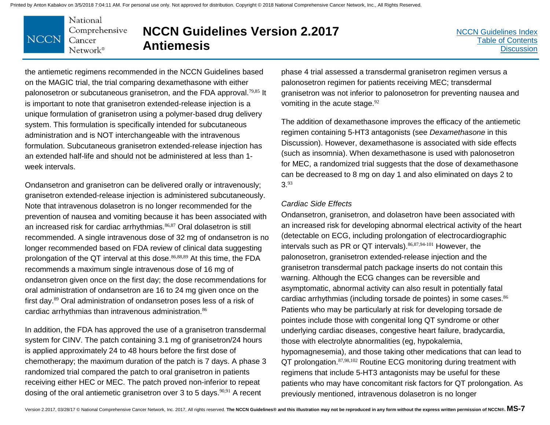

# **NCCN Guidelines Version 2.2017 Antiemesis**

the antiemetic regimens recommended in the NCCN Guidelines based on the MAGIC trial, the trial comparing dexamethasone with either palonosetron or subcutaneous granisetron, and the FDA approval.<sup>79,85</sup> It is important to note that granisetron extended-release injection is a unique formulation of granisetron using a polymer-based drug delivery system. This formulation is specifically intended for subcutaneous administration and is NOT interchangeable with the intravenous formulation. Subcutaneous granisetron extended-release injection has an extended half-life and should not be administered at less than 1 week intervals.

Ondansetron and granisetron can be delivered orally or intravenously; granisetron extended-release injection is administered subcutaneously. Note that intravenous dolasetron is no longer recommended for the prevention of nausea and vomiting because it has been associated with an increased risk for cardiac arrhythmias.<sup>86,87</sup> Oral dolasetron is still recommended. A single intravenous dose of 32 mg of ondansetron is no longer recommended based on FDA review of clinical data suggesting prolongation of the QT interval at this dose.<sup>86,88,89</sup> At this time, the FDA recommends a maximum single intravenous dose of 16 mg of ondansetron given once on the first day; the dose recommendations for oral administration of ondansetron are 16 to 24 mg given once on the first day. <sup>89</sup> Oral administration of ondansetron poses less of a risk of cardiac arrhythmias than intravenous administration.<sup>86</sup>

In addition, the FDA has approved the use of a granisetron transdermal system for CINV. The patch containing 3.1 mg of granisetron/24 hours is applied approximately 24 to 48 hours before the first dose of chemotherapy; the maximum duration of the patch is 7 days. A phase 3 randomized trial compared the patch to oral granisetron in patients receiving either HEC or MEC. The patch proved non-inferior to repeat dosing of the oral antiemetic granisetron over 3 to 5 days.<sup>90,91</sup> A recent

phase 4 trial assessed a transdermal granisetron regimen versus a palonosetron regimen for patients receiving MEC; transdermal granisetron was not inferior to palonosetron for preventing nausea and vomiting in the acute stage. $92$ 

The addition of dexamethasone improves the efficacy of the antiemetic regimen containing 5-HT3 antagonists (see *Dexamethasone* in this Discussion). However, dexamethasone is associated with side effects (such as insomnia). When dexamethasone is used with palonosetron for MEC, a randomized trial suggests that the dose of dexamethasone can be decreased to 8 mg on day 1 and also eliminated on days 2 to 3.<sup>93</sup>

#### *Cardiac Side Effects*

Ondansetron, granisetron, and dolasetron have been associated with an increased risk for developing abnormal electrical activity of the heart (detectable on ECG, including prolongation of electrocardiographic intervals such as PR or QT intervals).86,87,94-101 However, the palonosetron, granisetron extended-release injection and the granisetron transdermal patch package inserts do not contain this warning. Although the ECG changes can be reversible and asymptomatic, abnormal activity can also result in potentially fatal cardiac arrhythmias (including torsade de pointes) in some cases.<sup>86</sup> Patients who may be particularly at risk for developing torsade de pointes include those with congenital long QT syndrome or other underlying cardiac diseases, congestive heart failure, bradycardia, those with electrolyte abnormalities (eg, hypokalemia, hypomagnesemia), and those taking other medications that can lead to QT prolongation. 87,98,102 Routine ECG monitoring during treatment with regimens that include 5-HT3 antagonists may be useful for these patients who may have concomitant risk factors for QT prolongation. As previously mentioned, intravenous dolasetron is no longer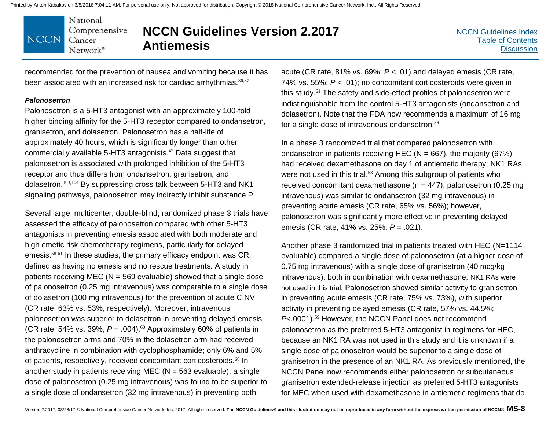National Comprehensive **NCCN** Cancer Network<sup>®</sup>

# **NCCN Guidelines Version 2.2017 Antiemesis**

recommended for the prevention of nausea and vomiting because it has been associated with an increased risk for cardiac arrhythmias. 86,87

#### *Palonosetron*

Palonosetron is a 5-HT3 antagonist with an approximately 100-fold higher binding affinity for the 5-HT3 receptor compared to ondansetron, granisetron, and dolasetron. Palonosetron has a half-life of approximately 40 hours, which is significantly longer than other commercially available 5-HT3 antagonists.<sup>43</sup> Data suggest that palonosetron is associated with prolonged inhibition of the 5-HT3 receptor and thus differs from ondansetron, granisetron, and dolasetron.103,104 By suppressing cross talk between 5-HT3 and NK1 signaling pathways, palonosetron may indirectly inhibit substance P.

Several large, multicenter, double-blind, randomized phase 3 trials have assessed the efficacy of palonosetron compared with other 5-HT3 antagonists in preventing emesis associated with both moderate and high emetic risk chemotherapy regimens, particularly for delayed emesis.58-61 In these studies, the primary efficacy endpoint was CR, defined as having no emesis and no rescue treatments. A study in patients receiving MEC ( $N = 569$  evaluable) showed that a single dose of palonosetron (0.25 mg intravenous) was comparable to a single dose of dolasetron (100 mg intravenous) for the prevention of acute CINV (CR rate, 63% vs. 53%, respectively). Moreover, intravenous palonosetron was superior to dolasetron in preventing delayed emesis (CR rate, 54% vs. 39%;  $P = .004$ ).<sup>60</sup> Approximately 60% of patients in the palonosetron arms and 70% in the dolasetron arm had received anthracycline in combination with cyclophosphamide; only 6% and 5% of patients, respectively, received concomitant corticosteroids.<sup>60</sup> In another study in patients receiving MEC ( $N = 563$  evaluable), a single dose of palonosetron (0.25 mg intravenous) was found to be superior to a single dose of ondansetron (32 mg intravenous) in preventing both

acute (CR rate, 81% vs. 69%; *P* < .01) and delayed emesis (CR rate, 74% vs. 55%; *P* < .01); no concomitant corticosteroids were given in this study.<sup>61</sup> The safety and side-effect profiles of palonosetron were indistinguishable from the control 5-HT3 antagonists (ondansetron and dolasetron). Note that the FDA now recommends a maximum of 16 mg for a single dose of intravenous ondansetron.<sup>86</sup>

In a phase 3 randomized trial that compared palonosetron with ondansetron in patients receiving HEC ( $N = 667$ ), the majority (67%) had received dexamethasone on day 1 of antiemetic therapy; NK1 RAs were not used in this trial.<sup>58</sup> Among this subgroup of patients who received concomitant dexamethasone ( $n = 447$ ), palonosetron (0.25 mg intravenous) was similar to ondansetron (32 mg intravenous) in preventing acute emesis (CR rate, 65% vs. 56%); however, palonosetron was significantly more effective in preventing delayed emesis (CR rate, 41% vs. 25%; *P* = .021).

Another phase 3 randomized trial in patients treated with HEC (N=1114 evaluable) compared a single dose of palonosetron (at a higher dose of 0.75 mg intravenous) with a single dose of granisetron (40 mcg/kg intravenous), both in combination with dexamethasone; NK1 RAs were not used in this trial. Palonosetron showed similar activity to granisetron in preventing acute emesis (CR rate, 75% vs. 73%), with superior activity in preventing delayed emesis (CR rate, 57% vs. 44.5%; *P*<.0001).<sup>59</sup> However, the NCCN Panel does not recommend palonosetron as the preferred 5-HT3 antagonist in regimens for HEC, because an NK1 RA was not used in this study and it is unknown if a single dose of palonosetron would be superior to a single dose of granisetron in the presence of an NK1 RA. As previously mentioned, the NCCN Panel now recommends either palonosetron or subcutaneous granisetron extended-release injection as preferred 5-HT3 antagonists for MEC when used with dexamethasone in antiemetic regimens that do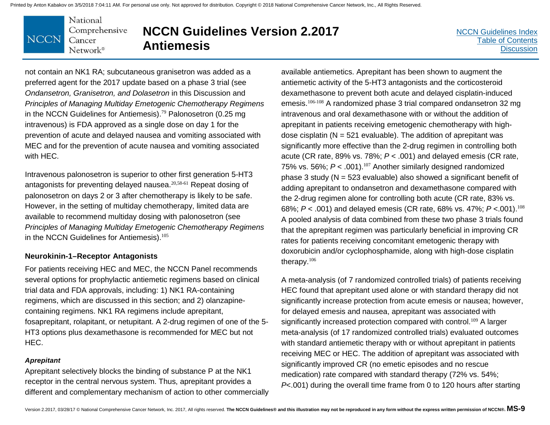National Comprehensive **NCCN** Cancer Network<sup>®</sup>

# **NCCN Guidelines Version 2.2017 Antiemesis**

[NCCN Guidelines Index](http://nccn.org) [Table of Contents](#page-2-0) **[Discussion](#page-24-0)** 

not contain an NK1 RA; subcutaneous granisetron was added as a preferred agent for the 2017 update based on a phase 3 trial (see *Ondansetron, Granisetron, and Dolasetron* in this Discussion and *Principles of Managing Multiday Emetogenic Chemotherapy Regimens* in the NCCN Guidelines for Antiemesis). <sup>79</sup> Palonosetron (0.25 mg intravenous) is FDA approved as a single dose on day 1 for the prevention of acute and delayed nausea and vomiting associated with MEC and for the prevention of acute nausea and vomiting associated with HEC.

Intravenous palonosetron is superior to other first generation 5-HT3 antagonists for preventing delayed nausea.<sup>20,58-61</sup> Repeat dosing of palonosetron on days 2 or 3 after chemotherapy is likely to be safe. However, in the setting of multiday chemotherapy, limited data are available to recommend multiday dosing with palonosetron (see *Principles of Managing Multiday Emetogenic Chemotherapy Regimens* in the NCCN Guidelines for Antiemesis).<sup>105</sup>

#### **Neurokinin-1–Receptor Antagonists**

For patients receiving HEC and MEC, the NCCN Panel recommends several options for prophylactic antiemetic regimens based on clinical trial data and FDA approvals, including: 1) NK1 RA-containing regimens, which are discussed in this section; and 2) olanzapinecontaining regimens. NK1 RA regimens include aprepitant, fosaprepitant, rolapitant, or netupitant. A 2-drug regimen of one of the 5- HT3 options plus dexamethasone is recommended for MEC but not HEC.

#### *Aprepitant*

Aprepitant selectively blocks the binding of substance P at the NK1 receptor in the central nervous system. Thus, aprepitant provides a different and complementary mechanism of action to other commercially

available antiemetics. Aprepitant has been shown to augment the antiemetic activity of the 5-HT3 antagonists and the corticosteroid dexamethasone to prevent both acute and delayed cisplatin-induced emesis.106-108 A randomized phase 3 trial compared ondansetron 32 mg intravenous and oral dexamethasone with or without the addition of aprepitant in patients receiving emetogenic chemotherapy with highdose cisplatin ( $N = 521$  evaluable). The addition of aprepitant was significantly more effective than the 2-drug regimen in controlling both acute (CR rate, 89% vs. 78%; *P* < .001) and delayed emesis (CR rate, 75% vs. 56%;  $P < .001$ ).<sup>107</sup> Another similarly designed randomized phase 3 study ( $N = 523$  evaluable) also showed a significant benefit of adding aprepitant to ondansetron and dexamethasone compared with the 2-drug regimen alone for controlling both acute (CR rate, 83% vs. 68%; *P* < .001) and delayed emesis (CR rate, 68% vs. 47%; *P* <.001).<sup>108</sup> A pooled analysis of data combined from these two phase 3 trials found that the aprepitant regimen was particularly beneficial in improving CR rates for patients receiving concomitant emetogenic therapy with doxorubicin and/or cyclophosphamide, along with high-dose cisplatin therapy.<sup>106</sup>

A meta-analysis (of 7 randomized controlled trials) of patients receiving HEC found that aprepitant used alone or with standard therapy did not significantly increase protection from acute emesis or nausea; however, for delayed emesis and nausea, aprepitant was associated with significantly increased protection compared with control.<sup>109</sup> A larger meta-analysis (of 17 randomized controlled trials) evaluated outcomes with standard antiemetic therapy with or without aprepitant in patients receiving MEC or HEC. The addition of aprepitant was associated with significantly improved CR (no emetic episodes and no rescue medication) rate compared with standard therapy (72% vs. 54%; *P*<.001) during the overall time frame from 0 to 120 hours after starting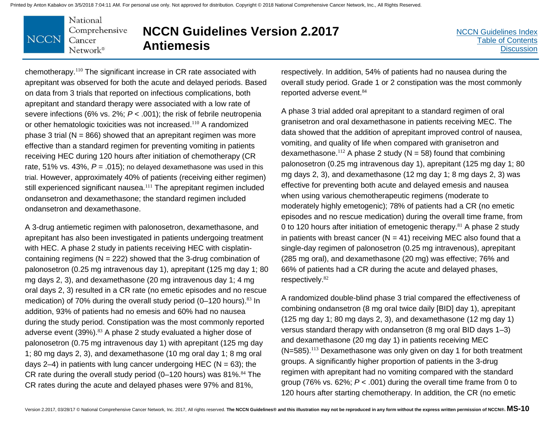#### National Comprehensive **NCCN** Cancer Network®

# **NCCN Guidelines Version 2.2017 Antiemesis**

[NCCN Guidelines Index](http://nccn.org) [Table of Contents](#page-2-0) **[Discussion](#page-24-0)** 

chemotherapy.<sup>110</sup> The significant increase in CR rate associated with aprepitant was observed for both the acute and delayed periods. Based on data from 3 trials that reported on infectious complications, both aprepitant and standard therapy were associated with a low rate of severe infections (6% vs. 2%; *P* < .001); the risk of febrile neutropenia or other hematologic toxicities was not increased.<sup>110</sup> A randomized phase 3 trial ( $N = 866$ ) showed that an aprepitant regimen was more effective than a standard regimen for preventing vomiting in patients receiving HEC during 120 hours after initiation of chemotherapy (CR rate, 51% vs. 43%,  $P = .015$ ; no delayed dexamethasone was used in this trial. However, approximately 40% of patients (receiving either regimen) still experienced significant nausea.<sup>111</sup> The aprepitant regimen included ondansetron and dexamethasone; the standard regimen included ondansetron and dexamethasone.

A 3-drug antiemetic regimen with palonosetron, dexamethasone, and aprepitant has also been investigated in patients undergoing treatment with HEC. A phase 2 study in patients receiving HEC with cisplatincontaining regimens ( $N = 222$ ) showed that the 3-drug combination of palonosetron (0.25 mg intravenous day 1), aprepitant (125 mg day 1; 80 mg days 2, 3), and dexamethasone (20 mg intravenous day 1; 4 mg oral days 2, 3) resulted in a CR rate (no emetic episodes and no rescue medication) of 70% during the overall study period (0–120 hours).<sup>83</sup> In addition, 93% of patients had no emesis and 60% had no nausea during the study period. Constipation was the most commonly reported adverse event (39%).<sup>83</sup> A phase 2 study evaluated a higher dose of palonosetron (0.75 mg intravenous day 1) with aprepitant (125 mg day 1; 80 mg days 2, 3), and dexamethasone (10 mg oral day 1; 8 mg oral days  $2-4$ ) in patients with lung cancer undergoing HEC ( $N = 63$ ); the CR rate during the overall study period  $(0-120$  hours) was 81%.<sup>84</sup> The CR rates during the acute and delayed phases were 97% and 81%,

respectively. In addition, 54% of patients had no nausea during the overall study period. Grade 1 or 2 constipation was the most commonly reported adverse event. 84

A phase 3 trial added oral aprepitant to a standard regimen of oral granisetron and oral dexamethasone in patients receiving MEC. The data showed that the addition of aprepitant improved control of nausea, vomiting, and quality of life when compared with granisetron and dexamethasone.<sup>112</sup> A phase 2 study ( $N = 58$ ) found that combining palonosetron (0.25 mg intravenous day 1), aprepitant (125 mg day 1; 80 mg days 2, 3), and dexamethasone (12 mg day 1; 8 mg days 2, 3) was effective for preventing both acute and delayed emesis and nausea when using various chemotherapeutic regimens (moderate to moderately highly emetogenic); 78% of patients had a CR (no emetic episodes and no rescue medication) during the overall time frame, from 0 to 120 hours after initiation of emetogenic therapy.<sup>81</sup> A phase 2 study in patients with breast cancer ( $N = 41$ ) receiving MEC also found that a single-day regimen of palonosetron (0.25 mg intravenous), aprepitant (285 mg oral), and dexamethasone (20 mg) was effective; 76% and 66% of patients had a CR during the acute and delayed phases, respectively.<sup>82</sup>

A randomized double-blind phase 3 trial compared the effectiveness of combining ondansetron (8 mg oral twice daily [BID] day 1), aprepitant (125 mg day 1; 80 mg days 2, 3), and dexamethasone (12 mg day 1) versus standard therapy with ondansetron (8 mg oral BID days 1–3) and dexamethasone (20 mg day 1) in patients receiving MEC (N=585).<sup>113</sup> Dexamethasone was only given on day 1 for both treatment groups. A significantly higher proportion of patients in the 3-drug regimen with aprepitant had no vomiting compared with the standard group (76% vs. 62%; *P* < .001) during the overall time frame from 0 to 120 hours after starting chemotherapy. In addition, the CR (no emetic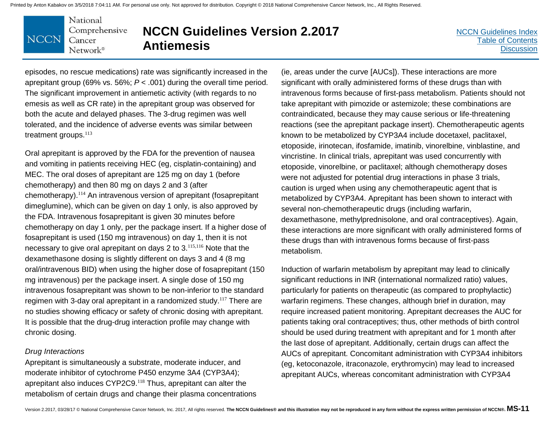National Comprehensive **NCCN** Cancer  $Network^{\circ}$ 

# **NCCN Guidelines Version 2.2017 Antiemesis**

[NCCN Guidelines Index](http://nccn.org) [Table of Contents](#page-2-0) **[Discussion](#page-24-0)** 

episodes, no rescue medications) rate was significantly increased in the aprepitant group (69% vs. 56%; *P* < .001) during the overall time period. The significant improvement in antiemetic activity (with regards to no emesis as well as CR rate) in the aprepitant group was observed for both the acute and delayed phases. The 3-drug regimen was well tolerated, and the incidence of adverse events was similar between treatment groups.<sup>113</sup>

Oral aprepitant is approved by the FDA for the prevention of nausea and vomiting in patients receiving HEC (eg, cisplatin-containing) and MEC. The oral doses of aprepitant are 125 mg on day 1 (before chemotherapy) and then 80 mg on days 2 and 3 (after chemotherapy).<sup>114</sup> An intravenous version of aprepitant (fosaprepitant dimeglumine), which can be given on day 1 only, is also approved by the FDA. Intravenous fosaprepitant is given 30 minutes before chemotherapy on day 1 only, per the package insert. If a higher dose of fosaprepitant is used (150 mg intravenous) on day 1, then it is not necessary to give oral aprepitant on days 2 to 3.115,116 Note that the dexamethasone dosing is slightly different on days 3 and 4 (8 mg oral/intravenous BID) when using the higher dose of fosaprepitant (150 mg intravenous) per the package insert. A single dose of 150 mg intravenous fosaprepitant was shown to be non-inferior to the standard regimen with 3-day oral aprepitant in a randomized study.<sup>117</sup> There are no studies showing efficacy or safety of chronic dosing with aprepitant. It is possible that the drug-drug interaction profile may change with chronic dosing.

#### *Drug Interactions*

Aprepitant is simultaneously a substrate, moderate inducer, and moderate inhibitor of cytochrome P450 enzyme 3A4 (CYP3A4); aprepitant also induces CYP2C9.<sup>118</sup> Thus, aprepitant can alter the metabolism of certain drugs and change their plasma concentrations

(ie, areas under the curve [AUCs]). These interactions are more significant with orally administered forms of these drugs than with intravenous forms because of first-pass metabolism. Patients should not take aprepitant with pimozide or astemizole; these combinations are contraindicated, because they may cause serious or life-threatening reactions (see the aprepitant package insert). Chemotherapeutic agents known to be metabolized by CYP3A4 include docetaxel, paclitaxel, etoposide, irinotecan, ifosfamide, imatinib, vinorelbine, vinblastine, and vincristine. In clinical trials, aprepitant was used concurrently with etoposide, vinorelbine, or paclitaxel; although chemotherapy doses were not adjusted for potential drug interactions in phase 3 trials, caution is urged when using any chemotherapeutic agent that is metabolized by CYP3A4. Aprepitant has been shown to interact with several non-chemotherapeutic drugs (including warfarin, dexamethasone, methylprednisolone, and oral contraceptives). Again, these interactions are more significant with orally administered forms of these drugs than with intravenous forms because of first-pass metabolism.

Induction of warfarin metabolism by aprepitant may lead to clinically significant reductions in INR (international normalized ratio) values, particularly for patients on therapeutic (as compared to prophylactic) warfarin regimens. These changes, although brief in duration, may require increased patient monitoring. Aprepitant decreases the AUC for patients taking oral contraceptives; thus, other methods of birth control should be used during treatment with aprepitant and for 1 month after the last dose of aprepitant. Additionally, certain drugs can affect the AUCs of aprepitant. Concomitant administration with CYP3A4 inhibitors (eg, ketoconazole, itraconazole, erythromycin) may lead to increased aprepitant AUCs, whereas concomitant administration with CYP3A4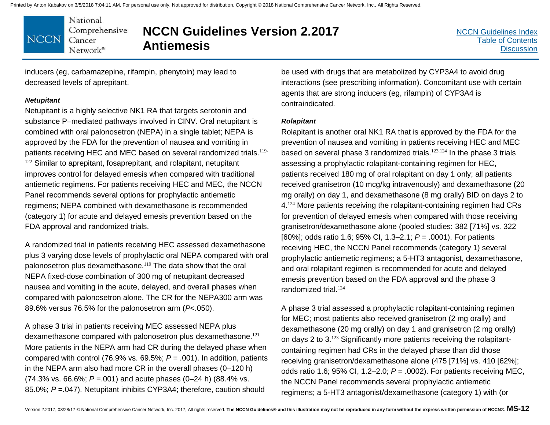National Comprehensive **NCCN** Cancer Network®

# **NCCN Guidelines Version 2.2017 Antiemesis**

inducers (eg, carbamazepine, rifampin, phenytoin) may lead to decreased levels of aprepitant.

#### *Netupitant*

Netupitant is a highly selective NK1 RA that targets serotonin and substance P–mediated pathways involved in CINV. Oral netupitant is combined with oral palonosetron (NEPA) in a single tablet; NEPA is approved by the FDA for the prevention of nausea and vomiting in patients receiving HEC and MEC based on several randomized trials.<sup>119-</sup>  $122$  Similar to aprepitant, fosaprepitant, and rolapitant, netupitant improves control for delayed emesis when compared with traditional antiemetic regimens. For patients receiving HEC and MEC, the NCCN Panel recommends several options for prophylactic antiemetic regimens; NEPA combined with dexamethasone is recommended (category 1) for acute and delayed emesis prevention based on the FDA approval and randomized trials.

A randomized trial in patients receiving HEC assessed dexamethasone plus 3 varying dose levels of prophylactic oral NEPA compared with oral palonosetron plus dexamethasone.<sup>119</sup> The data show that the oral NEPA fixed-dose combination of 300 mg of netupitant decreased nausea and vomiting in the acute, delayed, and overall phases when compared with palonosetron alone. The CR for the NEPA300 arm was 89.6% versus 76.5% for the palonosetron arm (*P*<.050).

A phase 3 trial in patients receiving MEC assessed NEPA plus dexamethasone compared with palonosetron plus dexamethasone.<sup>121</sup> More patients in the NEPA arm had CR during the delayed phase when compared with control (76.9% vs. 69.5%;  $P = .001$ ). In addition, patients in the NEPA arm also had more CR in the overall phases (0–120 h) (74.3% vs. 66.6%; *P* =.001) and acute phases (0–24 h) (88.4% vs. 85.0%; *P* =.047). Netupitant inhibits CYP3A4; therefore, caution should

be used with drugs that are metabolized by CYP3A4 to avoid drug interactions (see prescribing information). Concomitant use with certain agents that are strong inducers (eg, rifampin) of CYP3A4 is contraindicated.

#### *Rolapitant*

Rolapitant is another oral NK1 RA that is approved by the FDA for the prevention of nausea and vomiting in patients receiving HEC and MEC based on several phase 3 randomized trials.<sup>123,124</sup> In the phase 3 trials assessing a prophylactic rolapitant-containing regimen for HEC, patients received 180 mg of oral rolapitant on day 1 only; all patients received granisetron (10 mcg/kg intravenously) and dexamethasone (20 mg orally) on day 1, and dexamethasone (8 mg orally) BID on days 2 to 4.<sup>124</sup> More patients receiving the rolapitant-containing regimen had CRs for prevention of delayed emesis when compared with those receiving granisetron/dexamethasone alone (pooled studies: 382 [71%] vs. 322 [60%]; odds ratio 1.6; 95% CI, 1.3–2.1; *P* = .0001). For patients receiving HEC, the NCCN Panel recommends (category 1) several prophylactic antiemetic regimens; a 5-HT3 antagonist, dexamethasone, and oral rolapitant regimen is recommended for acute and delayed emesis prevention based on the FDA approval and the phase 3 randomized trial.<sup>124</sup>

A phase 3 trial assessed a prophylactic rolapitant-containing regimen for MEC; most patients also received granisetron (2 mg orally) and dexamethasone (20 mg orally) on day 1 and granisetron (2 mg orally) on days 2 to 3.<sup>123</sup> Significantly more patients receiving the rolapitantcontaining regimen had CRs in the delayed phase than did those receiving granisetron/dexamethasone alone (475 [71%] vs. 410 [62%]; odds ratio 1.6; 95% CI, 1.2–2.0; *P* = .0002). For patients receiving MEC, the NCCN Panel recommends several prophylactic antiemetic regimens; a 5-HT3 antagonist/dexamethasone (category 1) with (or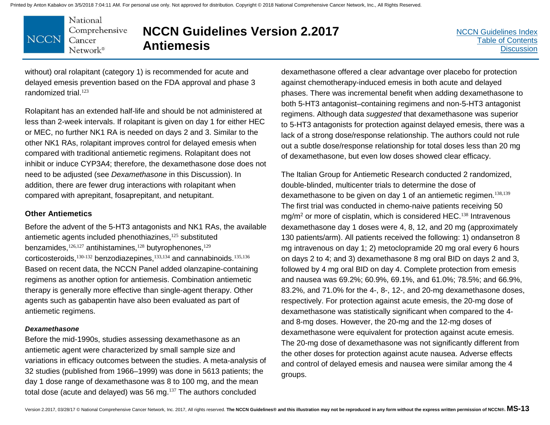National Comprehensive **NCCN** Cancer Network®

# **NCCN Guidelines Version 2.2017 Antiemesis**

[NCCN Guidelines Index](http://nccn.org) [Table of Contents](#page-2-0) **[Discussion](#page-24-0)** 

without) oral rolapitant (category 1) is recommended for acute and delayed emesis prevention based on the FDA approval and phase 3 randomized trial.<sup>123</sup>

Rolapitant has an extended half-life and should be not administered at less than 2-week intervals. If rolapitant is given on day 1 for either HEC or MEC, no further NK1 RA is needed on days 2 and 3. Similar to the other NK1 RAs, rolapitant improves control for delayed emesis when compared with traditional antiemetic regimens. Rolapitant does not inhibit or induce CYP3A4; therefore, the dexamethasone dose does not need to be adjusted (see *Dexamethasone* in this Discussion). In addition, there are fewer drug interactions with rolapitant when compared with aprepitant, fosaprepitant, and netupitant.

#### **Other Antiemetics**

Before the advent of the 5-HT3 antagonists and NK1 RAs, the available antiemetic agents included phenothiazines,<sup>125</sup> substituted benzamides, $126,127$  antihistamines, $128$  butyrophenones, $129$ corticosteroids,<sup>130-132</sup> benzodiazepines,<sup>133,134</sup> and cannabinoids.<sup>135,136</sup> Based on recent data, the NCCN Panel added olanzapine-containing regimens as another option for antiemesis. Combination antiemetic therapy is generally more effective than single-agent therapy. Other agents such as gabapentin have also been evaluated as part of antiemetic regimens.

#### *Dexamethasone*

Before the mid-1990s, studies assessing dexamethasone as an antiemetic agent were characterized by small sample size and variations in efficacy outcomes between the studies. A meta-analysis of 32 studies (published from 1966–1999) was done in 5613 patients; the day 1 dose range of dexamethasone was 8 to 100 mg, and the mean total dose (acute and delayed) was 56 mg.<sup>137</sup> The authors concluded

dexamethasone offered a clear advantage over placebo for protection against chemotherapy-induced emesis in both acute and delayed phases. There was incremental benefit when adding dexamethasone to both 5-HT3 antagonist–containing regimens and non-5-HT3 antagonist regimens. Although data *suggested* that dexamethasone was superior to 5-HT3 antagonists for protection against delayed emesis, there was a lack of a strong dose/response relationship. The authors could not rule out a subtle dose/response relationship for total doses less than 20 mg of dexamethasone, but even low doses showed clear efficacy.

The Italian Group for Antiemetic Research conducted 2 randomized, double-blinded, multicenter trials to determine the dose of dexamethasone to be given on day 1 of an antiemetic regimen.<sup>138,139</sup> The first trial was conducted in chemo-naive patients receiving 50 mg/m<sup>2</sup> or more of cisplatin, which is considered HEC.<sup>138</sup> Intravenous dexamethasone day 1 doses were 4, 8, 12, and 20 mg (approximately 130 patients/arm). All patients received the following: 1) ondansetron 8 mg intravenous on day 1; 2) metoclopramide 20 mg oral every 6 hours on days 2 to 4; and 3) dexamethasone 8 mg oral BID on days 2 and 3, followed by 4 mg oral BID on day 4. Complete protection from emesis and nausea was 69.2%; 60.9%, 69.1%, and 61.0%; 78.5%; and 66.9%, 83.2%, and 71.0% for the 4-, 8-, 12-, and 20-mg dexamethasone doses, respectively. For protection against acute emesis, the 20-mg dose of dexamethasone was statistically significant when compared to the 4 and 8-mg doses. However, the 20-mg and the 12-mg doses of dexamethasone were equivalent for protection against acute emesis. The 20-mg dose of dexamethasone was not significantly different from the other doses for protection against acute nausea. Adverse effects and control of delayed emesis and nausea were similar among the 4 groups.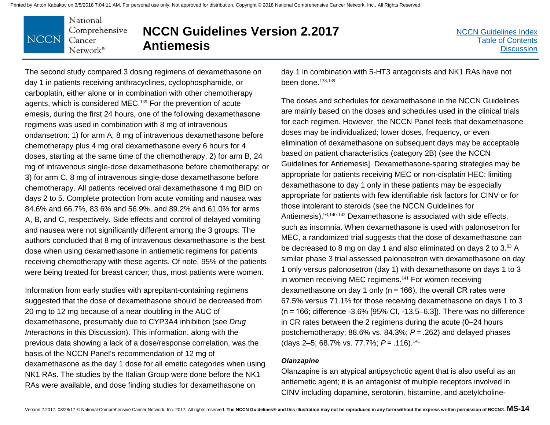#### National Comprehensive **NCCN** Cancer Network<sup>®</sup>

# **NCCN Guidelines Version 2.2017 Antiemesis**

The second study compared 3 dosing regimens of dexamethasone on day 1 in patients receiving anthracyclines, cyclophosphamide, or carboplatin, either alone or in combination with other chemotherapy agents, which is considered MEC.<sup>139</sup> For the prevention of acute emesis, during the first 24 hours, one of the following dexamethasone regimens was used in combination with 8 mg of intravenous ondansetron: 1) for arm A, 8 mg of intravenous dexamethasone before chemotherapy plus 4 mg oral dexamethasone every 6 hours for 4 doses, starting at the same time of the chemotherapy; 2) for arm B, 24 mg of intravenous single-dose dexamethasone before chemotherapy; or 3) for arm C, 8 mg of intravenous single-dose dexamethasone before chemotherapy. All patients received oral dexamethasone 4 mg BID on days 2 to 5. Complete protection from acute vomiting and nausea was 84.6% and 66.7%, 83.6% and 56.9%, and 89.2% and 61.0% for arms A, B, and C, respectively. Side effects and control of delayed vomiting and nausea were not significantly different among the 3 groups. The authors concluded that 8 mg of intravenous dexamethasone is the best dose when using dexamethasone in antiemetic regimens for patients receiving chemotherapy with these agents. Of note, 95% of the patients were being treated for breast cancer; thus, most patients were women.

Information from early studies with aprepitant-containing regimens suggested that the dose of dexamethasone should be decreased from 20 mg to 12 mg because of a near doubling in the AUC of dexamethasone, presumably due to CYP3A4 inhibition (see *Drug Interactions* in this Discussion). This information, along with the previous data showing a lack of a dose/response correlation, was the basis of the NCCN Panel's recommendation of 12 mg of dexamethasone as the day 1 dose for all emetic categories when using NK1 RAs. The studies by the Italian Group were done before the NK1 RAs were available, and dose finding studies for dexamethasone on

day 1 in combination with 5-HT3 antagonists and NK1 RAs have not been done. $138,139$ 

The doses and schedules for dexamethasone in the NCCN Guidelines are mainly based on the doses and schedules used in the clinical trials for each regimen. However, the NCCN Panel feels that dexamethasone doses may be individualized; lower doses, frequency, or even elimination of dexamethasone on subsequent days may be acceptable based on patient characteristics (category 2B) (see the NCCN Guidelines for Antiemesis]. Dexamethasone-sparing strategies may be appropriate for patients receiving MEC or non-cisplatin HEC; limiting dexamethasone to day 1 only in these patients may be especially appropriate for patients with few identifiable risk factors for CINV or for those intolerant to steroids (see the NCCN Guidelines for Antiemesis).<sup>93,140-142</sup> Dexamethasone is associated with side effects, such as insomnia. When dexamethasone is used with palonosetron for MEC, a randomized trial suggests that the dose of dexamethasone can be decreased to 8 mg on day 1 and also eliminated on days 2 to 3.93 A similar phase 3 trial assessed palonosetron with dexamethasone on day 1 only versus palonosetron (day 1) with dexamethasone on days 1 to 3 in women receiving MEC regimens.<sup>141</sup> For women receiving dexamethasone on day 1 only (n = 166), the overall CR rates were 67.5% versus 71.1% for those receiving dexamethasone on days 1 to 3 (n = 166; difference -3.6% [95% CI, -13.5–6.3]). There was no difference in CR rates between the 2 regimens during the acute (0–24 hours postchemotherapy; 88.6% vs. 84.3%; *P* = .262) and delayed phases (days 2–5; 68.7% vs. 77.7%; *P* = .116).<sup>141</sup>

#### *Olanzapine*

Olanzapine is an atypical antipsychotic agent that is also useful as an antiemetic agent; it is an antagonist of multiple receptors involved in CINV including dopamine, serotonin, histamine, and acetylcholine-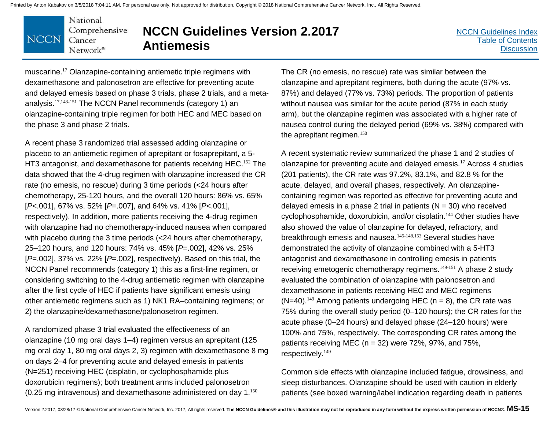National Comprehensive **NCCN** Cancer Network®

# **NCCN Guidelines Version 2.2017 Antiemesis**

[NCCN Guidelines Index](http://nccn.org) [Table of Contents](#page-2-0) **[Discussion](#page-24-0)** 

muscarine. <sup>17</sup> Olanzapine-containing antiemetic triple regimens with dexamethasone and palonosetron are effective for preventing acute and delayed emesis based on phase 3 trials, phase 2 trials, and a metaanalysis.17,143-151 The NCCN Panel recommends (category 1) an olanzapine-containing triple regimen for both HEC and MEC based on the phase 3 and phase 2 trials.

A recent phase 3 randomized trial assessed adding olanzapine or placebo to an antiemetic regimen of aprepitant or fosaprepitant, a 5- HT3 antagonist, and dexamethasone for patients receiving HEC.<sup>152</sup> The data showed that the 4-drug regimen with olanzapine increased the CR rate (no emesis, no rescue) during 3 time periods (<24 hours after chemotherapy, 25-120 hours, and the overall 120 hours: 86% vs. 65% [*P*<.001], 67% vs. 52% [*P*=.007], and 64% vs. 41% [*P*<.001], respectively). In addition, more patients receiving the 4-drug regimen with olanzapine had no chemotherapy-induced nausea when compared with placebo during the 3 time periods (<24 hours after chemotherapy, 25–120 hours, and 120 hours: 74% vs. 45% [*P*=.002], 42% vs. 25% [*P*=.002], 37% vs. 22% [*P*=.002], respectively). Based on this trial, the NCCN Panel recommends (category 1) this as a first-line regimen, or considering switching to the 4-drug antiemetic regimen with olanzapine after the first cycle of HEC if patients have significant emesis using other antiemetic regimens such as 1) NK1 RA–containing regimens; or 2) the olanzapine/dexamethasone/palonosetron regimen.

A randomized phase 3 trial evaluated the effectiveness of an olanzapine (10 mg oral days 1–4) regimen versus an aprepitant (125 mg oral day 1, 80 mg oral days 2, 3) regimen with dexamethasone 8 mg on days 2–4 for preventing acute and delayed emesis in patients (N=251) receiving HEC (cisplatin, or cyclophosphamide plus doxorubicin regimens); both treatment arms included palonosetron (0.25 mg intravenous) and dexamethasone administered on day 1. $^{150}$ 

The CR (no emesis, no rescue) rate was similar between the olanzapine and aprepitant regimens, both during the acute (97% vs. 87%) and delayed (77% vs. 73%) periods. The proportion of patients without nausea was similar for the acute period (87% in each study arm), but the olanzapine regimen was associated with a higher rate of nausea control during the delayed period (69% vs. 38%) compared with the aprepitant regimen.<sup>150</sup>

A recent systematic review summarized the phase 1 and 2 studies of olanzapine for preventing acute and delayed emesis.<sup>17</sup> Across 4 studies (201 patients), the CR rate was 97.2%, 83.1%, and 82.8 % for the acute, delayed, and overall phases, respectively. An olanzapinecontaining regimen was reported as effective for preventing acute and delayed emesis in a phase 2 trial in patients  $(N = 30)$  who received cyclophosphamide, doxorubicin, and/or cisplatin.<sup>144</sup> Other studies have also showed the value of olanzapine for delayed, refractory, and breakthrough emesis and nausea.<sup>145-148,153</sup> Several studies have demonstrated the activity of olanzapine combined with a 5-HT3 antagonist and dexamethasone in controlling emesis in patients receiving emetogenic chemotherapy regimens.<sup>149-151</sup> A phase 2 study evaluated the combination of olanzapine with palonosetron and dexamethasone in patients receiving HEC and MEC regimens  $(N=40).$ <sup>149</sup> Among patients undergoing HEC (n = 8), the CR rate was 75% during the overall study period (0–120 hours); the CR rates for the acute phase (0–24 hours) and delayed phase (24–120 hours) were 100% and 75%, respectively. The corresponding CR rates among the patients receiving MEC ( $n = 32$ ) were 72%, 97%, and 75%, respectively.<sup>149</sup>

Common side effects with olanzapine included fatigue, drowsiness, and sleep disturbances. Olanzapine should be used with caution in elderly patients (see boxed warning/label indication regarding death in patients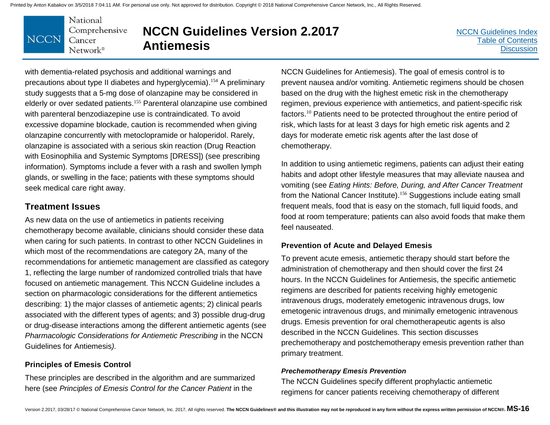National Comprehensive **NCCN** Cancer Network®

# **NCCN Guidelines Version 2.2017 Antiemesis**

[NCCN Guidelines Index](http://nccn.org) [Table of Contents](#page-2-0) **[Discussion](#page-24-0)** 

with dementia-related psychosis and additional warnings and precautions about type II diabetes and hyperglycemia).<sup>154</sup> A preliminary study suggests that a 5-mg dose of olanzapine may be considered in elderly or over sedated patients.<sup>155</sup> Parenteral olanzapine use combined with parenteral benzodiazepine use is contraindicated. To avoid excessive dopamine blockade, caution is recommended when giving olanzapine concurrently with metoclopramide or haloperidol. Rarely, olanzapine is associated with a serious skin reaction (Drug Reaction with Eosinophilia and Systemic Symptoms [DRESS]) (see prescribing information). Symptoms include a fever with a rash and swollen lymph glands, or swelling in the face; patients with these symptoms should seek medical care right away.

### **Treatment Issues**

As new data on the use of antiemetics in patients receiving chemotherapy become available, clinicians should consider these data when caring for such patients. In contrast to other NCCN Guidelines in which most of the recommendations are category 2A, many of the recommendations for antiemetic management are classified as category 1, reflecting the large number of randomized controlled trials that have focused on antiemetic management. This NCCN Guideline includes a section on pharmacologic considerations for the different antiemetics describing: 1) the major classes of antiemetic agents; 2) clinical pearls associated with the different types of agents; and 3) possible drug-drug or drug-disease interactions among the different antiemetic agents (see *Pharmacologic Considerations for Antiemetic Prescribing* in the NCCN Guidelines for Antiemesis*).* 

### **Principles of Emesis Control**

These principles are described in the algorithm and are summarized here (see *Principles of Emesis Control for the Cancer Patient* in the

NCCN Guidelines for Antiemesis). The goal of emesis control is to prevent nausea and/or vomiting. Antiemetic regimens should be chosen based on the drug with the highest emetic risk in the chemotherapy regimen, previous experience with antiemetics, and patient-specific risk factors.<sup>10</sup> Patients need to be protected throughout the entire period of risk, which lasts for at least 3 days for high emetic risk agents and 2 days for moderate emetic risk agents after the last dose of chemotherapy.

In addition to using antiemetic regimens, patients can adjust their eating habits and adopt other lifestyle measures that may alleviate nausea and vomiting (see *Eating Hints: Before, During, and After Cancer Treatment* from the National Cancer Institute).<sup>156</sup> Suggestions include eating small frequent meals, food that is easy on the stomach, full liquid foods, and food at room temperature; patients can also avoid foods that make them feel nauseated.

### **Prevention of Acute and Delayed Emesis**

To prevent acute emesis, antiemetic therapy should start before the administration of chemotherapy and then should cover the first 24 hours. In the NCCN Guidelines for Antiemesis, the specific antiemetic regimens are described for patients receiving highly emetogenic intravenous drugs, moderately emetogenic intravenous drugs, low emetogenic intravenous drugs, and minimally emetogenic intravenous drugs. Emesis prevention for oral chemotherapeutic agents is also described in the NCCN Guidelines. This section discusses prechemotherapy and postchemotherapy emesis prevention rather than primary treatment.

#### *Prechemotherapy Emesis Prevention*

The NCCN Guidelines specify different prophylactic antiemetic regimens for cancer patients receiving chemotherapy of different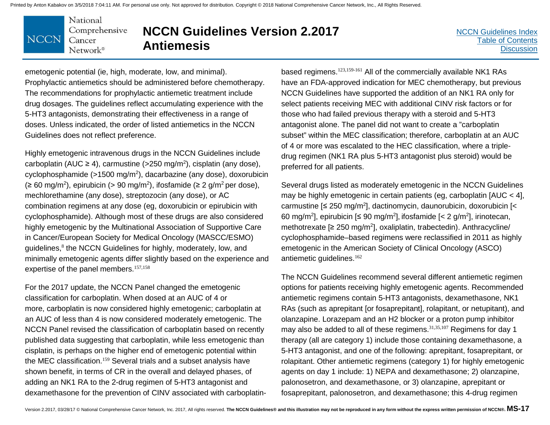National Comprehensive **NCCN** Cancer Network®

# **NCCN Guidelines Version 2.2017 Antiemesis**

[NCCN Guidelines Index](http://nccn.org) [Table of Contents](#page-2-0) **[Discussion](#page-24-0)** 

emetogenic potential (ie, high, moderate, low, and minimal). Prophylactic antiemetics should be administered before chemotherapy. The recommendations for prophylactic antiemetic treatment include drug dosages. The guidelines reflect accumulating experience with the 5-HT3 antagonists, demonstrating their effectiveness in a range of doses. Unless indicated, the order of listed antiemetics in the NCCN Guidelines does not reflect preference.

Highly emetogenic intravenous drugs in the NCCN Guidelines include carboplatin (AUC ≥ 4), carmustine (>250 mg/m<sup>2</sup>), cisplatin (any dose), cyclophosphamide (>1500 mg/m<sup>2</sup>), dacarbazine (any dose), doxorubicin (≥ 60 mg/m<sup>2</sup>), epirubicin (> 90 mg/m<sup>2</sup>), ifosfamide (≥ 2 g/m<sup>2</sup> per dose), mechlorethamine (any dose), streptozocin (any dose), or AC combination regimens at any dose (eg, doxorubicin or epirubicin with cyclophosphamide). Although most of these drugs are also considered highly emetogenic by the Multinational Association of Supportive Care in Cancer/European Society for Medical Oncology (MASCC/ESMO) guidelines,<sup>8</sup> the NCCN Guidelines for highly, moderately, low, and minimally emetogenic agents differ slightly based on the experience and expertise of the panel members.<sup>157,158</sup>

For the 2017 update, the NCCN Panel changed the emetogenic classification for carboplatin. When dosed at an AUC of 4 or more, carboplatin is now considered highly emetogenic; carboplatin at an AUC of less than 4 is now considered moderately emetogenic. The NCCN Panel revised the classification of carboplatin based on recently published data suggesting that carboplatin, while less emetogenic than cisplatin, is perhaps on the higher end of emetogenic potential within the MEC classification.<sup>159</sup> Several trials and a subset analysis have shown benefit, in terms of CR in the overall and delayed phases, of adding an NK1 RA to the 2-drug regimen of 5-HT3 antagonist and dexamethasone for the prevention of CINV associated with carboplatin-

based regimens.<sup>123,159-161</sup> All of the commercially available NK1 RAs have an FDA-approved indication for MEC chemotherapy, but previous NCCN Guidelines have supported the addition of an NK1 RA only for select patients receiving MEC with additional CINV risk factors or for those who had failed previous therapy with a steroid and 5-HT3 antagonist alone. The panel did not want to create a "carboplatin subset" within the MEC classification; therefore, carboplatin at an AUC of 4 or more was escalated to the HEC classification, where a tripledrug regimen (NK1 RA plus 5-HT3 antagonist plus steroid) would be preferred for all patients.

Several drugs listed as moderately emetogenic in the NCCN Guidelines may be highly emetogenic in certain patients (eg, carboplatin [AUC < 4], carmustine [≤ 250 mg/m<sup>2</sup>], dactinomycin, daunorubicin, doxorubicin [< 60 mg/m<sup>2</sup>], epirubicin [≤ 90 mg/m<sup>2</sup>], ifosfamide [< 2 g/m<sup>2</sup>], irinotecan, methotrexate [≥ 250 mg/m<sup>2</sup>], oxaliplatin, trabectedin). Anthracycline/ cyclophosphamide–based regimens were reclassified in 2011 as highly emetogenic in the American Society of Clinical Oncology (ASCO) antiemetic guidelines. <sup>162</sup>

The NCCN Guidelines recommend several different antiemetic regimen options for patients receiving highly emetogenic agents. Recommended antiemetic regimens contain 5-HT3 antagonists, dexamethasone, NK1 RAs (such as aprepitant [or fosaprepitant], rolapitant, or netupitant), and olanzapine. Lorazepam and an H2 blocker or a proton pump inhibitor may also be added to all of these regimens.<sup>31,35,107</sup> Regimens for day 1 therapy (all are category 1) include those containing dexamethasone, a 5-HT3 antagonist, and one of the following: aprepitant, fosaprepitant, or rolapitant. Other antiemetic regimens (category 1) for highly emetogenic agents on day 1 include: 1) NEPA and dexamethasone; 2) olanzapine, palonosetron, and dexamethasone, or 3) olanzapine, aprepitant or fosaprepitant, palonosetron, and dexamethasone; this 4-drug regimen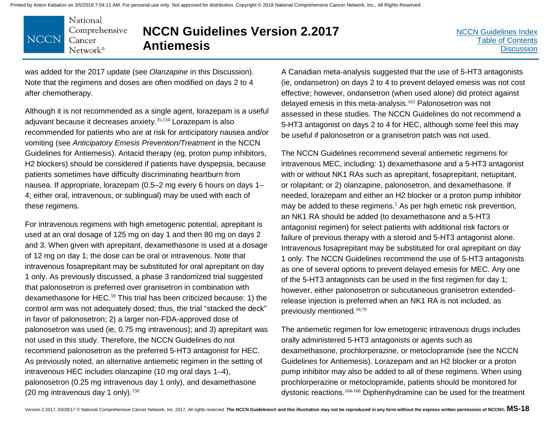National Comprehensive **NCCN** Cancer  $Network^{\circ}$ 

# **NCCN Guidelines Version 2.2017 Antiemesis**

[NCCN Guidelines Index](http://nccn.org) [Table of Contents](#page-2-0) **[Discussion](#page-24-0)** 

was added for the 2017 update (see *Olanzapine* in this Discussion). Note that the regimens and doses are often modified on days 2 to 4 after chemotherapy.

Although it is not recommended as a single agent, lorazepam is a useful adjuvant because it decreases anxiety.35,134 Lorazepam is also recommended for patients who are at risk for anticipatory nausea and/or vomiting (see *Anticipatory Emesis Prevention/Treatment* in the NCCN Guidelines for Antiemesis). Antacid therapy (eg, proton pump inhibitors, H2 blockers) should be considered if patients have dyspepsia, because patients sometimes have difficulty discriminating heartburn from nausea. If appropriate, lorazepam (0.5–2 mg every 6 hours on days 1– 4; either oral, intravenous, or sublingual) may be used with each of these regimens.

For intravenous regimens with high emetogenic potential, aprepitant is used at an oral dosage of 125 mg on day 1 and then 80 mg on days 2 and 3. When given with aprepitant, dexamethasone is used at a dosage of 12 mg on day 1; the dose can be oral or intravenous. Note that intravenous fosaprepitant may be substituted for oral aprepitant on day 1 only. As previously discussed, a phase 3 randomized trial suggested that palonosetron is preferred over granisetron in combination with dexamethasone for HEC.<sup>59</sup> This trial has been criticized because: 1) the control arm was not adequately dosed; thus, the trial "stacked the deck" in favor of palonosetron; 2) a larger non-FDA-approved dose of palonosetron was used (ie, 0.75 mg intravenous); and 3) aprepitant was not used in this study. Therefore, the NCCN Guidelines do not recommend palonosetron as the preferred 5-HT3 antagonist for HEC. As previously noted, an alternative antiemetic regimen in the setting of intravenous HEC includes olanzapine (10 mg oral days 1–4), palonosetron (0.25 mg intravenous day 1 only), and dexamethasone (20 mg intravenous day 1 only). $150$ 

A Canadian meta-analysis suggested that the use of 5-HT3 antagonists (ie, ondansetron) on days 2 to 4 to prevent delayed emesis was not cost effective; however, ondansetron (when used alone) did protect against delayed emesis in this meta-analysis.<sup>163</sup> Palonosetron was not assessed in these studies. The NCCN Guidelines do not recommend a 5-HT3 antagonist on days 2 to 4 for HEC, although some feel this may be useful if palonosetron or a granisetron patch was not used.

The NCCN Guidelines recommend several antiemetic regimens for intravenous MEC, including: 1) dexamethasone and a 5-HT3 antagonist with or without NK1 RAs such as aprepitant, fosaprepitant, netupitant, or rolapitant; or 2) olanzapine, palonosetron, and dexamethasone. If needed, lorazepam and either an H2 blocker or a proton pump inhibitor may be added to these regimens.<sup>5</sup> As per high emetic risk prevention, an NK1 RA should be added (to dexamethasone and a 5-HT3 antagonist regimen) for select patients with additional risk factors or failure of previous therapy with a steroid and 5-HT3 antagonist alone. Intravenous fosaprepitant may be substituted for oral aprepitant on day 1 only. The NCCN Guidelines recommend the use of 5-HT3 antagonists as one of several options to prevent delayed emesis for MEC. Any one of the 5-HT3 antagonists can be used in the first regimen for day 1; however, either palonosetron or subcutaneous granisetron extendedrelease injection is preferred when an NK1 RA is not included, as previously mentioned. 59,79

The antiemetic regimen for low emetogenic intravenous drugs includes orally administered 5-HT3 antagonists or agents such as dexamethasone, prochlorperazine, or metoclopramide (see the NCCN Guidelines for Antiemesis). Lorazepam and an H2 blocker or a proton pump inhibitor may also be added to all of these regimens. When using prochlorperazine or metoclopramide, patients should be monitored for dystonic reactions.164-166 Diphenhydramine can be used for the treatment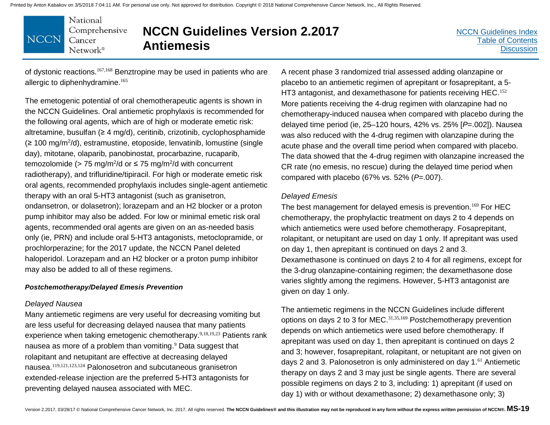National Comprehensive **NCCN** Cancer Network®

# **NCCN Guidelines Version 2.2017 Antiemesis**

[NCCN Guidelines Index](http://nccn.org) [Table of Contents](#page-2-0) **[Discussion](#page-24-0)** 

of dystonic reactions.167,168 Benztropine may be used in patients who are allergic to diphenhydramine.<sup>165</sup>

The emetogenic potential of oral chemotherapeutic agents is shown in the NCCN Guidelines. Oral antiemetic prophylaxis is recommended for the following oral agents, which are of high or moderate emetic risk: altretamine, busulfan (≥ 4 mg/d), ceritinib, crizotinib, cyclophosphamide (≥ 100 mg/m2 /d), estramustine, etoposide, lenvatinib, lomustine (single day), mitotane, olaparib, panobinostat, procarbazine, rucaparib, temozolomide (> 75 mg/m<sup>2</sup>/d or  $\leq$  75 mg/m<sup>2</sup>/d with concurrent radiotherapy), and trifluridine/tipiracil. For high or moderate emetic risk oral agents, recommended prophylaxis includes single-agent antiemetic therapy with an oral 5-HT3 antagonist (such as granisetron, ondansetron, or dolasetron); lorazepam and an H2 blocker or a proton pump inhibitor may also be added. For low or minimal emetic risk oral agents, recommended oral agents are given on an as-needed basis only (ie, PRN) and include oral 5-HT3 antagonists, metoclopramide, or prochlorperazine; for the 2017 update, the NCCN Panel deleted haloperidol. Lorazepam and an H2 blocker or a proton pump inhibitor may also be added to all of these regimens.

#### *Postchemotherapy/Delayed Emesis Prevention*

#### *Delayed Nausea*

Many antiemetic regimens are very useful for decreasing vomiting but are less useful for decreasing delayed nausea that many patients experience when taking emetogenic chemotherapy.<sup>9,18,19,23</sup> Patients rank nausea as more of a problem than vomiting.<sup>9</sup> Data suggest that rolapitant and netupitant are effective at decreasing delayed nausea.119,121,123,124 Palonosetron and subcutaneous granisetron extended-release injection are the preferred 5-HT3 antagonists for preventing delayed nausea associated with MEC.

A recent phase 3 randomized trial assessed adding olanzapine or placebo to an antiemetic regimen of aprepitant or fosaprepitant, a 5- HT3 antagonist, and dexamethasone for patients receiving HEC.<sup>152</sup> More patients receiving the 4-drug regimen with olanzapine had no chemotherapy-induced nausea when compared with placebo during the delayed time period (ie, 25–120 hours, 42% vs. 25% [*P*=.002]). Nausea was also reduced with the 4-drug regimen with olanzapine during the acute phase and the overall time period when compared with placebo. The data showed that the 4-drug regimen with olanzapine increased the CR rate (no emesis, no rescue) during the delayed time period when compared with placebo (67% vs. 52% (*P*=.007).

#### *Delayed Emesis*

The best management for delayed emesis is prevention.<sup>169</sup> For HEC chemotherapy, the prophylactic treatment on days 2 to 4 depends on which antiemetics were used before chemotherapy. Fosaprepitant, rolapitant, or netupitant are used on day 1 only. If aprepitant was used on day 1, then aprepitant is continued on days 2 and 3. Dexamethasone is continued on days 2 to 4 for all regimens, except for the 3-drug olanzapine-containing regimen; the dexamethasone dose varies slightly among the regimens. However, 5-HT3 antagonist are given on day 1 only.

The antiemetic regimens in the NCCN Guidelines include different options on days 2 to 3 for MEC.<sup>31,35,169</sup> Postchemotherapy prevention depends on which antiemetics were used before chemotherapy. If aprepitant was used on day 1, then aprepitant is continued on days 2 and 3; however, fosaprepitant, rolapitant, or netupitant are not given on days 2 and 3. Palonosetron is only administered on day 1.<sup>61</sup> Antiemetic therapy on days 2 and 3 may just be single agents. There are several possible regimens on days 2 to 3, including: 1) aprepitant (if used on day 1) with or without dexamethasone; 2) dexamethasone only; 3)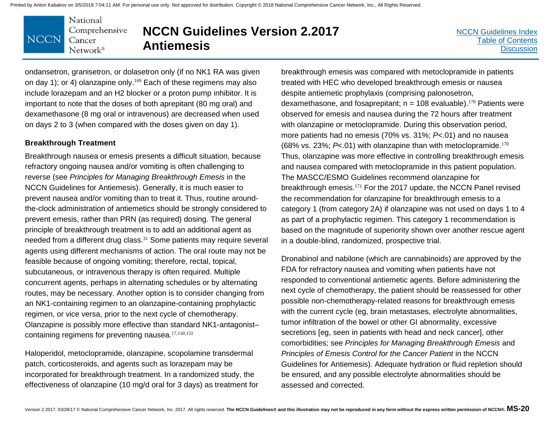National Comprehensive **NCCN** Cancer  $Network^{\circ}$ 

# **NCCN Guidelines Version 2.2017 Antiemesis**

[NCCN Guidelines Index](http://nccn.org) [Table of Contents](#page-2-0) **[Discussion](#page-24-0)** 

ondansetron, granisetron, or dolasetron only (if no NK1 RA was given on day 1); or 4) olanzapine only.<sup>169</sup> Each of these regimens may also include lorazepam and an H2 blocker or a proton pump inhibitor. It is important to note that the doses of both aprepitant (80 mg oral) and dexamethasone (8 mg oral or intravenous) are decreased when used on days 2 to 3 (when compared with the doses given on day 1).

#### **Breakthrough Treatment**

Breakthrough nausea or emesis presents a difficult situation, because refractory ongoing nausea and/or vomiting is often challenging to reverse (see *Principles for Managing Breakthrough Emesis* in the NCCN Guidelines for Antiemesis). Generally, it is much easier to prevent nausea and/or vomiting than to treat it. Thus, routine aroundthe-clock administration of antiemetics should be strongly considered to prevent emesis, rather than PRN (as required) dosing. The general principle of breakthrough treatment is to add an additional agent as needed from a different drug class.<sup>31</sup> Some patients may require several agents using different mechanisms of action. The oral route may not be feasible because of ongoing vomiting; therefore, rectal, topical, subcutaneous, or intravenous therapy is often required. Multiple concurrent agents, perhaps in alternating schedules or by alternating routes, may be necessary. Another option is to consider changing from an NK1-containing regimen to an olanzapine-containing prophylactic regimen, or vice versa, prior to the next cycle of chemotherapy. Olanzapine is possibly more effective than standard NK1-antagonist– containing regimens for preventing nausea.17,150,151

Haloperidol, metoclopramide, olanzapine, scopolamine transdermal patch, corticosteroids, and agents such as lorazepam may be incorporated for breakthrough treatment. In a randomized study, the effectiveness of olanzapine (10 mg/d oral for 3 days) as treatment for

breakthrough emesis was compared with metoclopramide in patients treated with HEC who developed breakthrough emesis or nausea despite antiemetic prophylaxis (comprising palonosetron, dexamethasone, and fosaprepitant;  $n = 108$  evaluable).<sup>170</sup> Patients were observed for emesis and nausea during the 72 hours after treatment with olanzapine or metoclopramide. During this observation period, more patients had no emesis (70% vs. 31%; *P*<.01) and no nausea (68% vs. 23%; *P*<.01) with olanzapine than with metoclopramide.<sup>170</sup> Thus, olanzapine was more effective in controlling breakthrough emesis and nausea compared with metoclopramide in this patient population. The MASCC/ESMO Guidelines recommend olanzapine for breakthrough emesis.<sup>171</sup> For the 2017 update, the NCCN Panel revised the recommendation for olanzapine for breakthrough emesis to a category 1 (from category 2A) if olanzapine was not used on days 1 to 4 as part of a prophylactic regimen. This category 1 recommendation is based on the magnitude of superiority shown over another rescue agent in a double-blind, randomized, prospective trial.

Dronabinol and nabilone (which are cannabinoids) are approved by the FDA for refractory nausea and vomiting when patients have not responded to conventional antiemetic agents. Before administering the next cycle of chemotherapy, the patient should be reassessed for other possible non-chemotherapy-related reasons for breakthrough emesis with the current cycle (eg, brain metastases, electrolyte abnormalities, tumor infiltration of the bowel or other GI abnormality, excessive secretions [eg, seen in patients with head and neck cancer], other comorbidities; see *Principles for Managing Breakthrough Emesis* and *Principles of Emesis Control for the Cancer Patient* in the NCCN Guidelines for Antiemesis). Adequate hydration or fluid repletion should be ensured, and any possible electrolyte abnormalities should be assessed and corrected.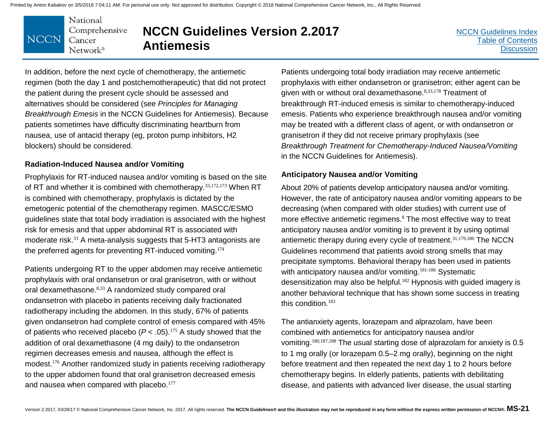

# **NCCN Guidelines Version 2.2017 Antiemesis**

[NCCN Guidelines Index](http://nccn.org) [Table of Contents](#page-2-0) **[Discussion](#page-24-0)** 

In addition, before the next cycle of chemotherapy, the antiemetic regimen (both the day 1 and postchemotherapeutic) that did not protect the patient during the present cycle should be assessed and alternatives should be considered (see *Principles for Managing Breakthrough Emesis* in the NCCN Guidelines for Antiemesis). Because patients sometimes have difficulty discriminating heartburn from nausea, use of antacid therapy (eg, proton pump inhibitors, H2 blockers) should be considered.

#### **Radiation-Induced Nausea and/or Vomiting**

Prophylaxis for RT-induced nausea and/or vomiting is based on the site of RT and whether it is combined with chemotherapy. 33,172,173 When RT is combined with chemotherapy, prophylaxis is dictated by the emetogenic potential of the chemotherapy regimen. MASCC/ESMO guidelines state that total body irradiation is associated with the highest risk for emesis and that upper abdominal RT is associated with moderate risk.<sup>33</sup> A meta-analysis suggests that 5-HT3 antagonists are the preferred agents for preventing RT-induced vomiting.<sup>174</sup>

Patients undergoing RT to the upper abdomen may receive antiemetic prophylaxis with oral ondansetron or oral granisetron, with or without oral dexamethasone.8,33 A randomized study compared oral ondansetron with placebo in patients receiving daily fractionated radiotherapy including the abdomen. In this study, 67% of patients given ondansetron had complete control of emesis compared with 45% of patients who received placebo  $(P < .05)$ .<sup>175</sup> A study showed that the addition of oral dexamethasone (4 mg daily) to the ondansetron regimen decreases emesis and nausea, although the effect is modest.<sup>176</sup> Another randomized study in patients receiving radiotherapy to the upper abdomen found that oral granisetron decreased emesis and nausea when compared with placebo.<sup>177</sup>

Patients undergoing total body irradiation may receive antiemetic prophylaxis with either ondansetron or granisetron; either agent can be given with or without oral dexamethasone.<sup>8,33,178</sup> Treatment of breakthrough RT-induced emesis is similar to chemotherapy-induced emesis. Patients who experience breakthrough nausea and/or vomiting may be treated with a different class of agent, or with ondansetron or granisetron if they did not receive primary prophylaxis (see *Breakthrough Treatment for Chemotherapy-Induced Nausea/Vomiting* in the NCCN Guidelines for Antiemesis).

#### **Anticipatory Nausea and/or Vomiting**

About 20% of patients develop anticipatory nausea and/or vomiting. However, the rate of anticipatory nausea and/or vomiting appears to be decreasing (when compared with older studies) with current use of more effective antiemetic regimens.<sup>8</sup> The most effective way to treat anticipatory nausea and/or vomiting is to prevent it by using optimal antiemetic therapy during every cycle of treatment.<sup>31,179,180</sup> The NCCN Guidelines recommend that patients avoid strong smells that may precipitate symptoms. Behavioral therapy has been used in patients with anticipatory nausea and/or vomiting.<sup>181-186</sup> Systematic desensitization may also be helpful.<sup>182</sup> Hypnosis with guided imagery is another behavioral technique that has shown some success in treating this condition.<sup>183</sup>

The antianxiety agents, lorazepam and alprazolam, have been combined with antiemetics for anticipatory nausea and/or vomiting.180,187,188 The usual starting dose of alprazolam for anxiety is 0.5 to 1 mg orally (or lorazepam 0.5–2 mg orally), beginning on the night before treatment and then repeated the next day 1 to 2 hours before chemotherapy begins. In elderly patients, patients with debilitating disease, and patients with advanced liver disease, the usual starting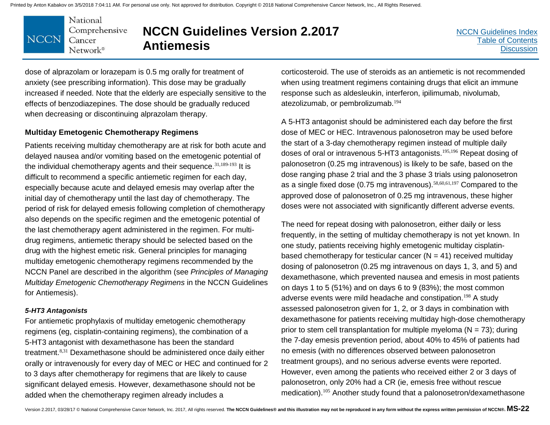

# **NCCN Guidelines Version 2.2017 Antiemesis**

dose of alprazolam or lorazepam is 0.5 mg orally for treatment of anxiety (see prescribing information). This dose may be gradually increased if needed. Note that the elderly are especially sensitive to the effects of benzodiazepines. The dose should be gradually reduced when decreasing or discontinuing alprazolam therapy.

#### **Multiday Emetogenic Chemotherapy Regimens**

Patients receiving multiday chemotherapy are at risk for both acute and delayed nausea and/or vomiting based on the emetogenic potential of the individual chemotherapy agents and their sequence.  $31,189-193$  It is difficult to recommend a specific antiemetic regimen for each day, especially because acute and delayed emesis may overlap after the initial day of chemotherapy until the last day of chemotherapy. The period of risk for delayed emesis following completion of chemotherapy also depends on the specific regimen and the emetogenic potential of the last chemotherapy agent administered in the regimen. For multidrug regimens, antiemetic therapy should be selected based on the drug with the highest emetic risk. General principles for managing multiday emetogenic chemotherapy regimens recommended by the NCCN Panel are described in the algorithm (see *Principles of Managing Multiday Emetogenic Chemotherapy Regimens* in the NCCN Guidelines for Antiemesis).

#### *5-HT3 Antagonists*

For antiemetic prophylaxis of multiday emetogenic chemotherapy regimens (eg, cisplatin-containing regimens), the combination of a 5-HT3 antagonist with dexamethasone has been the standard treatment.8,31 Dexamethasone should be administered once daily either orally or intravenously for every day of MEC or HEC and continued for 2 to 3 days after chemotherapy for regimens that are likely to cause significant delayed emesis. However, dexamethasone should not be added when the chemotherapy regimen already includes a

corticosteroid. The use of steroids as an antiemetic is not recommended when using treatment regimens containing drugs that elicit an immune response such as aldesleukin, interferon, ipilimumab, nivolumab, atezolizumab, or pembrolizumab.<sup>194</sup>

A 5-HT3 antagonist should be administered each day before the first dose of MEC or HEC. Intravenous palonosetron may be used before the start of a 3-day chemotherapy regimen instead of multiple daily doses of oral or intravenous 5-HT3 antagonists.<sup>195,196</sup> Repeat dosing of palonosetron (0.25 mg intravenous) is likely to be safe, based on the dose ranging phase 2 trial and the 3 phase 3 trials using palonosetron as a single fixed dose (0.75 mg intravenous).<sup>58,60,61,197</sup> Compared to the approved dose of palonosetron of 0.25 mg intravenous, these higher doses were not associated with significantly different adverse events.

The need for repeat dosing with palonosetron, either daily or less frequently, in the setting of multiday chemotherapy is not yet known. In one study, patients receiving highly emetogenic multiday cisplatinbased chemotherapy for testicular cancer  $(N = 41)$  received multiday dosing of palonosetron (0.25 mg intravenous on days 1, 3, and 5) and dexamethasone, which prevented nausea and emesis in most patients on days 1 to 5 (51%) and on days 6 to 9 (83%); the most common adverse events were mild headache and constipation.<sup>198</sup> A study assessed palonosetron given for 1, 2, or 3 days in combination with dexamethasone for patients receiving multiday high-dose chemotherapy prior to stem cell transplantation for multiple myeloma ( $N = 73$ ); during the 7-day emesis prevention period, about 40% to 45% of patients had no emesis (with no differences observed between palonosetron treatment groups), and no serious adverse events were reported. However, even among the patients who received either 2 or 3 days of palonosetron, only 20% had a CR (ie, emesis free without rescue medication).<sup>105</sup> Another study found that a palonosetron/dexamethasone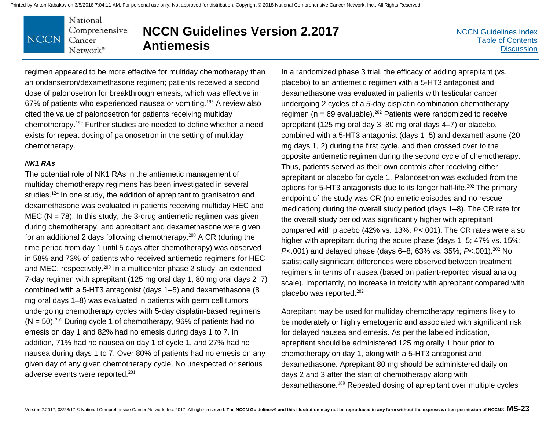National Comprehensive **NCCN** Cancer Network®

# **NCCN Guidelines Version 2.2017 Antiemesis**

[NCCN Guidelines Index](http://nccn.org) [Table of Contents](#page-2-0) **[Discussion](#page-24-0)** 

regimen appeared to be more effective for multiday chemotherapy than an ondansetron/dexamethasone regimen; patients received a second dose of palonosetron for breakthrough emesis, which was effective in 67% of patients who experienced nausea or vomiting.<sup>195</sup> A review also cited the value of palonosetron for patients receiving multiday chemotherapy.<sup>199</sup> Further studies are needed to define whether a need exists for repeat dosing of palonosetron in the setting of multiday chemotherapy.

#### *NK1 RAs*

The potential role of NK1 RAs in the antiemetic management of multiday chemotherapy regimens has been investigated in several studies.<sup>124</sup> In one study, the addition of aprepitant to granisetron and dexamethasone was evaluated in patients receiving multiday HEC and MEC ( $N = 78$ ). In this study, the 3-drug antiemetic regimen was given during chemotherapy, and aprepitant and dexamethasone were given for an additional 2 days following chemotherapy.<sup>200</sup> A CR (during the time period from day 1 until 5 days after chemotherapy) was observed in 58% and 73% of patients who received antiemetic regimens for HEC and MEC, respectively.<sup>200</sup> In a multicenter phase 2 study, an extended 7-day regimen with aprepitant (125 mg oral day 1, 80 mg oral days 2–7) combined with a 5-HT3 antagonist (days 1–5) and dexamethasone (8 mg oral days 1–8) was evaluated in patients with germ cell tumors undergoing chemotherapy cycles with 5-day cisplatin-based regimens  $(N = 50)$ <sup>201</sup> During cycle 1 of chemotherapy, 96% of patients had no emesis on day 1 and 82% had no emesis during days 1 to 7. In addition, 71% had no nausea on day 1 of cycle 1, and 27% had no nausea during days 1 to 7. Over 80% of patients had no emesis on any given day of any given chemotherapy cycle. No unexpected or serious adverse events were reported.<sup>201</sup>

In a randomized phase 3 trial, the efficacy of adding aprepitant (vs. placebo) to an antiemetic regimen with a 5-HT3 antagonist and dexamethasone was evaluated in patients with testicular cancer undergoing 2 cycles of a 5-day cisplatin combination chemotherapy regimen ( $n = 69$  evaluable).<sup>202</sup> Patients were randomized to receive aprepitant (125 mg oral day 3, 80 mg oral days 4–7) or placebo, combined with a 5-HT3 antagonist (days 1–5) and dexamethasone (20 mg days 1, 2) during the first cycle, and then crossed over to the opposite antiemetic regimen during the second cycle of chemotherapy. Thus, patients served as their own controls after receiving either aprepitant or placebo for cycle 1. Palonosetron was excluded from the options for 5-HT3 antagonists due to its longer half-life.<sup>202</sup> The primary endpoint of the study was CR (no emetic episodes and no rescue medication) during the overall study period (days 1–8). The CR rate for the overall study period was significantly higher with aprepitant compared with placebo (42% vs. 13%; *P*<.001). The CR rates were also higher with aprepitant during the acute phase (days 1–5; 47% vs. 15%; *P*<.001) and delayed phase (days 6–8; 63% vs. 35%; *P*<.001).<sup>202</sup> No statistically significant differences were observed between treatment regimens in terms of nausea (based on patient-reported visual analog scale). Importantly, no increase in toxicity with aprepitant compared with placebo was reported.<sup>202</sup>

Aprepitant may be used for multiday chemotherapy regimens likely to be moderately or highly emetogenic and associated with significant risk for delayed nausea and emesis. As per the labeled indication, aprepitant should be administered 125 mg orally 1 hour prior to chemotherapy on day 1, along with a 5-HT3 antagonist and dexamethasone. Aprepitant 80 mg should be administered daily on days 2 and 3 after the start of chemotherapy along with dexamethasone.<sup>189</sup> Repeated dosing of aprepitant over multiple cycles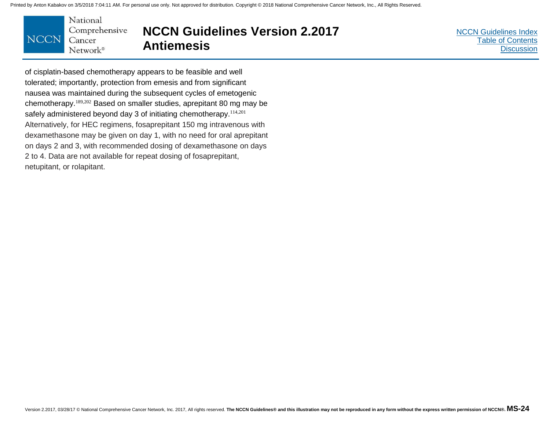

### **NCCN Guidelines Version 2.2017 Antiemesis**

[NCCN Guidelines Index](http://nccn.org) [Table of Contents](#page-2-0) **[Discussion](#page-24-0)** 

of cisplatin-based chemotherapy appears to be feasible and well tolerated; importantly, protection from emesis and from significant nausea was maintained during the subsequent cycles of emetogenic chemotherapy.189,202 Based on smaller studies, aprepitant 80 mg may be safely administered beyond day 3 of initiating chemotherapy.<sup>114,201</sup> Alternatively, for HEC regimens, fosaprepitant 150 mg intravenous with dexamethasone may be given on day 1, with no need for oral aprepitant on days 2 and 3, with recommended dosing of dexamethasone on days 2 to 4. Data are not available for repeat dosing of fosaprepitant, netupitant, or rolapitant.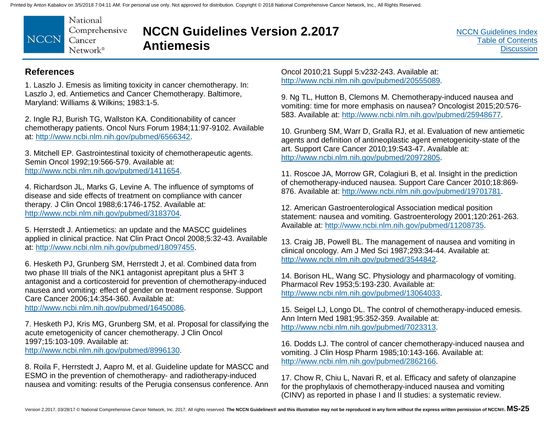National Comprehensive **NCCN** Cancer  $Network^{\circ}$ 

# **NCCN Guidelines Version 2.2017 Antiemesis**

[NCCN Guidelines Index](http://nccn.org) [Table of Contents](#page-2-0) **[Discussion](#page-24-0)** 

### **References**

1. Laszlo J. Emesis as limiting toxicity in cancer chemotherapy. In: Laszlo J, ed. Antiemetics and Cancer Chemotherapy. Baltimore, Maryland: Williams & Wilkins; 1983:1-5.

2. Ingle RJ, Burish TG, Wallston KA. Conditionability of cancer chemotherapy patients. Oncol Nurs Forum 1984;11:97-9102. Available at: http://www.ncbi.nlm.nih.gov/pubmed/6566342.

3. Mitchell EP. Gastrointestinal toxicity of chemotherapeutic agents. Semin Oncol 1992;19:566-579. Available at: http://www.ncbi.nlm.nih.gov/pubmed/1411654.

4. Richardson JL, Marks G, Levine A. The influence of symptoms of disease and side effects of treatment on compliance with cancer therapy. J Clin Oncol 1988;6:1746-1752. Available at: http://www.ncbi.nlm.nih.gov/pubmed/3183704.

5. Herrstedt J. Antiemetics: an update and the MASCC guidelines applied in clinical practice. Nat Clin Pract Oncol 2008;5:32-43. Available at: http://www.ncbi.nlm.nih.gov/pubmed/18097455.

6. Hesketh PJ, Grunberg SM, Herrstedt J, et al. Combined data from two phase III trials of the NK1 antagonist aprepitant plus a 5HT 3 antagonist and a corticosteroid for prevention of chemotherapy-induced nausea and vomiting: effect of gender on treatment response. Support Care Cancer 2006;14:354-360. Available at: http://www.ncbi.nlm.nih.gov/pubmed/16450086.

7. Hesketh PJ, Kris MG, Grunberg SM, et al. Proposal for classifying the acute emetogenicity of cancer chemotherapy. J Clin Oncol 1997;15:103-109. Available at: http://www.ncbi.nlm.nih.gov/pubmed/8996130.

8. Roila F, Herrstedt J, Aapro M, et al. Guideline update for MASCC and ESMO in the prevention of chemotherapy- and radiotherapy-induced nausea and vomiting: results of the Perugia consensus conference. Ann

Oncol 2010;21 Suppl 5:v232-243. Available at: http://www.ncbi.nlm.nih.gov/pubmed/20555089.

9. Ng TL, Hutton B, Clemons M. Chemotherapy-induced nausea and vomiting: time for more emphasis on nausea? Oncologist 2015;20:576- 583. Available at: http://www.ncbi.nlm.nih.gov/pubmed/25948677.

10. Grunberg SM, Warr D, Gralla RJ, et al. Evaluation of new antiemetic agents and definition of antineoplastic agent emetogenicity-state of the art. Support Care Cancer 2010;19:S43-47. Available at: http://www.ncbi.nlm.nih.gov/pubmed/20972805.

11. Roscoe JA, Morrow GR, Colagiuri B, et al. Insight in the prediction of chemotherapy-induced nausea. Support Care Cancer 2010;18:869- 876. Available at: http://www.ncbi.nlm.nih.gov/pubmed/19701781.

12. American Gastroenterological Association medical position statement: nausea and vomiting. Gastroenterology 2001;120:261-263. Available at: http://www.ncbi.nlm.nih.gov/pubmed/11208735.

13. Craig JB, Powell BL. The management of nausea and vomiting in clinical oncology. Am J Med Sci 1987;293:34-44. Available at: http://www.ncbi.nlm.nih.gov/pubmed/3544842.

14. Borison HL, Wang SC. Physiology and pharmacology of vomiting. Pharmacol Rev 1953;5:193-230. Available at: http://www.ncbi.nlm.nih.gov/pubmed/13064033.

15. Seigel LJ, Longo DL. The control of chemotherapy-induced emesis. Ann Intern Med 1981;95:352-359. Available at: http://www.ncbi.nlm.nih.gov/pubmed/7023313.

16. Dodds LJ. The control of cancer chemotherapy-induced nausea and vomiting. J Clin Hosp Pharm 1985;10:143-166. Available at: http://www.ncbi.nlm.nih.gov/pubmed/2862166.

17. Chow R, Chiu L, Navari R, et al. Efficacy and safety of olanzapine for the prophylaxis of chemotherapy-induced nausea and vomiting (CINV) as reported in phase I and II studies: a systematic review.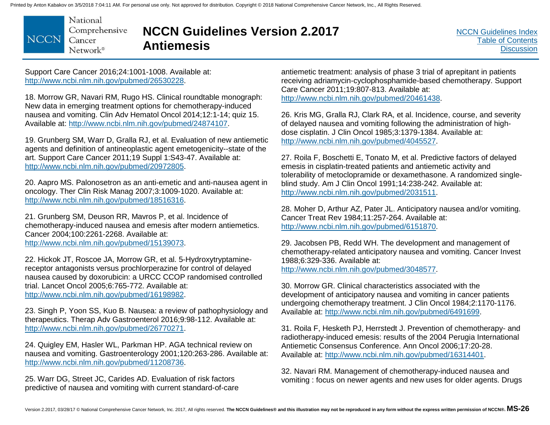National Comprehensive **NCCN** Cancer Network<sup>®</sup>

# **NCCN Guidelines Version 2.2017 Antiemesis**

Support Care Cancer 2016;24:1001-1008. Available at: http://www.ncbi.nlm.nih.gov/pubmed/26530228.

18. Morrow GR, Navari RM, Rugo HS. Clinical roundtable monograph: New data in emerging treatment options for chemotherapy-induced nausea and vomiting. Clin Adv Hematol Oncol 2014;12:1-14; quiz 15. Available at: http://www.ncbi.nlm.nih.gov/pubmed/24874107.

19. Grunberg SM, Warr D, Gralla RJ, et al. Evaluation of new antiemetic agents and definition of antineoplastic agent emetogenicity--state of the art. Support Care Cancer 2011;19 Suppl 1:S43-47. Available at: http://www.ncbi.nlm.nih.gov/pubmed/20972805.

20. Aapro MS. Palonosetron as an anti-emetic and anti-nausea agent in oncology. Ther Clin Risk Manag 2007;3:1009-1020. Available at: http://www.ncbi.nlm.nih.gov/pubmed/18516316.

21. Grunberg SM, Deuson RR, Mavros P, et al. Incidence of chemotherapy-induced nausea and emesis after modern antiemetics. Cancer 2004;100:2261-2268. Available at: http://www.ncbi.nlm.nih.gov/pubmed/15139073.

22. Hickok JT, Roscoe JA, Morrow GR, et al. 5-Hydroxytryptaminereceptor antagonists versus prochlorperazine for control of delayed nausea caused by doxorubicin: a URCC CCOP randomised controlled trial. Lancet Oncol 2005;6:765-772. Available at: http://www.ncbi.nlm.nih.gov/pubmed/16198982.

23. Singh P, Yoon SS, Kuo B. Nausea: a review of pathophysiology and therapeutics. Therap Adv Gastroenterol 2016;9:98-112. Available at: http://www.ncbi.nlm.nih.gov/pubmed/26770271.

24. Quigley EM, Hasler WL, Parkman HP. AGA technical review on nausea and vomiting. Gastroenterology 2001;120:263-286. Available at: http://www.ncbi.nlm.nih.gov/pubmed/11208736.

25. Warr DG, Street JC, Carides AD. Evaluation of risk factors predictive of nausea and vomiting with current standard-of-care antiemetic treatment: analysis of phase 3 trial of aprepitant in patients receiving adriamycin-cyclophosphamide-based chemotherapy. Support Care Cancer 2011;19:807-813. Available at: http://www.ncbi.nlm.nih.gov/pubmed/20461438.

26. Kris MG, Gralla RJ, Clark RA, et al. Incidence, course, and severity of delayed nausea and vomiting following the administration of highdose cisplatin. J Clin Oncol 1985;3:1379-1384. Available at: http://www.ncbi.nlm.nih.gov/pubmed/4045527.

27. Roila F, Boschetti E, Tonato M, et al. Predictive factors of delayed emesis in cisplatin-treated patients and antiemetic activity and tolerability of metoclopramide or dexamethasone. A randomized singleblind study. Am J Clin Oncol 1991;14:238-242. Available at: http://www.ncbi.nlm.nih.gov/pubmed/2031511.

28. Moher D, Arthur AZ, Pater JL. Anticipatory nausea and/or vomiting. Cancer Treat Rev 1984;11:257-264. Available at: http://www.ncbi.nlm.nih.gov/pubmed/6151870.

29. Jacobsen PB, Redd WH. The development and management of chemotherapy-related anticipatory nausea and vomiting. Cancer Invest 1988;6:329-336. Available at: http://www.ncbi.nlm.nih.gov/pubmed/3048577.

30. Morrow GR. Clinical characteristics associated with the development of anticipatory nausea and vomiting in cancer patients undergoing chemotherapy treatment. J Clin Oncol 1984;2:1170-1176. Available at: http://www.ncbi.nlm.nih.gov/pubmed/6491699.

31. Roila F, Hesketh PJ, Herrstedt J. Prevention of chemotherapy- and radiotherapy-induced emesis: results of the 2004 Perugia International Antiemetic Consensus Conference. Ann Oncol 2006;17:20-28. Available at: http://www.ncbi.nlm.nih.gov/pubmed/16314401.

32. Navari RM. Management of chemotherapy-induced nausea and vomiting : focus on newer agents and new uses for older agents. Drugs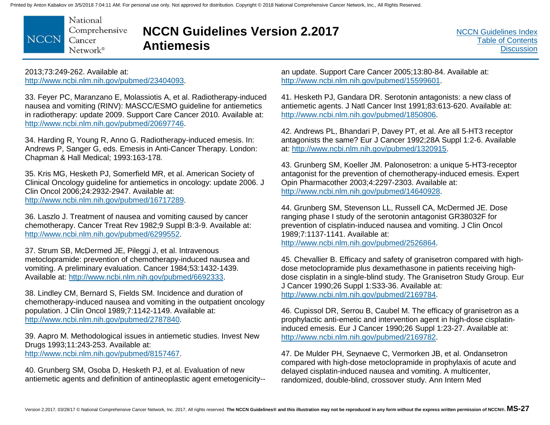National Comprehensive **NCCN** Cancer Network®

### **NCCN Guidelines Version 2.2017 Antiemesis**

[NCCN Guidelines Index](http://nccn.org) [Table of Contents](#page-2-0) **[Discussion](#page-24-0)** 

2013;73:249-262. Available at: http://www.ncbi.nlm.nih.gov/pubmed/23404093.

33. Feyer PC, Maranzano E, Molassiotis A, et al. Radiotherapy-induced nausea and vomiting (RINV): MASCC/ESMO guideline for antiemetics in radiotherapy: update 2009. Support Care Cancer 2010. Available at: http://www.ncbi.nlm.nih.gov/pubmed/20697746.

34. Harding R, Young R, Anno G. Radiotherapy-induced emesis. In: Andrews P, Sanger G, eds. Emesis in Anti-Cancer Therapy. London: Chapman & Hall Medical; 1993:163-178.

35. Kris MG, Hesketh PJ, Somerfield MR, et al. American Society of Clinical Oncology guideline for antiemetics in oncology: update 2006. J Clin Oncol 2006;24:2932-2947. Available at: http://www.ncbi.nlm.nih.gov/pubmed/16717289.

36. Laszlo J. Treatment of nausea and vomiting caused by cancer chemotherapy. Cancer Treat Rev 1982;9 Suppl B:3-9. Available at: http://www.ncbi.nlm.nih.gov/pubmed/6299552.

37. Strum SB, McDermed JE, Pileggi J, et al. Intravenous metoclopramide: prevention of chemotherapy-induced nausea and vomiting. A preliminary evaluation. Cancer 1984;53:1432-1439. Available at: http://www.ncbi.nlm.nih.gov/pubmed/6692333.

38. Lindley CM, Bernard S, Fields SM. Incidence and duration of chemotherapy-induced nausea and vomiting in the outpatient oncology population. J Clin Oncol 1989;7:1142-1149. Available at: http://www.ncbi.nlm.nih.gov/pubmed/2787840.

39. Aapro M. Methodological issues in antiemetic studies. Invest New Drugs 1993;11:243-253. Available at: http://www.ncbi.nlm.nih.gov/pubmed/8157467.

40. Grunberg SM, Osoba D, Hesketh PJ, et al. Evaluation of new antiemetic agents and definition of antineoplastic agent emetogenicity-- an update. Support Care Cancer 2005;13:80-84. Available at: http://www.ncbi.nlm.nih.gov/pubmed/15599601.

41. Hesketh PJ, Gandara DR. Serotonin antagonists: a new class of antiemetic agents. J Natl Cancer Inst 1991;83:613-620. Available at: http://www.ncbi.nlm.nih.gov/pubmed/1850806.

42. Andrews PL, Bhandari P, Davey PT, et al. Are all 5-HT3 receptor antagonists the same? Eur J Cancer 1992;28A Suppl 1:2-6. Available at: http://www.ncbi.nlm.nih.gov/pubmed/1320915.

43. Grunberg SM, Koeller JM. Palonosetron: a unique 5-HT3-receptor antagonist for the prevention of chemotherapy-induced emesis. Expert Opin Pharmacother 2003;4:2297-2303. Available at: http://www.ncbi.nlm.nih.gov/pubmed/14640928.

44. Grunberg SM, Stevenson LL, Russell CA, McDermed JE. Dose ranging phase I study of the serotonin antagonist GR38032F for prevention of cisplatin-induced nausea and vomiting. J Clin Oncol 1989;7:1137-1141. Available at: http://www.ncbi.nlm.nih.gov/pubmed/2526864.

45. Chevallier B. Efficacy and safety of granisetron compared with highdose metoclopramide plus dexamethasone in patients receiving highdose cisplatin in a single-blind study. The Granisetron Study Group. Eur J Cancer 1990;26 Suppl 1:S33-36. Available at: http://www.ncbi.nlm.nih.gov/pubmed/2169784.

46. Cupissol DR, Serrou B, Caubel M. The efficacy of granisetron as a prophylactic anti-emetic and intervention agent in high-dose cisplatininduced emesis. Eur J Cancer 1990;26 Suppl 1:23-27. Available at: http://www.ncbi.nlm.nih.gov/pubmed/2169782.

47. De Mulder PH, Seynaeve C, Vermorken JB, et al. Ondansetron compared with high-dose metoclopramide in prophylaxis of acute and delayed cisplatin-induced nausea and vomiting. A multicenter, randomized, double-blind, crossover study. Ann Intern Med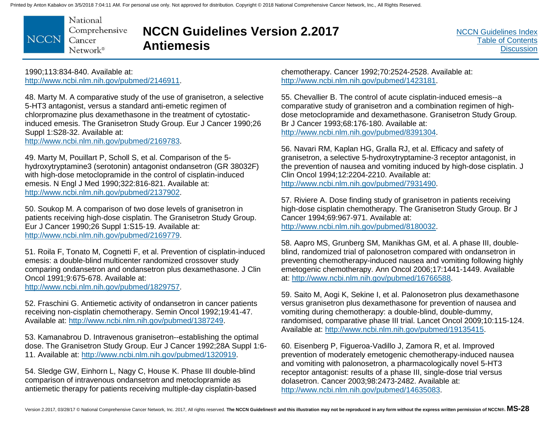National Comprehensive **NCCN** Cancer Network<sup>®</sup>

### **NCCN Guidelines Version 2.2017 Antiemesis**

[NCCN Guidelines Index](http://nccn.org) [Table of Contents](#page-2-0) **[Discussion](#page-24-0)** 

1990;113:834-840. Available at: http://www.ncbi.nlm.nih.gov/pubmed/2146911.

48. Marty M. A comparative study of the use of granisetron, a selective 5-HT3 antagonist, versus a standard anti-emetic regimen of chlorpromazine plus dexamethasone in the treatment of cytostaticinduced emesis. The Granisetron Study Group. Eur J Cancer 1990;26 Suppl 1:S28-32. Available at:

http://www.ncbi.nlm.nih.gov/pubmed/2169783.

49. Marty M, Pouillart P, Scholl S, et al. Comparison of the 5 hydroxytryptamine3 (serotonin) antagonist ondansetron (GR 38032F) with high-dose metoclopramide in the control of cisplatin-induced emesis. N Engl J Med 1990;322:816-821. Available at: http://www.ncbi.nlm.nih.gov/pubmed/2137902.

50. Soukop M. A comparison of two dose levels of granisetron in patients receiving high-dose cisplatin. The Granisetron Study Group. Eur J Cancer 1990;26 Suppl 1:S15-19. Available at: http://www.ncbi.nlm.nih.gov/pubmed/2169779.

51. Roila F, Tonato M, Cognetti F, et al. Prevention of cisplatin-induced emesis: a double-blind multicenter randomized crossover study comparing ondansetron and ondansetron plus dexamethasone. J Clin Oncol 1991;9:675-678. Available at:

http://www.ncbi.nlm.nih.gov/pubmed/1829757.

52. Fraschini G. Antiemetic activity of ondansetron in cancer patients receiving non-cisplatin chemotherapy. Semin Oncol 1992;19:41-47. Available at: http://www.ncbi.nlm.nih.gov/pubmed/1387249.

53. Kamanabrou D. Intravenous granisetron--establishing the optimal dose. The Granisetron Study Group. Eur J Cancer 1992;28A Suppl 1:6- 11. Available at: http://www.ncbi.nlm.nih.gov/pubmed/1320919.

54. Sledge GW, Einhorn L, Nagy C, House K. Phase III double-blind comparison of intravenous ondansetron and metoclopramide as antiemetic therapy for patients receiving multiple-day cisplatin-based chemotherapy. Cancer 1992;70:2524-2528. Available at: http://www.ncbi.nlm.nih.gov/pubmed/1423181.

55. Chevallier B. The control of acute cisplatin-induced emesis--a comparative study of granisetron and a combination regimen of highdose metoclopramide and dexamethasone. Granisetron Study Group. Br J Cancer 1993;68:176-180. Available at: http://www.ncbi.nlm.nih.gov/pubmed/8391304.

56. Navari RM, Kaplan HG, Gralla RJ, et al. Efficacy and safety of granisetron, a selective 5-hydroxytryptamine-3 receptor antagonist, in the prevention of nausea and vomiting induced by high-dose cisplatin. J Clin Oncol 1994;12:2204-2210. Available at: http://www.ncbi.nlm.nih.gov/pubmed/7931490.

57. Riviere A. Dose finding study of granisetron in patients receiving high-dose cisplatin chemotherapy. The Granisetron Study Group. Br J Cancer 1994;69:967-971. Available at: http://www.ncbi.nlm.nih.gov/pubmed/8180032.

58. Aapro MS, Grunberg SM, Manikhas GM, et al. A phase III, doubleblind, randomized trial of palonosetron compared with ondansetron in preventing chemotherapy-induced nausea and vomiting following highly emetogenic chemotherapy. Ann Oncol 2006;17:1441-1449. Available at: http://www.ncbi.nlm.nih.gov/pubmed/16766588.

59. Saito M, Aogi K, Sekine I, et al. Palonosetron plus dexamethasone versus granisetron plus dexamethasone for prevention of nausea and vomiting during chemotherapy: a double-blind, double-dummy, randomised, comparative phase III trial. Lancet Oncol 2009;10:115-124. Available at: http://www.ncbi.nlm.nih.gov/pubmed/19135415.

60. Eisenberg P, Figueroa-Vadillo J, Zamora R, et al. Improved prevention of moderately emetogenic chemotherapy-induced nausea and vomiting with palonosetron, a pharmacologically novel 5-HT3 receptor antagonist: results of a phase III, single-dose trial versus dolasetron. Cancer 2003;98:2473-2482. Available at: http://www.ncbi.nlm.nih.gov/pubmed/14635083.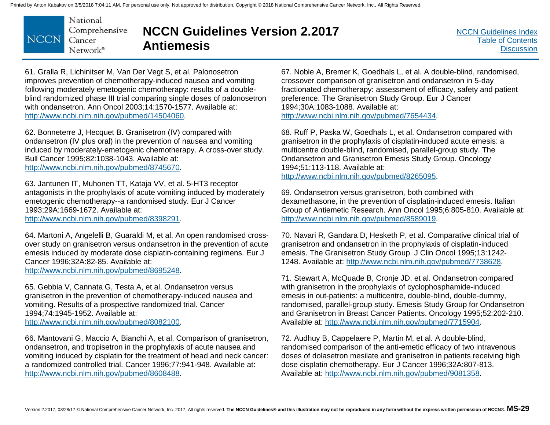National Comprehensive **NCCN** Cancer Network®

# **NCCN Guidelines Version 2.2017 Antiemesis**

61. Gralla R, Lichinitser M, Van Der Vegt S, et al. Palonosetron improves prevention of chemotherapy-induced nausea and vomiting following moderately emetogenic chemotherapy: results of a doubleblind randomized phase III trial comparing single doses of palonosetron with ondansetron. Ann Oncol 2003;14:1570-1577. Available at: http://www.ncbi.nlm.nih.gov/pubmed/14504060.

62. Bonneterre J, Hecquet B. Granisetron (IV) compared with ondansetron (IV plus oral) in the prevention of nausea and vomiting induced by moderately-emetogenic chemotherapy. A cross-over study. Bull Cancer 1995;82:1038-1043. Available at: http://www.ncbi.nlm.nih.gov/pubmed/8745670.

63. Jantunen IT, Muhonen TT, Kataja VV, et al. 5-HT3 receptor antagonists in the prophylaxis of acute vomiting induced by moderately emetogenic chemotherapy--a randomised study. Eur J Cancer 1993;29A:1669-1672. Available at:

http://www.ncbi.nlm.nih.gov/pubmed/8398291.

64. Martoni A, Angelelli B, Guaraldi M, et al. An open randomised crossover study on granisetron versus ondansetron in the prevention of acute emesis induced by moderate dose cisplatin-containing regimens. Eur J Cancer 1996;32A:82-85. Available at: http://www.ncbi.nlm.nih.gov/pubmed/8695248.

65. Gebbia V, Cannata G, Testa A, et al. Ondansetron versus granisetron in the prevention of chemotherapy-induced nausea and vomiting. Results of a prospective randomized trial. Cancer 1994;74:1945-1952. Available at: http://www.ncbi.nlm.nih.gov/pubmed/8082100.

66. Mantovani G, Maccio A, Bianchi A, et al. Comparison of granisetron, ondansetron, and tropisetron in the prophylaxis of acute nausea and vomiting induced by cisplatin for the treatment of head and neck cancer: a randomized controlled trial. Cancer 1996;77:941-948. Available at: http://www.ncbi.nlm.nih.gov/pubmed/8608488.

67. Noble A, Bremer K, Goedhals L, et al. A double-blind, randomised, crossover comparison of granisetron and ondansetron in 5-day fractionated chemotherapy: assessment of efficacy, safety and patient preference. The Granisetron Study Group. Eur J Cancer 1994;30A:1083-1088. Available at: http://www.ncbi.nlm.nih.gov/pubmed/7654434.

68. Ruff P, Paska W, Goedhals L, et al. Ondansetron compared with granisetron in the prophylaxis of cisplatin-induced acute emesis: a multicentre double-blind, randomised, parallel-group study. The Ondansetron and Granisetron Emesis Study Group. Oncology 1994;51:113-118. Available at: http://www.ncbi.nlm.nih.gov/pubmed/8265095.

69. Ondansetron versus granisetron, both combined with dexamethasone, in the prevention of cisplatin-induced emesis. Italian Group of Antiemetic Research. Ann Oncol 1995;6:805-810. Available at: http://www.ncbi.nlm.nih.gov/pubmed/8589019.

70. Navari R, Gandara D, Hesketh P, et al. Comparative clinical trial of granisetron and ondansetron in the prophylaxis of cisplatin-induced emesis. The Granisetron Study Group. J Clin Oncol 1995;13:1242- 1248. Available at: http://www.ncbi.nlm.nih.gov/pubmed/7738628.

71. Stewart A, McQuade B, Cronje JD, et al. Ondansetron compared with granisetron in the prophylaxis of cyclophosphamide-induced emesis in out-patients: a multicentre, double-blind, double-dummy, randomised, parallel-group study. Emesis Study Group for Ondansetron and Granisetron in Breast Cancer Patients. Oncology 1995;52:202-210. Available at: http://www.ncbi.nlm.nih.gov/pubmed/7715904.

72. Audhuy B, Cappelaere P, Martin M, et al. A double-blind, randomised comparison of the anti-emetic efficacy of two intravenous doses of dolasetron mesilate and granisetron in patients receiving high dose cisplatin chemotherapy. Eur J Cancer 1996;32A:807-813. Available at: http://www.ncbi.nlm.nih.gov/pubmed/9081358.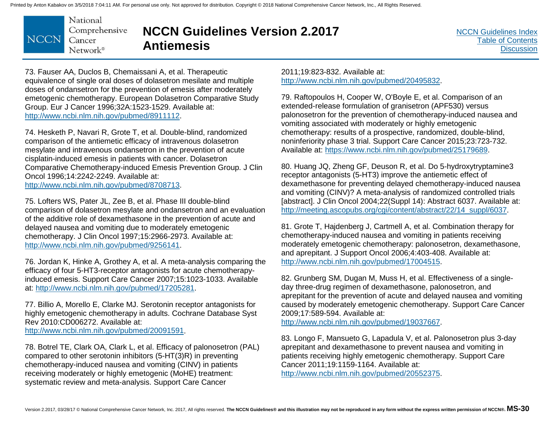National Comprehensive **NCCN** Cancer Network<sup>®</sup>

### **NCCN Guidelines Version 2.2017 Antiemesis**

[NCCN Guidelines Index](http://nccn.org) [Table of Contents](#page-2-0) **[Discussion](#page-24-0)** 

73. Fauser AA, Duclos B, Chemaissani A, et al. Therapeutic equivalence of single oral doses of dolasetron mesilate and multiple doses of ondansetron for the prevention of emesis after moderately emetogenic chemotherapy. European Dolasetron Comparative Study Group. Eur J Cancer 1996;32A:1523-1529. Available at: http://www.ncbi.nlm.nih.gov/pubmed/8911112.

74. Hesketh P, Navari R, Grote T, et al. Double-blind, randomized comparison of the antiemetic efficacy of intravenous dolasetron mesylate and intravenous ondansetron in the prevention of acute cisplatin-induced emesis in patients with cancer. Dolasetron Comparative Chemotherapy-induced Emesis Prevention Group. J Clin Oncol 1996;14:2242-2249. Available at: http://www.ncbi.nlm.nih.gov/pubmed/8708713.

75. Lofters WS, Pater JL, Zee B, et al. Phase III double-blind comparison of dolasetron mesylate and ondansetron and an evaluation of the additive role of dexamethasone in the prevention of acute and delayed nausea and vomiting due to moderately emetogenic chemotherapy. J Clin Oncol 1997;15:2966-2973. Available at: http://www.ncbi.nlm.nih.gov/pubmed/9256141.

76. Jordan K, Hinke A, Grothey A, et al. A meta-analysis comparing the efficacy of four 5-HT3-receptor antagonists for acute chemotherapyinduced emesis. Support Care Cancer 2007;15:1023-1033. Available at: http://www.ncbi.nlm.nih.gov/pubmed/17205281.

77. Billio A, Morello E, Clarke MJ. Serotonin receptor antagonists for highly emetogenic chemotherapy in adults. Cochrane Database Syst Rev 2010:CD006272. Available at: http://www.ncbi.nlm.nih.gov/pubmed/20091591.

78. Botrel TE, Clark OA, Clark L, et al. Efficacy of palonosetron (PAL) compared to other serotonin inhibitors (5-HT(3)R) in preventing chemotherapy-induced nausea and vomiting (CINV) in patients receiving moderately or highly emetogenic (MoHE) treatment: systematic review and meta-analysis. Support Care Cancer

2011;19:823-832. Available at: http://www.ncbi.nlm.nih.gov/pubmed/20495832.

79. Raftopoulos H, Cooper W, O'Boyle E, et al. Comparison of an extended-release formulation of granisetron (APF530) versus palonosetron for the prevention of chemotherapy-induced nausea and vomiting associated with moderately or highly emetogenic chemotherapy: results of a prospective, randomized, double-blind, noninferiority phase 3 trial. Support Care Cancer 2015;23:723-732. Available at: https://www.ncbi.nlm.nih.gov/pubmed/25179689.

80. Huang JQ, Zheng GF, Deuson R, et al. Do 5-hydroxytryptamine3 receptor antagonists (5-HT3) improve the antiemetic effect of dexamethasone for preventing delayed chemotherapy-induced nausea and vomiting (CINV)? A meta-analysis of randomized controlled trials [abstract]. J Clin Oncol 2004;22(Suppl 14): Abstract 6037. Available at: http://meeting.ascopubs.org/cgi/content/abstract/22/14\_suppl/6037.

81. Grote T, Hajdenberg J, Cartmell A, et al. Combination therapy for chemotherapy-induced nausea and vomiting in patients receiving moderately emetogenic chemotherapy: palonosetron, dexamethasone, and aprepitant. J Support Oncol 2006;4:403-408. Available at: http://www.ncbi.nlm.nih.gov/pubmed/17004515.

82. Grunberg SM, Dugan M, Muss H, et al. Effectiveness of a singleday three-drug regimen of dexamethasone, palonosetron, and aprepitant for the prevention of acute and delayed nausea and vomiting caused by moderately emetogenic chemotherapy. Support Care Cancer 2009;17:589-594. Available at:

http://www.ncbi.nlm.nih.gov/pubmed/19037667.

83. Longo F, Mansueto G, Lapadula V, et al. Palonosetron plus 3-day aprepitant and dexamethasone to prevent nausea and vomiting in patients receiving highly emetogenic chemotherapy. Support Care Cancer 2011;19:1159-1164. Available at: http://www.ncbi.nlm.nih.gov/pubmed/20552375.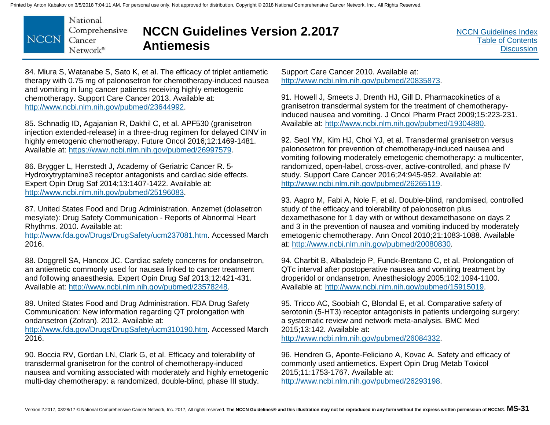

# **NCCN Guidelines Version 2.2017 Antiemesis**

[NCCN Guidelines Index](http://nccn.org) [Table of Contents](#page-2-0) **[Discussion](#page-24-0)** 

84. Miura S, Watanabe S, Sato K, et al. The efficacy of triplet antiemetic therapy with 0.75 mg of palonosetron for chemotherapy-induced nausea and vomiting in lung cancer patients receiving highly emetogenic chemotherapy. Support Care Cancer 2013. Available at: http://www.ncbi.nlm.nih.gov/pubmed/23644992.

85. Schnadig ID, Agajanian R, Dakhil C, et al. APF530 (granisetron injection extended-release) in a three-drug regimen for delayed CINV in highly emetogenic chemotherapy. Future Oncol 2016;12:1469-1481. Available at: https://www.ncbi.nlm.nih.gov/pubmed/26997579.

86. Brygger L, Herrstedt J, Academy of Geriatric Cancer R. 5- Hydroxytryptamine3 receptor antagonists and cardiac side effects. Expert Opin Drug Saf 2014;13:1407-1422. Available at: http://www.ncbi.nlm.nih.gov/pubmed/25196083.

87. United States Food and Drug Administration. Anzemet (dolasetron mesylate): Drug Safety Communication - Reports of Abnormal Heart Rhythms. 2010. Available at:

http://www.fda.gov/Drugs/DrugSafety/ucm237081.htm. Accessed March 2016.

88. Doggrell SA, Hancox JC. Cardiac safety concerns for ondansetron, an antiemetic commonly used for nausea linked to cancer treatment and following anaesthesia. Expert Opin Drug Saf 2013;12:421-431. Available at: http://www.ncbi.nlm.nih.gov/pubmed/23578248.

89. United States Food and Drug Administration. FDA Drug Safety Communication: New information regarding QT prolongation with ondansetron (Zofran). 2012. Available at:

http://www.fda.gov/Drugs/DrugSafety/ucm310190.htm. Accessed March 2016.

90. Boccia RV, Gordan LN, Clark G, et al. Efficacy and tolerability of transdermal granisetron for the control of chemotherapy-induced nausea and vomiting associated with moderately and highly emetogenic multi-day chemotherapy: a randomized, double-blind, phase III study.

Support Care Cancer 2010. Available at: http://www.ncbi.nlm.nih.gov/pubmed/20835873.

91. Howell J, Smeets J, Drenth HJ, Gill D. Pharmacokinetics of a granisetron transdermal system for the treatment of chemotherapyinduced nausea and vomiting. J Oncol Pharm Pract 2009;15:223-231. Available at: http://www.ncbi.nlm.nih.gov/pubmed/19304880.

92. Seol YM, Kim HJ, Choi YJ, et al. Transdermal granisetron versus palonosetron for prevention of chemotherapy-induced nausea and vomiting following moderately emetogenic chemotherapy: a multicenter, randomized, open-label, cross-over, active-controlled, and phase IV study. Support Care Cancer 2016;24:945-952. Available at: http://www.ncbi.nlm.nih.gov/pubmed/26265119.

93. Aapro M, Fabi A, Nole F, et al. Double-blind, randomised, controlled study of the efficacy and tolerability of palonosetron plus dexamethasone for 1 day with or without dexamethasone on days 2 and 3 in the prevention of nausea and vomiting induced by moderately emetogenic chemotherapy. Ann Oncol 2010;21:1083-1088. Available at: http://www.ncbi.nlm.nih.gov/pubmed/20080830.

94. Charbit B, Albaladejo P, Funck-Brentano C, et al. Prolongation of QTc interval after postoperative nausea and vomiting treatment by droperidol or ondansetron. Anesthesiology 2005;102:1094-1100. Available at: http://www.ncbi.nlm.nih.gov/pubmed/15915019.

95. Tricco AC, Soobiah C, Blondal E, et al. Comparative safety of serotonin (5-HT3) receptor antagonists in patients undergoing surgery: a systematic review and network meta-analysis. BMC Med 2015;13:142. Available at: http://www.ncbi.nlm.nih.gov/pubmed/26084332.

96. Hendren G, Aponte-Feliciano A, Kovac A. Safety and efficacy of commonly used antiemetics. Expert Opin Drug Metab Toxicol 2015;11:1753-1767. Available at: http://www.ncbi.nlm.nih.gov/pubmed/26293198.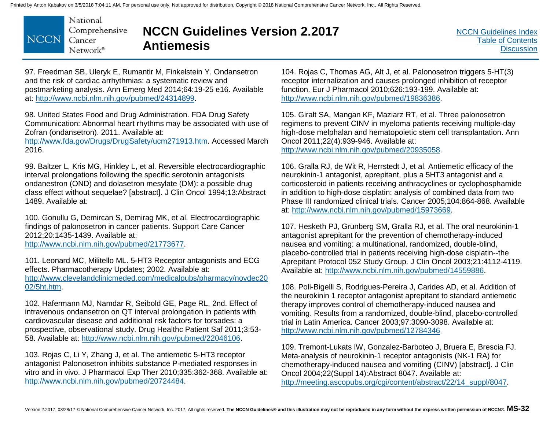

# **NCCN Guidelines Version 2.2017 Antiemesis**

97. Freedman SB, Uleryk E, Rumantir M, Finkelstein Y. Ondansetron and the risk of cardiac arrhythmias: a systematic review and postmarketing analysis. Ann Emerg Med 2014;64:19-25 e16. Available at: http://www.ncbi.nlm.nih.gov/pubmed/24314899.

98. United States Food and Drug Administration. FDA Drug Safety Communication: Abnormal heart rhythms may be associated with use of Zofran (ondansetron). 2011. Available at:

http://www.fda.gov/Drugs/DrugSafety/ucm271913.htm. Accessed March 2016.

99. Baltzer L, Kris MG, Hinkley L, et al. Reversible electrocardiographic interval prolongations following the specific serotonin antagonists ondanestron (OND) and dolasetron mesylate (DM): a possible drug class effect without sequelae? [abstract]. J Clin Oncol 1994;13:Abstract 1489. Available at:

100. Gonullu G, Demircan S, Demirag MK, et al. Electrocardiographic findings of palonosetron in cancer patients. Support Care Cancer 2012;20:1435-1439. Available at:

http://www.ncbi.nlm.nih.gov/pubmed/21773677.

101. Leonard MC, Militello ML. 5-HT3 Receptor antagonists and ECG effects. Pharmacotherapy Updates; 2002. Available at: [http://www.clevelandclinicmeded.com/medicalpubs/pharmacy/novdec20](http://www.clevelandclinicmeded.com/medicalpubs/pharmacy/novdec2002/5ht.htm) 02/5ht.htm.

102. Hafermann MJ, Namdar R, Seibold GE, Page RL, 2nd. Effect of intravenous ondansetron on QT interval prolongation in patients with cardiovascular disease and additional risk factors for torsades: a prospective, observational study. Drug Healthc Patient Saf 2011;3:53- 58. Available at: http://www.ncbi.nlm.nih.gov/pubmed/22046106.

103. Rojas C, Li Y, Zhang J, et al. The antiemetic 5-HT3 receptor antagonist Palonosetron inhibits substance P-mediated responses in vitro and in vivo. J Pharmacol Exp Ther 2010;335:362-368. Available at: http://www.ncbi.nlm.nih.gov/pubmed/20724484.

104. Rojas C, Thomas AG, Alt J, et al. Palonosetron triggers 5-HT(3) receptor internalization and causes prolonged inhibition of receptor function. Eur J Pharmacol 2010;626:193-199. Available at: http://www.ncbi.nlm.nih.gov/pubmed/19836386.

105. Giralt SA, Mangan KF, Maziarz RT, et al. Three palonosetron regimens to prevent CINV in myeloma patients receiving multiple-day high-dose melphalan and hematopoietic stem cell transplantation. Ann Oncol 2011;22(4):939-946. Available at: http://www.ncbi.nlm.nih.gov/pubmed/20935058.

106. Gralla RJ, de Wit R, Herrstedt J, et al. Antiemetic efficacy of the neurokinin-1 antagonist, aprepitant, plus a 5HT3 antagonist and a corticosteroid in patients receiving anthracyclines or cyclophosphamide in addition to high-dose cisplatin: analysis of combined data from two Phase III randomized clinical trials. Cancer 2005;104:864-868. Available at: http://www.ncbi.nlm.nih.gov/pubmed/15973669.

107. Hesketh PJ, Grunberg SM, Gralla RJ, et al. The oral neurokinin-1 antagonist aprepitant for the prevention of chemotherapy-induced nausea and vomiting: a multinational, randomized, double-blind, placebo-controlled trial in patients receiving high-dose cisplatin--the Aprepitant Protocol 052 Study Group. J Clin Oncol 2003;21:4112-4119. Available at: http://www.ncbi.nlm.nih.gov/pubmed/14559886.

108. Poli-Bigelli S, Rodrigues-Pereira J, Carides AD, et al. Addition of the neurokinin 1 receptor antagonist aprepitant to standard antiemetic therapy improves control of chemotherapy-induced nausea and vomiting. Results from a randomized, double-blind, placebo-controlled trial in Latin America. Cancer 2003;97:3090-3098. Available at: http://www.ncbi.nlm.nih.gov/pubmed/12784346.

109. Tremont-Lukats IW, Gonzalez-Barboteo J, Bruera E, Brescia FJ. Meta-analysis of neurokinin-1 receptor antagonists (NK-1 RA) for chemotherapy-induced nausea and vomiting (CINV) [abstract]. J Clin Oncol 2004;22(Suppl 14):Abstract 8047. Available at: http://meeting.ascopubs.org/cgi/content/abstract/22/14\_suppl/8047.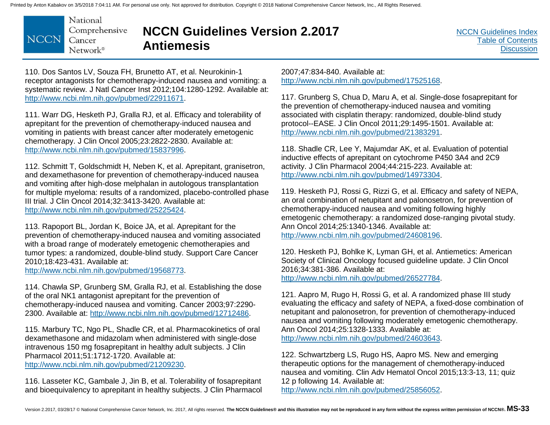National Comprehensive **NCCN** Cancer  $Network^{\circ}$ 

# **NCCN Guidelines Version 2.2017 Antiemesis**

[NCCN Guidelines Index](http://nccn.org) [Table of Contents](#page-2-0) **[Discussion](#page-24-0)** 

110. Dos Santos LV, Souza FH, Brunetto AT, et al. Neurokinin-1 receptor antagonists for chemotherapy-induced nausea and vomiting: a systematic review. J Natl Cancer Inst 2012;104:1280-1292. Available at: http://www.ncbi.nlm.nih.gov/pubmed/22911671.

111. Warr DG, Hesketh PJ, Gralla RJ, et al. Efficacy and tolerability of aprepitant for the prevention of chemotherapy-induced nausea and vomiting in patients with breast cancer after moderately emetogenic chemotherapy. J Clin Oncol 2005;23:2822-2830. Available at: http://www.ncbi.nlm.nih.gov/pubmed/15837996.

112. Schmitt T, Goldschmidt H, Neben K, et al. Aprepitant, granisetron, and dexamethasone for prevention of chemotherapy-induced nausea and vomiting after high-dose melphalan in autologous transplantation for multiple myeloma: results of a randomized, placebo-controlled phase III trial. J Clin Oncol 2014;32:3413-3420. Available at: http://www.ncbi.nlm.nih.gov/pubmed/25225424.

113. Rapoport BL, Jordan K, Boice JA, et al. Aprepitant for the prevention of chemotherapy-induced nausea and vomiting associated with a broad range of moderately emetogenic chemotherapies and tumor types: a randomized, double-blind study. Support Care Cancer 2010;18:423-431. Available at:

http://www.ncbi.nlm.nih.gov/pubmed/19568773.

114. Chawla SP, Grunberg SM, Gralla RJ, et al. Establishing the dose of the oral NK1 antagonist aprepitant for the prevention of chemotherapy-induced nausea and vomiting. Cancer 2003;97:2290- 2300. Available at: http://www.ncbi.nlm.nih.gov/pubmed/12712486.

115. Marbury TC, Ngo PL, Shadle CR, et al. Pharmacokinetics of oral dexamethasone and midazolam when administered with single-dose intravenous 150 mg fosaprepitant in healthy adult subjects. J Clin Pharmacol 2011;51:1712-1720. Available at: http://www.ncbi.nlm.nih.gov/pubmed/21209230.

116. Lasseter KC, Gambale J, Jin B, et al. Tolerability of fosaprepitant and bioequivalency to aprepitant in healthy subjects. J Clin Pharmacol 2007;47:834-840. Available at: http://www.ncbi.nlm.nih.gov/pubmed/17525168.

117. Grunberg S, Chua D, Maru A, et al. Single-dose fosaprepitant for the prevention of chemotherapy-induced nausea and vomiting associated with cisplatin therapy: randomized, double-blind study protocol--EASE. J Clin Oncol 2011;29:1495-1501. Available at: http://www.ncbi.nlm.nih.gov/pubmed/21383291.

118. Shadle CR, Lee Y, Majumdar AK, et al. Evaluation of potential inductive effects of aprepitant on cytochrome P450 3A4 and 2C9 activity. J Clin Pharmacol 2004;44:215-223. Available at: http://www.ncbi.nlm.nih.gov/pubmed/14973304.

119. Hesketh PJ, Rossi G, Rizzi G, et al. Efficacy and safety of NEPA, an oral combination of netupitant and palonosetron, for prevention of chemotherapy-induced nausea and vomiting following highly emetogenic chemotherapy: a randomized dose-ranging pivotal study. Ann Oncol 2014;25:1340-1346. Available at: http://www.ncbi.nlm.nih.gov/pubmed/24608196.

120. Hesketh PJ, Bohlke K, Lyman GH, et al. Antiemetics: American Society of Clinical Oncology focused guideline update. J Clin Oncol 2016;34:381-386. Available at: http://www.ncbi.nlm.nih.gov/pubmed/26527784.

121. Aapro M, Rugo H, Rossi G, et al. A randomized phase III study evaluating the efficacy and safety of NEPA, a fixed-dose combination of netupitant and palonosetron, for prevention of chemotherapy-induced nausea and vomiting following moderately emetogenic chemotherapy. Ann Oncol 2014;25:1328-1333. Available at: http://www.ncbi.nlm.nih.gov/pubmed/24603643.

122. Schwartzberg LS, Rugo HS, Aapro MS. New and emerging therapeutic options for the management of chemotherapy-induced nausea and vomiting. Clin Adv Hematol Oncol 2015;13:3-13, 11; quiz 12 p following 14. Available at: http://www.ncbi.nlm.nih.gov/pubmed/25856052.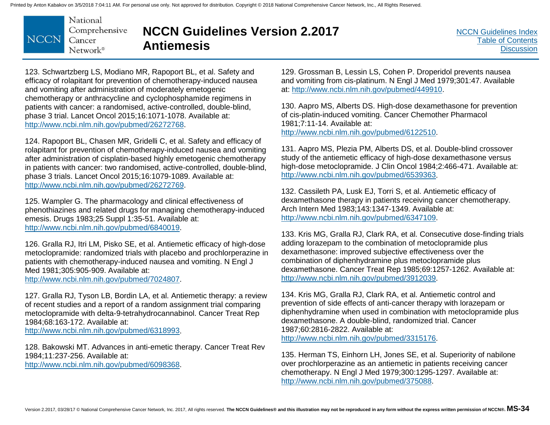National Comprehensive **NCCN** Cancer  $Network^{\circ}$ 

# **NCCN Guidelines Version 2.2017 Antiemesis**

123. Schwartzberg LS, Modiano MR, Rapoport BL, et al. Safety and efficacy of rolapitant for prevention of chemotherapy-induced nausea and vomiting after administration of moderately emetogenic chemotherapy or anthracycline and cyclophosphamide regimens in patients with cancer: a randomised, active-controlled, double-blind, phase 3 trial. Lancet Oncol 2015;16:1071-1078. Available at: http://www.ncbi.nlm.nih.gov/pubmed/26272768.

124. Rapoport BL, Chasen MR, Gridelli C, et al. Safety and efficacy of rolapitant for prevention of chemotherapy-induced nausea and vomiting after administration of cisplatin-based highly emetogenic chemotherapy in patients with cancer: two randomised, active-controlled, double-blind, phase 3 trials. Lancet Oncol 2015;16:1079-1089. Available at: http://www.ncbi.nlm.nih.gov/pubmed/26272769.

125. Wampler G. The pharmacology and clinical effectiveness of phenothiazines and related drugs for managing chemotherapy-induced emesis. Drugs 1983;25 Suppl 1:35-51. Available at: http://www.ncbi.nlm.nih.gov/pubmed/6840019.

126. Gralla RJ, Itri LM, Pisko SE, et al. Antiemetic efficacy of high-dose metoclopramide: randomized trials with placebo and prochlorperazine in patients with chemotherapy-induced nausea and vomiting. N Engl J Med 1981;305:905-909. Available at: http://www.ncbi.nlm.nih.gov/pubmed/7024807.

127. Gralla RJ, Tyson LB, Bordin LA, et al. Antiemetic therapy: a review of recent studies and a report of a random assignment trial comparing metoclopramide with delta-9-tetrahydrocannabinol. Cancer Treat Rep 1984;68:163-172. Available at:

http://www.ncbi.nlm.nih.gov/pubmed/6318993.

128. Bakowski MT. Advances in anti-emetic therapy. Cancer Treat Rev 1984;11:237-256. Available at:

http://www.ncbi.nlm.nih.gov/pubmed/6098368.

129. Grossman B, Lessin LS, Cohen P. Droperidol prevents nausea and vomiting from cis-platinum. N Engl J Med 1979;301:47. Available at: http://www.ncbi.nlm.nih.gov/pubmed/449910.

130. Aapro MS, Alberts DS. High-dose dexamethasone for prevention of cis-platin-induced vomiting. Cancer Chemother Pharmacol 1981;7:11-14. Available at: http://www.ncbi.nlm.nih.gov/pubmed/6122510.

131. Aapro MS, Plezia PM, Alberts DS, et al. Double-blind crossover study of the antiemetic efficacy of high-dose dexamethasone versus high-dose metoclopramide. J Clin Oncol 1984;2:466-471. Available at: http://www.ncbi.nlm.nih.gov/pubmed/6539363.

132. Cassileth PA, Lusk EJ, Torri S, et al. Antiemetic efficacy of dexamethasone therapy in patients receiving cancer chemotherapy. Arch Intern Med 1983;143:1347-1349. Available at: http://www.ncbi.nlm.nih.gov/pubmed/6347109.

133. Kris MG, Gralla RJ, Clark RA, et al. Consecutive dose-finding trials adding lorazepam to the combination of metoclopramide plus dexamethasone: improved subjective effectiveness over the combination of diphenhydramine plus metoclopramide plus dexamethasone. Cancer Treat Rep 1985;69:1257-1262. Available at: http://www.ncbi.nlm.nih.gov/pubmed/3912039.

134. Kris MG, Gralla RJ, Clark RA, et al. Antiemetic control and prevention of side effects of anti-cancer therapy with lorazepam or diphenhydramine when used in combination with metoclopramide plus dexamethasone. A double-blind, randomized trial. Cancer 1987;60:2816-2822. Available at: http://www.ncbi.nlm.nih.gov/pubmed/3315176.

135. Herman TS, Einhorn LH, Jones SE, et al. Superiority of nabilone over prochlorperazine as an antiemetic in patients receiving cancer chemotherapy. N Engl J Med 1979;300:1295-1297. Available at: http://www.ncbi.nlm.nih.gov/pubmed/375088.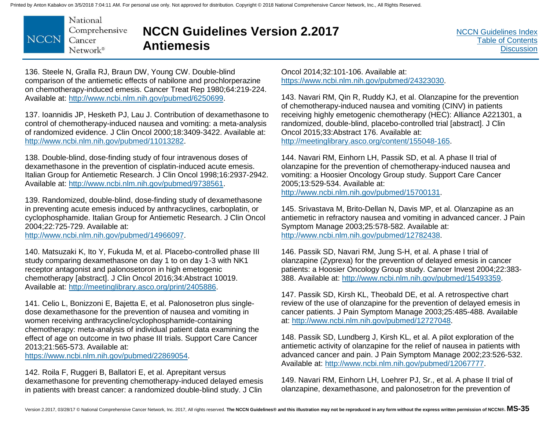

# **NCCN Guidelines Version 2.2017 Antiemesis**

[NCCN Guidelines Index](http://nccn.org) [Table of Contents](#page-2-0) **[Discussion](#page-24-0)** 

136. Steele N, Gralla RJ, Braun DW, Young CW. Double-blind comparison of the antiemetic effects of nabilone and prochlorperazine on chemotherapy-induced emesis. Cancer Treat Rep 1980;64:219-224. Available at: http://www.ncbi.nlm.nih.gov/pubmed/6250699.

137. Ioannidis JP, Hesketh PJ, Lau J. Contribution of dexamethasone to control of chemotherapy-induced nausea and vomiting: a meta-analysis of randomized evidence. J Clin Oncol 2000;18:3409-3422. Available at: http://www.ncbi.nlm.nih.gov/pubmed/11013282.

138. Double-blind, dose-finding study of four intravenous doses of dexamethasone in the prevention of cisplatin-induced acute emesis. Italian Group for Antiemetic Research. J Clin Oncol 1998;16:2937-2942. Available at: http://www.ncbi.nlm.nih.gov/pubmed/9738561.

139. Randomized, double-blind, dose-finding study of dexamethasone in preventing acute emesis induced by anthracyclines, carboplatin, or cyclophosphamide. Italian Group for Antiemetic Research. J Clin Oncol 2004;22:725-729. Available at:

http://www.ncbi.nlm.nih.gov/pubmed/14966097.

140. Matsuzaki K, Ito Y, Fukuda M, et al. Placebo-controlled phase III study comparing dexamethasone on day 1 to on day 1-3 with NK1 receptor antagonist and palonosetoron in high emetogenic chemotherapy [abstract]. J Clin Oncol 2016;34:Abstract 10019. Available at: http://meetinglibrary.asco.org/print/2405886.

141. Celio L, Bonizzoni E, Bajetta E, et al. Palonosetron plus singledose dexamethasone for the prevention of nausea and vomiting in women receiving anthracycline/cyclophosphamide-containing chemotherapy: meta-analysis of individual patient data examining the effect of age on outcome in two phase III trials. Support Care Cancer 2013;21:565-573. Available at:

https://www.ncbi.nlm.nih.gov/pubmed/22869054.

142. Roila F, Ruggeri B, Ballatori E, et al. Aprepitant versus dexamethasone for preventing chemotherapy-induced delayed emesis in patients with breast cancer: a randomized double-blind study. J Clin

Oncol 2014;32:101-106. Available at: https://www.ncbi.nlm.nih.gov/pubmed/24323030.

143. Navari RM, Qin R, Ruddy KJ, et al. Olanzapine for the prevention of chemotherapy-induced nausea and vomiting (CINV) in patients receiving highly emetogenic chemotherapy (HEC): Alliance A221301, a randomized, double-blind, placebo-controlled trial [abstract]. J Clin Oncol 2015;33:Abstract 176. Available at: http://meetinglibrary.asco.org/content/155048-165.

144. Navari RM, Einhorn LH, Passik SD, et al. A phase II trial of olanzapine for the prevention of chemotherapy-induced nausea and vomiting: a Hoosier Oncology Group study. Support Care Cancer 2005;13:529-534. Available at: http://www.ncbi.nlm.nih.gov/pubmed/15700131.

145. Srivastava M, Brito-Dellan N, Davis MP, et al. Olanzapine as an antiemetic in refractory nausea and vomiting in advanced cancer. J Pain Symptom Manage 2003;25:578-582. Available at: http://www.ncbi.nlm.nih.gov/pubmed/12782438.

146. Passik SD, Navari RM, Jung S-H, et al. A phase I trial of olanzapine (Zyprexa) for the prevention of delayed emesis in cancer patients: a Hoosier Oncology Group study. Cancer Invest 2004;22:383- 388. Available at: http://www.ncbi.nlm.nih.gov/pubmed/15493359.

147. Passik SD, Kirsh KL, Theobald DE, et al. A retrospective chart review of the use of olanzapine for the prevention of delayed emesis in cancer patients. J Pain Symptom Manage 2003;25:485-488. Available at: http://www.ncbi.nlm.nih.gov/pubmed/12727048.

148. Passik SD, Lundberg J, Kirsh KL, et al. A pilot exploration of the antiemetic activity of olanzapine for the relief of nausea in patients with advanced cancer and pain. J Pain Symptom Manage 2002;23:526-532. Available at: http://www.ncbi.nlm.nih.gov/pubmed/12067777.

149. Navari RM, Einhorn LH, Loehrer PJ, Sr., et al. A phase II trial of olanzapine, dexamethasone, and palonosetron for the prevention of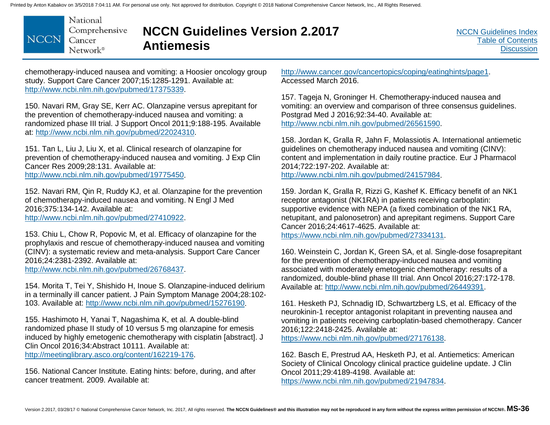National Comprehensive **NCCN** Cancer Network<sup>®</sup>

### **NCCN Guidelines Version 2.2017 Antiemesis**

chemotherapy-induced nausea and vomiting: a Hoosier oncology group study. Support Care Cancer 2007;15:1285-1291. Available at: http://www.ncbi.nlm.nih.gov/pubmed/17375339.

150. Navari RM, Gray SE, Kerr AC. Olanzapine versus aprepitant for the prevention of chemotherapy-induced nausea and vomiting: a randomized phase III trial. J Support Oncol 2011;9:188-195. Available at: http://www.ncbi.nlm.nih.gov/pubmed/22024310.

151. Tan L, Liu J, Liu X, et al. Clinical research of olanzapine for prevention of chemotherapy-induced nausea and vomiting. J Exp Clin Cancer Res 2009;28:131. Available at: http://www.ncbi.nlm.nih.gov/pubmed/19775450.

152. Navari RM, Qin R, Ruddy KJ, et al. Olanzapine for the prevention of chemotherapy-induced nausea and vomiting. N Engl J Med 2016;375:134-142. Available at: http://www.ncbi.nlm.nih.gov/pubmed/27410922.

153. Chiu L, Chow R, Popovic M, et al. Efficacy of olanzapine for the prophylaxis and rescue of chemotherapy-induced nausea and vomiting (CINV): a systematic review and meta-analysis. Support Care Cancer 2016;24:2381-2392. Available at: http://www.ncbi.nlm.nih.gov/pubmed/26768437.

154. Morita T, Tei Y, Shishido H, Inoue S. Olanzapine-induced delirium in a terminally ill cancer patient. J Pain Symptom Manage 2004;28:102- 103. Available at: http://www.ncbi.nlm.nih.gov/pubmed/15276190.

155. Hashimoto H, Yanai T, Nagashima K, et al. A double-blind randomized phase II study of 10 versus 5 mg olanzapine for emesis induced by highly emetogenic chemotherapy with cisplatin [abstract]. J Clin Oncol 2016;34:Abstract 10111. Available at: http://meetinglibrary.asco.org/content/162219-176.

156. National Cancer Institute. Eating hints: before, during, and after cancer treatment. 2009. Available at:

http://www.cancer.gov/cancertopics/coping/eatinghints/page1. Accessed March 2016.

157. Tageja N, Groninger H. Chemotherapy-induced nausea and vomiting: an overview and comparison of three consensus guidelines. Postgrad Med J 2016;92:34-40. Available at: http://www.ncbi.nlm.nih.gov/pubmed/26561590.

158. Jordan K, Gralla R, Jahn F, Molassiotis A. International antiemetic guidelines on chemotherapy induced nausea and vomiting (CINV): content and implementation in daily routine practice. Eur J Pharmacol 2014;722:197-202. Available at: http://www.ncbi.nlm.nih.gov/pubmed/24157984.

159. Jordan K, Gralla R, Rizzi G, Kashef K. Efficacy benefit of an NK1 receptor antagonist (NK1RA) in patients receiving carboplatin: supportive evidence with NEPA (a fixed combination of the NK1 RA, netupitant, and palonosetron) and aprepitant regimens. Support Care Cancer 2016;24:4617-4625. Available at: https://www.ncbi.nlm.nih.gov/pubmed/27334131.

160. Weinstein C, Jordan K, Green SA, et al. Single-dose fosaprepitant for the prevention of chemotherapy-induced nausea and vomiting associated with moderately emetogenic chemotherapy: results of a randomized, double-blind phase III trial. Ann Oncol 2016;27:172-178. Available at: http://www.ncbi.nlm.nih.gov/pubmed/26449391.

161. Hesketh PJ, Schnadig ID, Schwartzberg LS, et al. Efficacy of the neurokinin-1 receptor antagonist rolapitant in preventing nausea and vomiting in patients receiving carboplatin-based chemotherapy. Cancer 2016;122:2418-2425. Available at:

https://www.ncbi.nlm.nih.gov/pubmed/27176138.

162. Basch E, Prestrud AA, Hesketh PJ, et al. Antiemetics: American Society of Clinical Oncology clinical practice guideline update. J Clin Oncol 2011;29:4189-4198. Available at: https://www.ncbi.nlm.nih.gov/pubmed/21947834.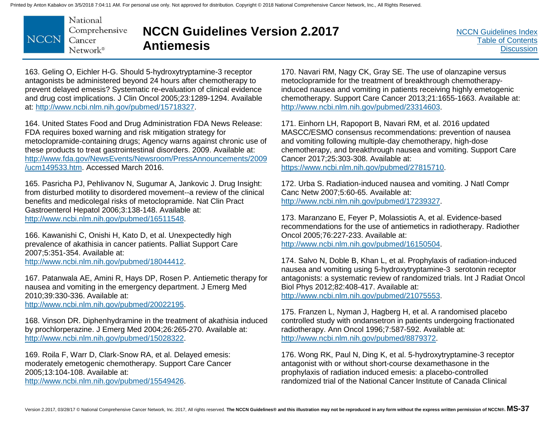National Comprehensive **NCCN** Cancer Network<sup>®</sup>

# **NCCN Guidelines Version 2.2017 Antiemesis**

[NCCN Guidelines Index](http://nccn.org) [Table of Contents](#page-2-0) **[Discussion](#page-24-0)** 

163. Geling O, Eichler H-G. Should 5-hydroxytryptamine-3 receptor antagonists be administered beyond 24 hours after chemotherapy to prevent delayed emesis? Systematic re-evaluation of clinical evidence and drug cost implications. J Clin Oncol 2005;23:1289-1294. Available at: http://www.ncbi.nlm.nih.gov/pubmed/15718327.

164. United States Food and Drug Administration FDA News Release: FDA requires boxed warning and risk mitigation strategy for metoclopramide-containing drugs; Agency warns against chronic use of these products to treat gastrointestinal disorders. 2009. Available at: [http://www.fda.gov/NewsEvents/Newsroom/PressAnnouncements/2009](http://www.fda.gov/NewsEvents/Newsroom/PressAnnouncements/2009/ucm149533.htm) /ucm149533.htm. Accessed March 2016.

165. Pasricha PJ, Pehlivanov N, Sugumar A, Jankovic J. Drug Insight: from disturbed motility to disordered movement--a review of the clinical benefits and medicolegal risks of metoclopramide. Nat Clin Pract Gastroenterol Hepatol 2006;3:138-148. Available at: http://www.ncbi.nlm.nih.gov/pubmed/16511548.

166. Kawanishi C, Onishi H, Kato D, et al. Unexpectedly high prevalence of akathisia in cancer patients. Palliat Support Care 2007;5:351-354. Available at: http://www.ncbi.nlm.nih.gov/pubmed/18044412.

167. Patanwala AE, Amini R, Hays DP, Rosen P. Antiemetic therapy for nausea and vomiting in the emergency department. J Emerg Med 2010;39:330-336. Available at:

http://www.ncbi.nlm.nih.gov/pubmed/20022195.

168. Vinson DR. Diphenhydramine in the treatment of akathisia induced by prochlorperazine. J Emerg Med 2004;26:265-270. Available at: http://www.ncbi.nlm.nih.gov/pubmed/15028322.

169. Roila F, Warr D, Clark-Snow RA, et al. Delayed emesis: moderately emetogenic chemotherapy. Support Care Cancer 2005;13:104-108. Available at: http://www.ncbi.nlm.nih.gov/pubmed/15549426.

170. Navari RM, Nagy CK, Gray SE. The use of olanzapine versus metoclopramide for the treatment of breakthrough chemotherapyinduced nausea and vomiting in patients receiving highly emetogenic chemotherapy. Support Care Cancer 2013;21:1655-1663. Available at: http://www.ncbi.nlm.nih.gov/pubmed/23314603.

171. Einhorn LH, Rapoport B, Navari RM, et al. 2016 updated MASCC/ESMO consensus recommendations: prevention of nausea and vomiting following multiple-day chemotherapy, high-dose chemotherapy, and breakthrough nausea and vomiting. Support Care Cancer 2017;25:303-308. Available at: https://www.ncbi.nlm.nih.gov/pubmed/27815710.

172. Urba S. Radiation-induced nausea and vomiting. J Natl Compr Canc Netw 2007;5:60-65. Available at: http://www.ncbi.nlm.nih.gov/pubmed/17239327.

173. Maranzano E, Feyer P, Molassiotis A, et al. Evidence-based recommendations for the use of antiemetics in radiotherapy. Radiother Oncol 2005;76:227-233. Available at: http://www.ncbi.nlm.nih.gov/pubmed/16150504.

174. Salvo N, Doble B, Khan L, et al. Prophylaxis of radiation-induced nausea and vomiting using 5-hydroxytryptamine-3 serotonin receptor antagonists: a systematic review of randomized trials. Int J Radiat Oncol Biol Phys 2012;82:408-417. Available at: http://www.ncbi.nlm.nih.gov/pubmed/21075553.

175. Franzen L, Nyman J, Hagberg H, et al. A randomised placebo controlled study with ondansetron in patients undergoing fractionated radiotherapy. Ann Oncol 1996;7:587-592. Available at: http://www.ncbi.nlm.nih.gov/pubmed/8879372.

176. Wong RK, Paul N, Ding K, et al. 5-hydroxytryptamine-3 receptor antagonist with or without short-course dexamethasone in the prophylaxis of radiation induced emesis: a placebo-controlled randomized trial of the National Cancer Institute of Canada Clinical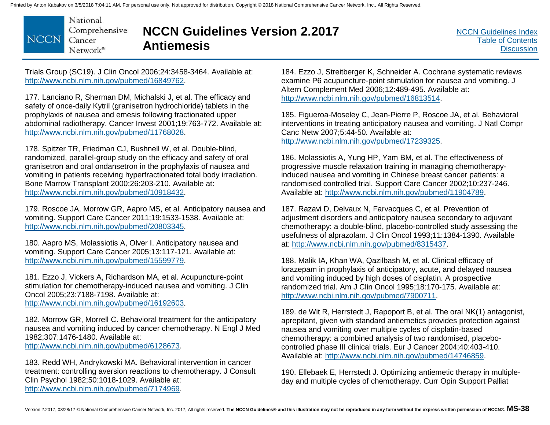National Comprehensive **NCCN** Cancer Network<sup>®</sup>

# **NCCN Guidelines Version 2.2017 Antiemesis**

Trials Group (SC19). J Clin Oncol 2006;24:3458-3464. Available at: http://www.ncbi.nlm.nih.gov/pubmed/16849762.

177. Lanciano R, Sherman DM, Michalski J, et al. The efficacy and safety of once-daily Kytril (granisetron hydrochloride) tablets in the prophylaxis of nausea and emesis following fractionated upper abdominal radiotherapy. Cancer Invest 2001;19:763-772. Available at: http://www.ncbi.nlm.nih.gov/pubmed/11768028.

178. Spitzer TR, Friedman CJ, Bushnell W, et al. Double-blind, randomized, parallel-group study on the efficacy and safety of oral granisetron and oral ondansetron in the prophylaxis of nausea and vomiting in patients receiving hyperfractionated total body irradiation. Bone Marrow Transplant 2000;26:203-210. Available at: http://www.ncbi.nlm.nih.gov/pubmed/10918432.

179. Roscoe JA, Morrow GR, Aapro MS, et al. Anticipatory nausea and vomiting. Support Care Cancer 2011;19:1533-1538. Available at: http://www.ncbi.nlm.nih.gov/pubmed/20803345.

180. Aapro MS, Molassiotis A, Olver I. Anticipatory nausea and vomiting. Support Care Cancer 2005;13:117-121. Available at: http://www.ncbi.nlm.nih.gov/pubmed/15599779.

181. Ezzo J, Vickers A, Richardson MA, et al. Acupuncture-point stimulation for chemotherapy-induced nausea and vomiting. J Clin Oncol 2005;23:7188-7198. Available at: http://www.ncbi.nlm.nih.gov/pubmed/16192603.

182. Morrow GR, Morrell C. Behavioral treatment for the anticipatory nausea and vomiting induced by cancer chemotherapy. N Engl J Med 1982;307:1476-1480. Available at: http://www.ncbi.nlm.nih.gov/pubmed/6128673.

183. Redd WH, Andrykowski MA. Behavioral intervention in cancer treatment: controlling aversion reactions to chemotherapy. J Consult Clin Psychol 1982;50:1018-1029. Available at: http://www.ncbi.nlm.nih.gov/pubmed/7174969.

184. Ezzo J, Streitberger K, Schneider A. Cochrane systematic reviews examine P6 acupuncture-point stimulation for nausea and vomiting. J Altern Complement Med 2006;12:489-495. Available at: http://www.ncbi.nlm.nih.gov/pubmed/16813514.

185. Figueroa-Moseley C, Jean-Pierre P, Roscoe JA, et al. Behavioral interventions in treating anticipatory nausea and vomiting. J Natl Compr Canc Netw 2007;5:44-50. Available at: http://www.ncbi.nlm.nih.gov/pubmed/17239325.

186. Molassiotis A, Yung HP, Yam BM, et al. The effectiveness of progressive muscle relaxation training in managing chemotherapyinduced nausea and vomiting in Chinese breast cancer patients: a randomised controlled trial. Support Care Cancer 2002;10:237-246. Available at: http://www.ncbi.nlm.nih.gov/pubmed/11904789.

187. Razavi D, Delvaux N, Farvacques C, et al. Prevention of adjustment disorders and anticipatory nausea secondary to adjuvant chemotherapy: a double-blind, placebo-controlled study assessing the usefulness of alprazolam. J Clin Oncol 1993;11:1384-1390. Available at: http://www.ncbi.nlm.nih.gov/pubmed/8315437.

188. Malik IA, Khan WA, Qazilbash M, et al. Clinical efficacy of lorazepam in prophylaxis of anticipatory, acute, and delayed nausea and vomiting induced by high doses of cisplatin. A prospective randomized trial. Am J Clin Oncol 1995;18:170-175. Available at: http://www.ncbi.nlm.nih.gov/pubmed/7900711.

189. de Wit R, Herrstedt J, Rapoport B, et al. The oral NK(1) antagonist, aprepitant, given with standard antiemetics provides protection against nausea and vomiting over multiple cycles of cisplatin-based chemotherapy: a combined analysis of two randomised, placebocontrolled phase III clinical trials. Eur J Cancer 2004;40:403-410. Available at: http://www.ncbi.nlm.nih.gov/pubmed/14746859.

190. Ellebaek E, Herrstedt J. Optimizing antiemetic therapy in multipleday and multiple cycles of chemotherapy. Curr Opin Support Palliat